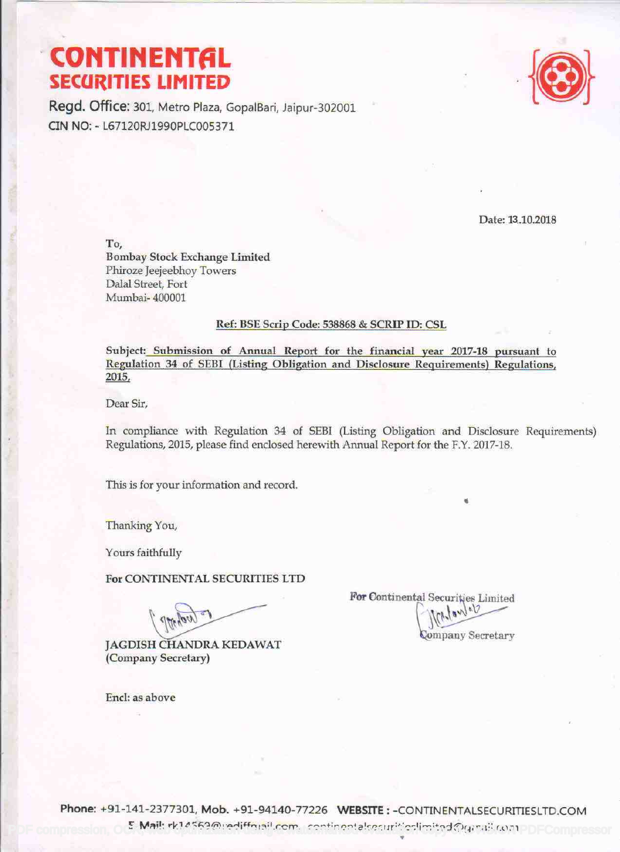# CONTINENTAL<br>SECURITIES LIMITED<br>Regd. Office: 301, Metro Plaza, GopalBari, Jaipur-302001



Regd. Office: 301, Metro Plaza, GopalBari, Jaipur-302001 CN NO: - L67120RJ1990PLC005371

Date: 13.10.2018

To, Bombay Stock Exchange Limited Phiroze Jeejeebhoy Towers Dalai Street, Fort Mumbai- 400001

#### Ref: BSE Scrip Code: 538868 & SCRIP ID: CSL

Subject: Submission of Annual Report for the financial year 2017-18 pursuant to Regulation 34 of SEBI (Listing Obligation and Disclosure Requirements) Regulations, 2015,

Dear Sir,

In compliance with Regulation 34 of SEBI (Listing Obligation and Disclosure Requirements) Regulations, 2015, please find enclosed herewith Annual Report for the F.Y. 2017-18.

This is for your information and record.

Thanking You,

Yours faithfully

For CONTINENTAL SECURITIES LTD

Magar

JAGDISH CHANDRA KEDAWAT (Company Secretary)

End: as above

For Continental Securities Limited

ompany Secretary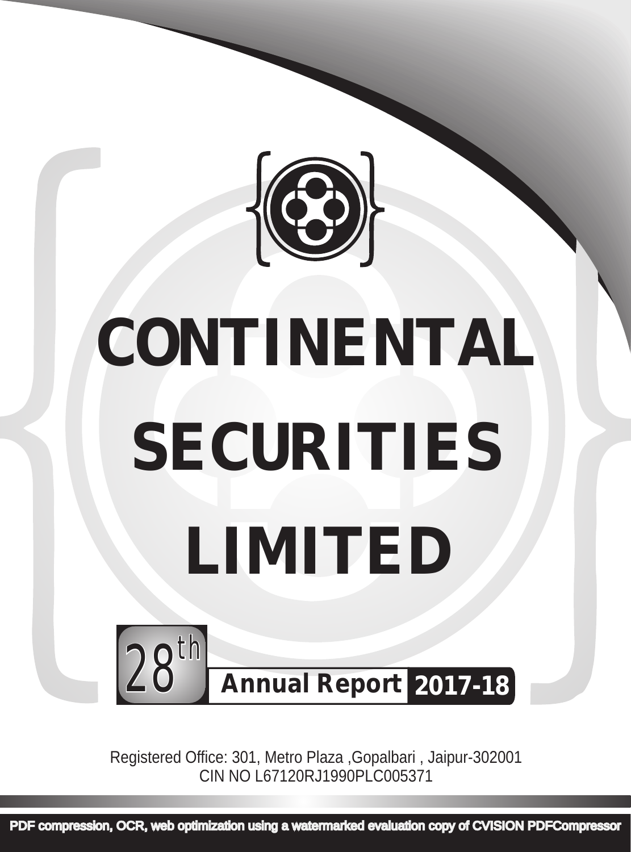

# **CONTINENTAL SECURITIES LIMITED**



Registered Office: 301, Metro Plaza ,Gopalbari , Jaipur-302001 CIN NO L67120RJ1990PLC005371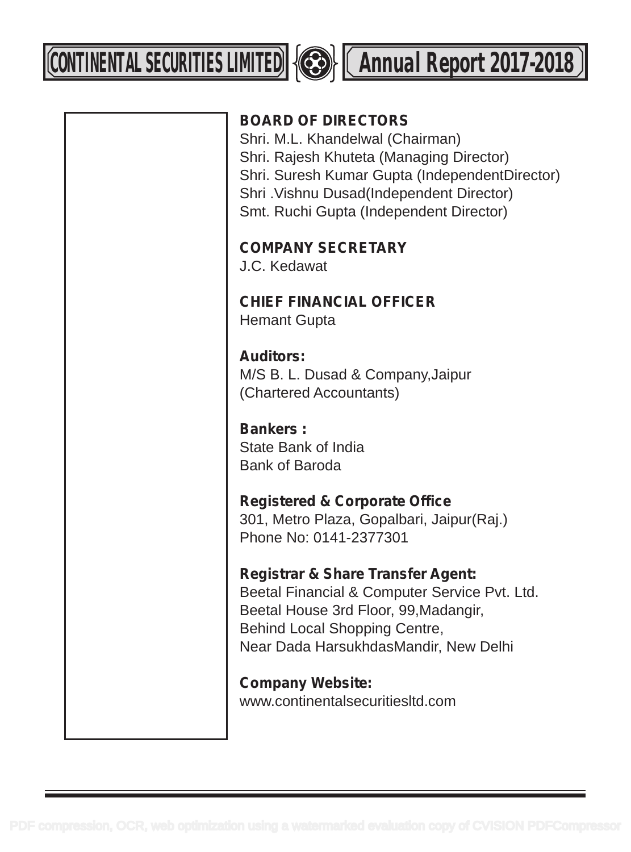**CONTINENTAL SECURITIES LIMITED**  $\bigotimes$  [Annual Report 2017-2018]



| <b>BOARD OF DIRECTORS</b><br>Shri. M.L. Khandelwal (Chairman)<br>Shri. Rajesh Khuteta (Managing Director)<br>Shri. Suresh Kumar Gupta (IndependentDirector)<br>Shri .Vishnu Dusad(Independent Director)<br>Smt. Ruchi Gupta (Independent Director) |
|----------------------------------------------------------------------------------------------------------------------------------------------------------------------------------------------------------------------------------------------------|
| <b>COMPANY SECRETARY</b><br>J.C. Kedawat                                                                                                                                                                                                           |
| <b>CHIEF FINANCIAL OFFICER</b><br><b>Hemant Gupta</b>                                                                                                                                                                                              |
| <b>Auditors:</b><br>M/S B. L. Dusad & Company, Jaipur<br>(Chartered Accountants)                                                                                                                                                                   |
| <b>Bankers:</b><br>State Bank of India<br><b>Bank of Baroda</b>                                                                                                                                                                                    |
| <b>Registered &amp; Corporate Office</b><br>301, Metro Plaza, Gopalbari, Jaipur(Raj.)<br>Phone No: 0141-2377301                                                                                                                                    |
| <b>Registrar &amp; Share Transfer Agent:</b><br>Beetal Financial & Computer Service Pvt. Ltd.<br>Beetal House 3rd Floor, 99, Madangir,<br>Behind Local Shopping Centre,<br>Near Dada HarsukhdasMandir, New Delhi                                   |
| <b>Company Website:</b><br>www.continentalsecuritiesItd.com                                                                                                                                                                                        |
|                                                                                                                                                                                                                                                    |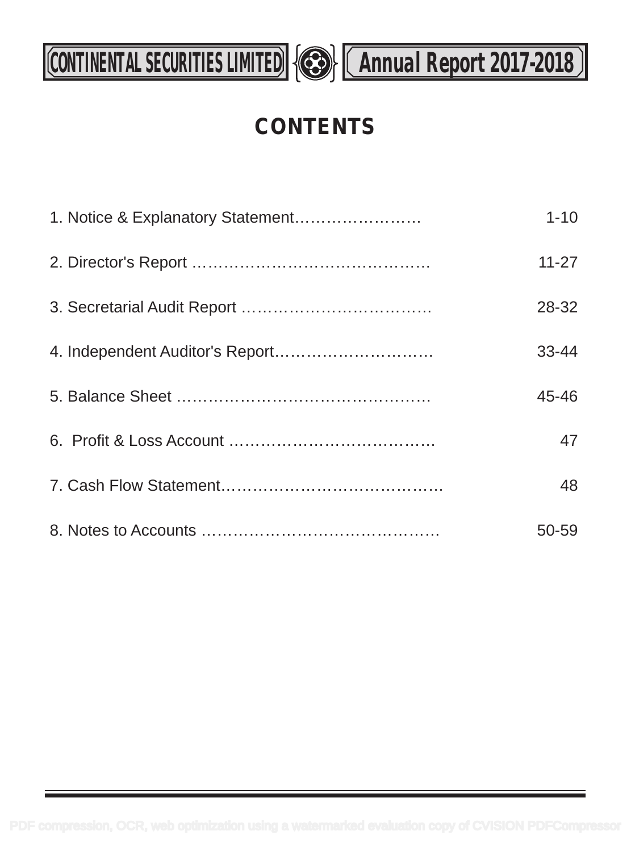

## **CONTENTS**

| $1 - 10$  |
|-----------|
| $11 - 27$ |
| 28-32     |
| $33 - 44$ |
| 45-46     |
| 47        |
| 48        |
| 50-59     |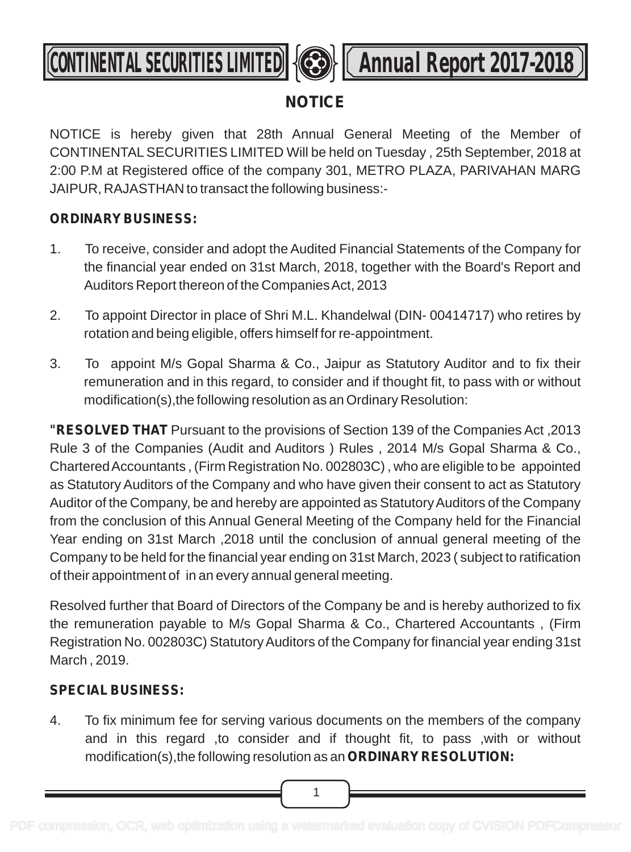

### **NOTICE**

NOTICE is hereby given that 28th Annual General Meeting of the Member of CONTINENTAL SECURITIES LIMITED Will be held on Tuesday , 25th September, 2018 at 2:00 P.M at Registered office of the company 301, METRO PLAZA, PARIVAHAN MARG JAIPUR, RAJASTHAN to transact the following business:-

#### **ORDINARY BUSINESS:**

- 1. To receive, consider and adopt the Audited Financial Statements of the Company for the financial year ended on 31st March, 2018, together with the Board's Report and Auditors Report thereon of the Companies Act, 2013
- 2. To appoint Director in place of Shri M.L. Khandelwal (DIN- 00414717) who retires by rotation and being eligible, offers himself for re-appointment.
- 3. To appoint M/s Gopal Sharma & Co., Jaipur as Statutory Auditor and to fix their remuneration and in this regard, to consider and if thought fit, to pass with or without modification(s),the following resolution as an Ordinary Resolution:

**"RESOLVED THAT** Pursuant to the provisions of Section 139 of the Companies Act ,2013 Rule 3 of the Companies (Audit and Auditors ) Rules , 2014 M/s Gopal Sharma & Co., Chartered Accountants , (Firm Registration No. 002803C) , who are eligible to be appointed as Statutory Auditors of the Company and who have given their consent to act as Statutory Auditor of the Company, be and hereby are appointed as Statutory Auditors of the Company from the conclusion of this Annual General Meeting of the Company held for the Financial Year ending on 31st March ,2018 until the conclusion of annual general meeting of the Company to be held for the financial year ending on 31st March, 2023 ( subject to ratification of their appointment of in an every annual general meeting.

Resolved further that Board of Directors of the Company be and is hereby authorized to fix the remuneration payable to M/s Gopal Sharma & Co., Chartered Accountants , (Firm Registration No. 002803C) Statutory Auditors of the Company for financial year ending 31st March , 2019.

#### **SPECIAL BUSINESS:**

4. To fix minimum fee for serving various documents on the members of the company and in this regard ,to consider and if thought fit, to pass ,with or without modification(s),the following resolution as an **ORDINARY RESOLUTION:**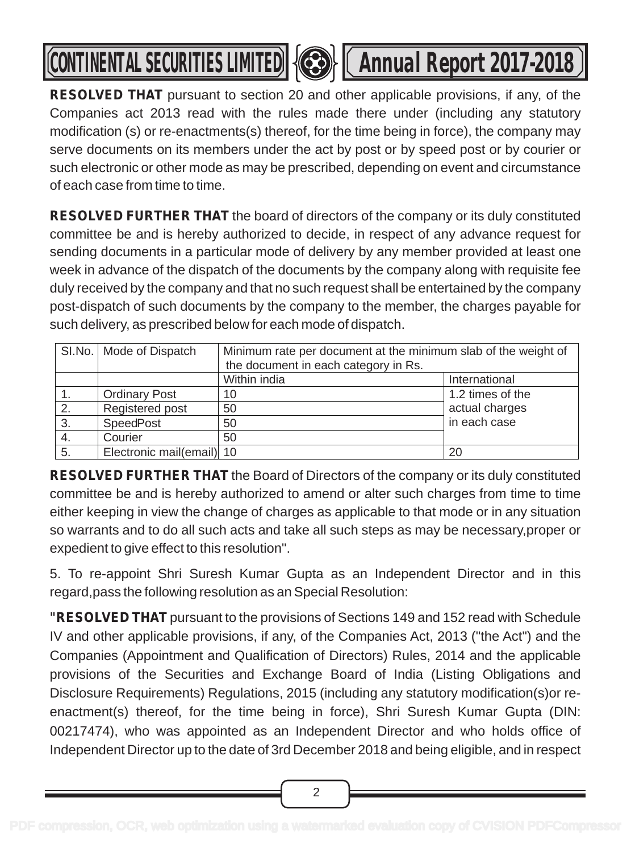

**RESOLVED THAT** pursuant to section 20 and other applicable provisions, if any, of the Companies act 2013 read with the rules made there under (including any statutory modification (s) or re-enactments(s) thereof, for the time being in force), the company may serve documents on its members under the act by post or by speed post or by courier or such electronic or other mode as may be prescribed, depending on event and circumstance of each case from time to time.

**RESOLVED FURTHER THAT** the board of directors of the company or its duly constituted committee be and is hereby authorized to decide, in respect of any advance request for sending documents in a particular mode of delivery by any member provided at least one week in advance of the dispatch of the documents by the company along with requisite fee duly received by the company and that no such request shall be entertained by the company post-dispatch of such documents by the company to the member, the charges payable for such delivery, as prescribed below for each mode of dispatch.

|    | SI.No.   Mode of Dispatch | Minimum rate per document at the minimum slab of the weight of<br>the document in each category in Rs. |                  |
|----|---------------------------|--------------------------------------------------------------------------------------------------------|------------------|
|    |                           | Within india                                                                                           | International    |
|    | <b>Ordinary Post</b>      | 10                                                                                                     | 1.2 times of the |
| 2. | Registered post           | 50                                                                                                     | actual charges   |
| 3. | SpeedPost                 | 50                                                                                                     | in each case     |
| 4. | Courier                   | 50                                                                                                     |                  |
| 5. | Electronic mail(email) 10 |                                                                                                        | -20              |

**RESOLVED FURTHER THAT** the Board of Directors of the company or its duly constituted committee be and is hereby authorized to amend or alter such charges from time to time either keeping in view the change of charges as applicable to that mode or in any situation so warrants and to do all such acts and take all such steps as may be necessary,proper or expedient to give effect to this resolution".

5. To re-appoint Shri Suresh Kumar Gupta as an Independent Director and in this regard,pass the following resolution as an Special Resolution:

**"RESOLVED THAT** pursuant to the provisions of Sections 149 and 152 read with Schedule IV and other applicable provisions, if any, of the Companies Act, 2013 ("the Act") and the Companies (Appointment and Qualification of Directors) Rules, 2014 and the applicable provisions of the Securities and Exchange Board of India (Listing Obligations and Disclosure Requirements) Regulations, 2015 (including any statutory modification(s)or reenactment(s) thereof, for the time being in force), Shri Suresh Kumar Gupta (DIN: 00217474), who was appointed as an Independent Director and who holds office of Independent Director up to the date of 3rd December 2018 and being eligible, and in respect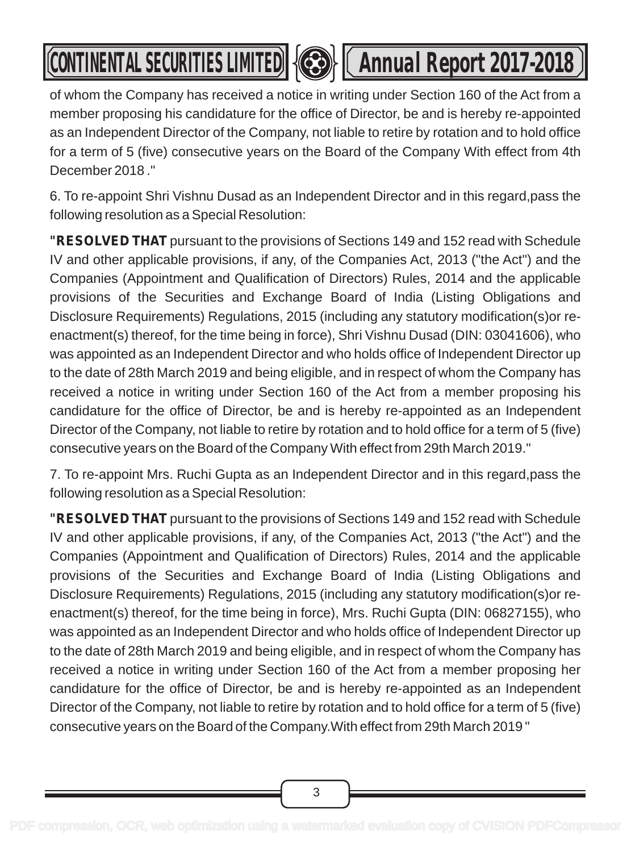of whom the Company has received a notice in writing under Section 160 of the Act from a member proposing his candidature for the office of Director, be and is hereby re-appointed as an Independent Director of the Company, not liable to retire by rotation and to hold office for a term of 5 (five) consecutive years on the Board of the Company With effect from 4th December 2018 ."

6. To re-appoint Shri Vishnu Dusad as an Independent Director and in this regard,pass the following resolution as a Special Resolution:

**"RESOLVED THAT** pursuant to the provisions of Sections 149 and 152 read with Schedule IV and other applicable provisions, if any, of the Companies Act, 2013 ("the Act") and the Companies (Appointment and Qualification of Directors) Rules, 2014 and the applicable provisions of the Securities and Exchange Board of India (Listing Obligations and Disclosure Requirements) Regulations, 2015 (including any statutory modification(s)or reenactment(s) thereof, for the time being in force), Shri Vishnu Dusad (DIN: 03041606), who was appointed as an Independent Director and who holds office of Independent Director up to the date of 28th March 2019 and being eligible, and in respect of whom the Company has received a notice in writing under Section 160 of the Act from a member proposing his candidature for the office of Director, be and is hereby re-appointed as an Independent Director of the Company, not liable to retire by rotation and to hold office for a term of 5 (five) consecutive years on the Board of the Company With effect from 29th March 2019."

7. To re-appoint Mrs. Ruchi Gupta as an Independent Director and in this regard,pass the following resolution as a Special Resolution:

**"RESOLVED THAT** pursuant to the provisions of Sections 149 and 152 read with Schedule IV and other applicable provisions, if any, of the Companies Act, 2013 ("the Act") and the Companies (Appointment and Qualification of Directors) Rules, 2014 and the applicable provisions of the Securities and Exchange Board of India (Listing Obligations and Disclosure Requirements) Regulations, 2015 (including any statutory modification(s)or reenactment(s) thereof, for the time being in force), Mrs. Ruchi Gupta (DIN: 06827155), who was appointed as an Independent Director and who holds office of Independent Director up to the date of 28th March 2019 and being eligible, and in respect of whom the Company has received a notice in writing under Section 160 of the Act from a member proposing her candidature for the office of Director, be and is hereby re-appointed as an Independent Director of the Company, not liable to retire by rotation and to hold office for a term of 5 (five) consecutive years on the Board of the Company.With effect from 29th March 2019 "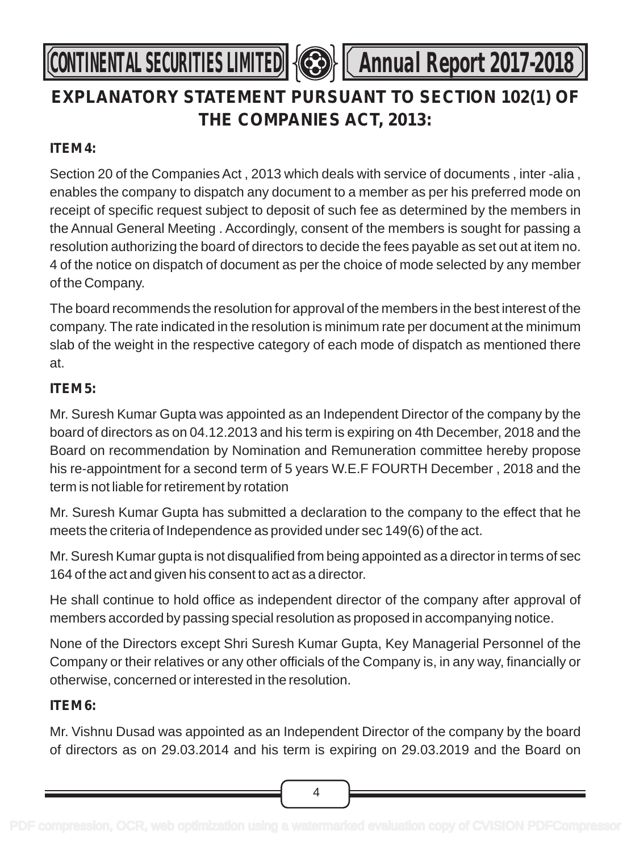## **EXPLANATORY STATEMENT PURSUANT TO SECTION 102(1) OF THE COMPANIES ACT, 2013:**

#### **ITEM 4:**

Section 20 of the Companies Act , 2013 which deals with service of documents , inter -alia , enables the company to dispatch any document to a member as per his preferred mode on receipt of specific request subject to deposit of such fee as determined by the members in the Annual General Meeting . Accordingly, consent of the members is sought for passing a resolution authorizing the board of directors to decide the fees payable as set out at item no. 4 of the notice on dispatch of document as per the choice of mode selected by any member of the Company.

The board recommends the resolution for approval of the members in the best interest of the company. The rate indicated in the resolution is minimum rate per document at the minimum slab of the weight in the respective category of each mode of dispatch as mentioned there at.

#### **ITEM 5:**

Mr. Suresh Kumar Gupta was appointed as an Independent Director of the company by the board of directors as on 04.12.2013 and his term is expiring on 4th December, 2018 and the Board on recommendation by Nomination and Remuneration committee hereby propose his re-appointment for a second term of 5 years W.E.F FOURTH December , 2018 and the term is not liable for retirement by rotation

Mr. Suresh Kumar Gupta has submitted a declaration to the company to the effect that he meets the criteria of Independence as provided under sec 149(6) of the act.

Mr. Suresh Kumar gupta is not disqualified from being appointed as a director in terms of sec 164 of the act and given his consent to act as a director.

He shall continue to hold office as independent director of the company after approval of members accorded by passing special resolution as proposed in accompanying notice.

None of the Directors except Shri Suresh Kumar Gupta, Key Managerial Personnel of the Company or their relatives or any other officials of the Company is, in any way, financially or otherwise, concerned or interested in the resolution.

#### **ITEM 6:**

Mr. Vishnu Dusad was appointed as an Independent Director of the company by the board of directors as on 29.03.2014 and his term is expiring on 29.03.2019 and the Board on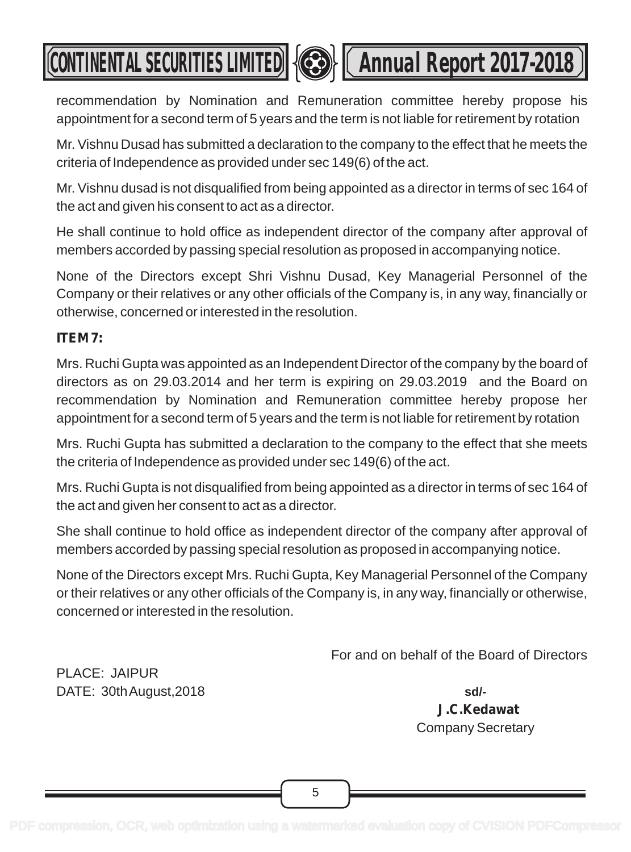

recommendation by Nomination and Remuneration committee hereby propose his appointment for a second term of 5 years and the term is not liable for retirement by rotation

Mr. Vishnu Dusad has submitted a declaration to the company to the effect that he meets the criteria of Independence as provided under sec 149(6) of the act.

Mr. Vishnu dusad is not disqualified from being appointed as a director in terms of sec 164 of the act and given his consent to act as a director.

He shall continue to hold office as independent director of the company after approval of members accorded by passing special resolution as proposed in accompanying notice.

None of the Directors except Shri Vishnu Dusad, Key Managerial Personnel of the Company or their relatives or any other officials of the Company is, in any way, financially or otherwise, concerned or interested in the resolution.

#### **ITEM 7:**

Mrs. Ruchi Gupta was appointed as an Independent Director of the company by the board of directors as on 29.03.2014 and her term is expiring on 29.03.2019 and the Board on recommendation by Nomination and Remuneration committee hereby propose her appointment for a second term of 5 years and the term is not liable for retirement by rotation

Mrs. Ruchi Gupta has submitted a declaration to the company to the effect that she meets the criteria of Independence as provided under sec 149(6) of the act.

Mrs. Ruchi Gupta is not disqualified from being appointed as a director in terms of sec 164 of the act and given her consent to act as a director.

She shall continue to hold office as independent director of the company after approval of members accorded by passing special resolution as proposed in accompanying notice.

None of the Directors except Mrs. Ruchi Gupta, Key Managerial Personnel of the Company or their relatives or any other officials of the Company is, in any way, financially or otherwise, concerned or interested in the resolution.

For and on behalf of the Board of Directors

PLACE: JAIPUR DATE: 30th August,2018

 **J.C.Kedawat** Company Secretary **sd/-**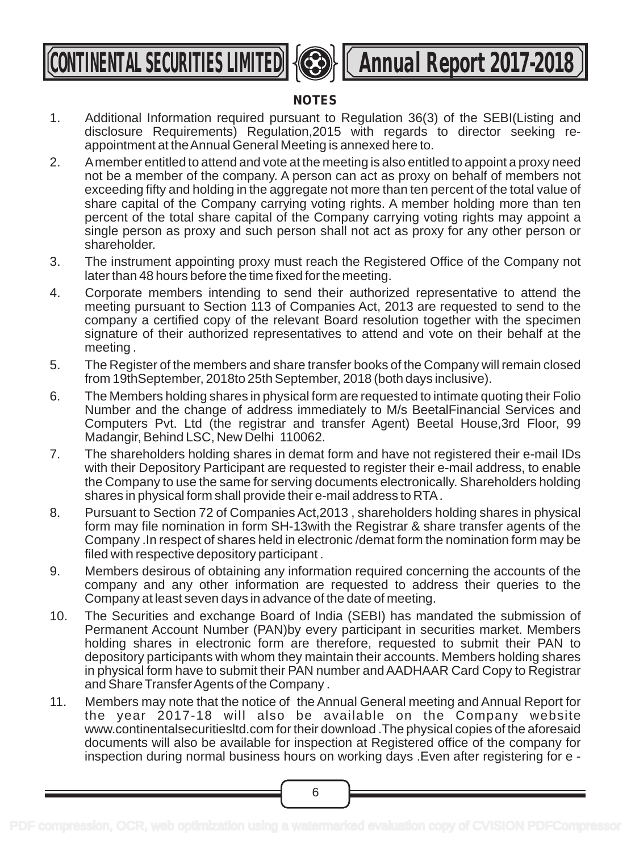#### **NOTES**

- 1. Additional Information required pursuant to Regulation 36(3) of the SEBI(Listing and disclosure Requirements) Regulation,2015 with regards to director seeking reappointment at the Annual General Meeting is annexed here to.
- 2. Amember entitled to attend and vote at the meeting is also entitled to appoint a proxy need not be a member of the company. A person can act as proxy on behalf of members not exceeding fifty and holding in the aggregate not more than ten percent of the total value of share capital of the Company carrying voting rights. A member holding more than ten percent of the total share capital of the Company carrying voting rights may appoint a single person as proxy and such person shall not act as proxy for any other person or shareholder.
- 3. The instrument appointing proxy must reach the Registered Office of the Company not later than 48 hours before the time fixed for the meeting.
- 4. Corporate members intending to send their authorized representative to attend the meeting pursuant to Section 113 of Companies Act, 2013 are requested to send to the company a certified copy of the relevant Board resolution together with the specimen signature of their authorized representatives to attend and vote on their behalf at the meeting .
- 5. The Register of the members and share transfer books of the Company will remain closed from 19thSeptember, 2018to 25th September, 2018 (both days inclusive).
- 6. The Members holding shares in physical form are requested to intimate quoting their Folio Number and the change of address immediately to M/s BeetalFinancial Services and Computers Pvt. Ltd (the registrar and transfer Agent) Beetal House,3rd Floor, 99 Madangir, Behind LSC, New Delhi 110062.
- 7. The shareholders holding shares in demat form and have not registered their e-mail IDs with their Depository Participant are requested to register their e-mail address, to enable the Company to use the same for serving documents electronically. Shareholders holding shares in physical form shall provide their e-mail address to RTA.
- 8. Pursuant to Section 72 of Companies Act,2013 , shareholders holding shares in physical form may file nomination in form SH-13with the Registrar & share transfer agents of the Company .In respect of shares held in electronic /demat form the nomination form may be filed with respective depository participant .
- 9. Members desirous of obtaining any information required concerning the accounts of the company and any other information are requested to address their queries to the Company at least seven days in advance of the date of meeting.
- 10. The Securities and exchange Board of India (SEBI) has mandated the submission of Permanent Account Number (PAN)by every participant in securities market. Members holding shares in electronic form are therefore, requested to submit their PAN to depository participants with whom they maintain their accounts. Members holding shares in physical form have to submit their PAN number and AADHAAR Card Copy to Registrar and Share Transfer Agents of the Company .
- 11. Members may note that the notice of the Annual General meeting and Annual Report for the year 2017-18 will also be available on the Company website www.continentalsecuritiesltd.com for their download .The physical copies of the aforesaid documents will also be available for inspection at Registered office of the company for inspection during normal business hours on working days .Even after registering for e -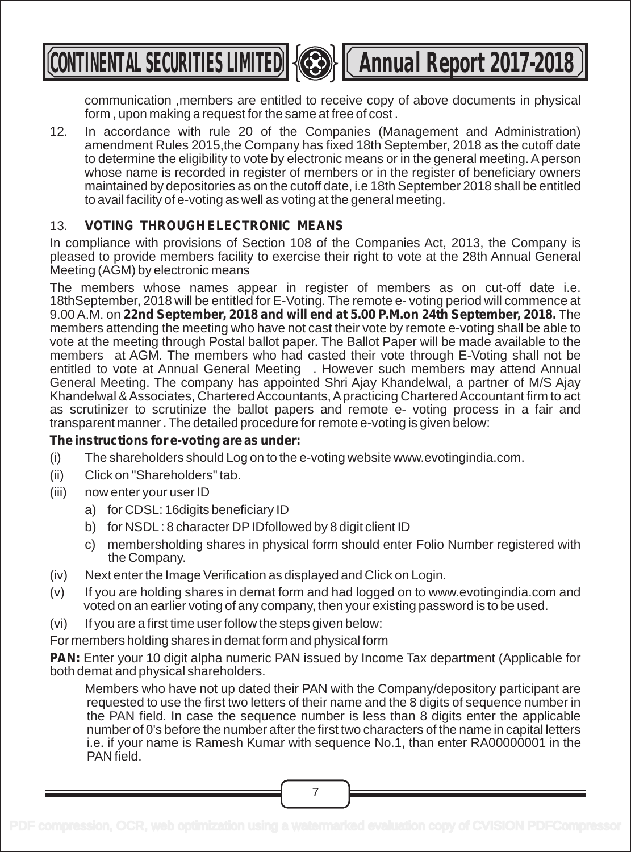

communication ,members are entitled to receive copy of above documents in physical form , upon making a request for the same at free of cost .

12. In accordance with rule 20 of the Companies (Management and Administration) amendment Rules 2015,the Company has fixed 18th September, 2018 as the cutoff date to determine the eligibility to vote by electronic means or in the general meeting. Aperson whose name is recorded in register of members or in the register of beneficiary owners maintained by depositories as on the cutoff date, i.e 18th September 2018 shall be entitled to avail facility of e-voting as well as voting at the general meeting.

#### 13. **VOTING THROUGH ELECTRONIC MEANS**

In compliance with provisions of Section 108 of the Companies Act, 2013, the Company is pleased to provide members facility to exercise their right to vote at the 28th Annual General Meeting (AGM) by electronic means

The members whose names appear in register of members as on cut-off date i.e. 18thSeptember, 2018 will be entitled for E-Voting. The remote e- voting period will commence at 9.00 A.M. on **22nd September, 2018 and will end at 5.00 P.M.on 24th September, 2018.** The members attending the meeting who have not cast their vote by remote e-voting shall be able to vote at the meeting through Postal ballot paper. The Ballot Paper will be made available to the members at AGM. The members who had casted their vote through E-Voting shall not be entitled to vote at Annual General Meeting . However such members may attend Annual General Meeting. The company has appointed Shri Ajay Khandelwal, a partner of M/S Ajay Khandelwal & Associates, Chartered Accountants, Apracticing Chartered Accountant firm to act as scrutinizer to scrutinize the ballot papers and remote e- voting process in a fair and transparent manner . The detailed procedure for remote e-voting is given below:

#### **The instructions for e-voting are as under:**

- (i) The shareholders should Log on to the e-voting website www.evotingindia.com.
- (ii) Click on "Shareholders" tab.
- (iii) now enter your user ID
	- a) for CDSL: 16digits beneficiary ID
	- b) for NSDL: 8 character DPIDfollowed by 8 digit client ID
	- c) membersholding shares in physical form should enter Folio Number registered with the Company.
- (iv) Next enter the Image Verification as displayed and Click on Login.
- (v) If you are holding shares in demat form and had logged on to www.evotingindia.com and voted on an earlier voting of any company, then your existing password is to be used.
- (vi) If you are a first time user follow the steps given below:

For members holding shares in demat form and physical form

**PAN:** Enter your 10 digit alpha numeric PAN issued by Income Tax department (Applicable for both demat and physical shareholders.

Members who have not up dated their PAN with the Company/depository participant are requested to use the first two letters of their name and the 8 digits of sequence number in the PAN field. In case the sequence number is less than 8 digits enter the applicable number of 0's before the number after the first two characters of the name in capital letters i.e. if your name is Ramesh Kumar with sequence No.1, than enter RA00000001 in the PAN field.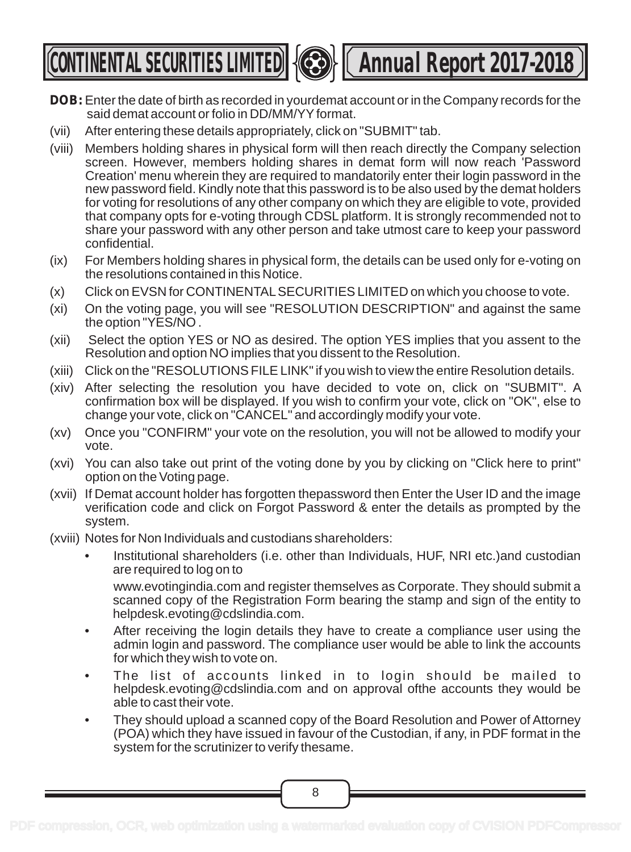**DOB:** Enter the date of birth as recorded in yourdemat account or in the Company records for the said demat account or folio in DD/MM/YYformat.

CONTINENTAL SECURITIES LIMITED **Annual Report 2017-2018** 

- (vii) After entering these details appropriately, click on "SUBMIT" tab.
- (viii) Members holding shares in physical form will then reach directly the Company selection screen. However, members holding shares in demat form will now reach 'Password Creation' menu wherein they are required to mandatorily enter their login password in the new password field. Kindly note that this password is to be also used by the demat holders for voting for resolutions of any other company on which they are eligible to vote, provided that company opts for e-voting through CDSL platform. It is strongly recommended not to share your password with any other person and take utmost care to keep your password confidential.
- (ix) For Members holding shares in physical form, the details can be used only for e-voting on the resolutions contained in this Notice.
- (x) Click on EVSN for CONTINENTALSECURITIES LIMITED on which you choose to vote.
- (xi) On the voting page, you will see "RESOLUTION DESCRIPTION" and against the same the option "YES/NO .
- (xii) Select the option YES or NO as desired. The option YES implies that you assent to the Resolution and option NO implies that you dissent to the Resolution.
- (xiii) Click on the "RESOLUTIONS FILE LINK" if you wish to view the entire Resolution details.
- (xiv) After selecting the resolution you have decided to vote on, click on "SUBMIT". A confirmation box will be displayed. If you wish to confirm your vote, click on "OK", else to change your vote, click on "CANCEL" and accordingly modify your vote.
- (xv) Once you "CONFIRM" your vote on the resolution, you will not be allowed to modify your vote.
- (xvi) You can also take out print of the voting done by you by clicking on "Click here to print" option on the Voting page.
- (xvii) If Demat account holder has forgotten thepassword then Enter the User ID and the image verification code and click on Forgot Password & enter the details as prompted by the system.
- (xviii) Notes for Non Individuals and custodians shareholders:
	- Institutional shareholders (i.e. other than Individuals, HUF, NRI etc.)and custodian are required to log on to

www.evotingindia.com and register themselves as Corporate. They should submit a scanned copy of the Registration Form bearing the stamp and sign of the entity to helpdesk.evoting@cdslindia.com.

- After receiving the login details they have to create a compliance user using the admin login and password. The compliance user would be able to link the accounts for which they wish to vote on.
- The list of accounts linked in to login should be mailed to helpdesk.evoting@cdslindia.com and on approval ofthe accounts they would be able to cast their vote.
- They should upload a scanned copy of the Board Resolution and Power of Attorney (POA) which they have issued in favour of the Custodian, if any, in PDF format in the system for the scrutinizer to verify thesame.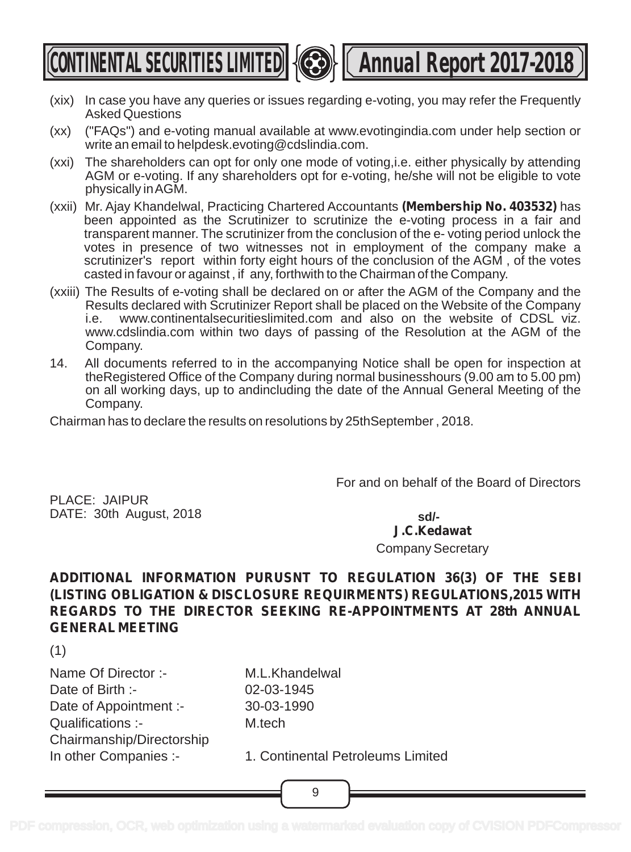- (xix) In case you have any queries or issues regarding e-voting, you may refer the Frequently Asked Questions
- (xx) ("FAQs") and e-voting manual available at www.evotingindia.com under help section or write an email to helpdesk.evoting@cdslindia.com.
- (xxi) The shareholders can opt for only one mode of voting,i.e. either physically by attending AGM or e-voting. If any shareholders opt for e-voting, he/she will not be eligible to vote physically in AGM.
- (xxii) Mr. Ajay Khandelwal, Practicing Chartered Accountants **(Membership No. 403532)** has been appointed as the Scrutinizer to scrutinize the e-voting process in a fair and transparent manner. The scrutinizer from the conclusion of the e- voting period unlock the votes in presence of two witnesses not in employment of the company make a scrutinizer's report within forty eight hours of the conclusion of the AGM , of the votes casted in favour or against , if any, forthwith to the Chairman of the Company.
- (xxiii) The Results of e-voting shall be declared on or after the AGM of the Company and the Results declared with Scrutinizer Report shall be placed on the Website of the Company i.e. www.continentalsecuritieslimited.com and also on the website of CDSL viz. www.cdslindia.com within two days of passing of the Resolution at the AGM of the Company.
- 14. All documents referred to in the accompanying Notice shall be open for inspection at theRegistered Office of the Company during normal businesshours (9.00 am to 5.00 pm) on all working days, up to andincluding the date of the Annual General Meeting of the Company.

Chairman has to declare the results on resolutions by 25thSeptember , 2018.

For and on behalf of the Board of Directors

PLACE: JAIPUR DATE: 30th August, 2018

**sd/-**

#### **J.C.Kedawat**

Company Secretary

**ADDITIONAL INFORMATION PURUSNT TO REGULATION 36(3) OF THE SEBI (LISTING OBLIGATION & DISCLOSURE REQUIRMENTS) REGULATIONS,2015 WITH REGARDS TO THE DIRECTOR SEEKING RE-APPOINTMENTS AT 28th ANNUAL GENERAL MEETING**

(1)

Name Of Director :- M.L.Khandelwal Date of Birth :- 02-03-1945 Date of Appointment :- 30-03-1990 Qualifications :- M.tech Chairmanship/Directorship

In other Companies :- 1. Continental Petroleums Limited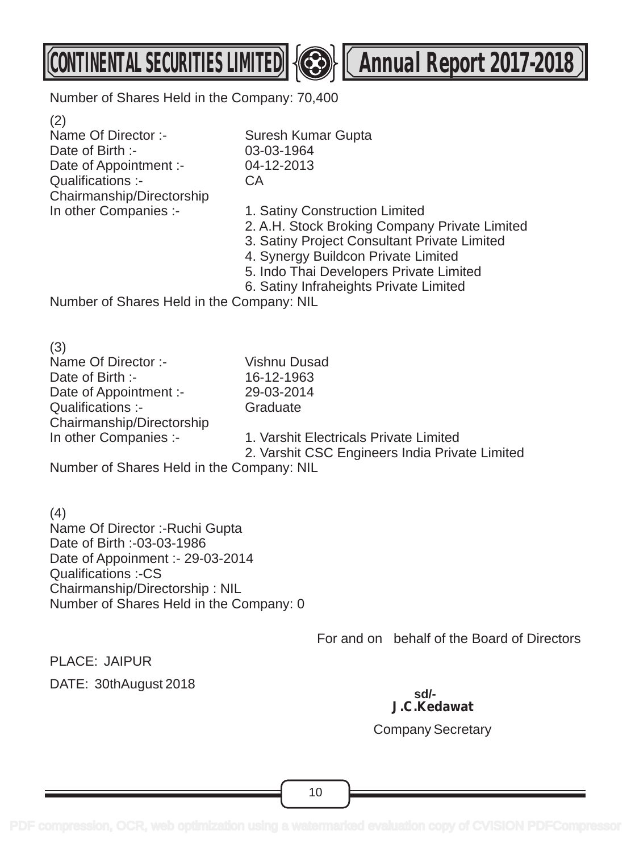Number of Shares Held in the Company: 70,400

| (2)                       |      |
|---------------------------|------|
| Name Of Director :-       | Su   |
| Date of Birth :-          | 03-  |
| Date of Appointment :-    | 04-  |
| Qualifications :-         | СA   |
| Chairmanship/Directorship |      |
| In other Companies :-     | 1. 9 |
|                           |      |

Suresh Kumar Gupta 03-03-1964 04-12-2013

**CONTINENTAL SECURITIES LIMITED 43 (33) Annual Report 2017-2018** 

1. Satiny Construction Limited

- 2. A.H. Stock Broking Company Private Limited
- 3. Satiny Project Consultant Private Limited
- 4. Synergy Buildcon Private Limited
- 5. Indo Thai Developers Private Limited
- 6. Satiny Infraheights Private Limited

Number of Shares Held in the Company: NIL

(3) Name Of Director :- Vishnu Dusad<br>Date of Birth :- 16-12-1963 Date of Birth :-Date of Appointment :- 29-03-2014 Qualifications :- Graduate Chairmanship/Directorship

In other Companies :- 1. Varshit Electricals Private Limited

2. Varshit CSC Engineers India Private Limited

Number of Shares Held in the Company: NIL

(4) Name Of Director :-Ruchi Gupta Date of Birth :-03-03-1986 Date of Appoinment :- 29-03-2014 Qualifications :-CS Chairmanship/Directorship : NIL Number of Shares Held in the Company: 0

For and on behalf of the Board of Directors

PLACE: JAIPUR

DATE: 30thAugust 2018

**J.C.Kedawat sd/-**

#### Company Secretary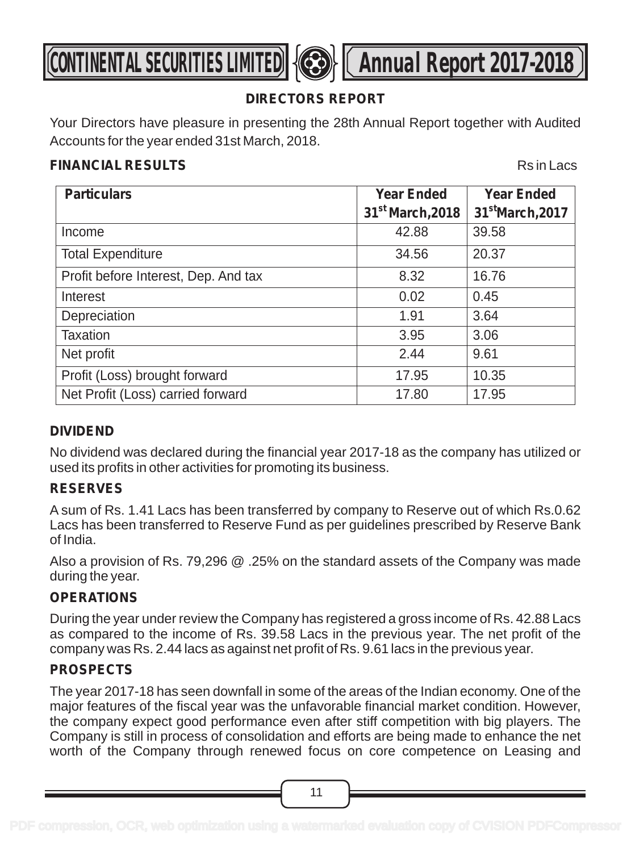#### **DIRECTORS REPORT**

Your Directors have pleasure in presenting the 28th Annual Report together with Audited Accounts for the year ended 31st March, 2018.

#### **FINANCIAL RESULTS** Results and the set of the set of the set of the set of the set of the set of the set of the set of the set of the set of the set of the set of the set of the set of the set of the set of the set of the

**Year Ended** 

| <b>Particulars</b>                   | <b>Year Ended</b>            | <b>Year Ended</b>            |
|--------------------------------------|------------------------------|------------------------------|
|                                      | 31 <sup>st</sup> March, 2018 | 31 <sup>st</sup> March, 2017 |
| Income                               | 42.88                        | 39.58                        |
| <b>Total Expenditure</b>             | 34.56                        | 20.37                        |
| Profit before Interest, Dep. And tax | 8.32                         | 16.76                        |
| Interest                             | 0.02                         | 0.45                         |
| Depreciation                         | 1.91                         | 3.64                         |
| <b>Taxation</b>                      | 3.95                         | 3.06                         |
| Net profit                           | 2.44                         | 9.61                         |
| Profit (Loss) brought forward        | 17.95                        | 10.35                        |
| Net Profit (Loss) carried forward    | 17.80                        | 17.95                        |
| NIVINFIIN                            |                              |                              |

#### **DIVIDEND**

No dividend was declared during the financial year 2017-18 as the company has utilized or used its profits in other activities for promoting its business.

#### **RESERVES**

A sum of Rs. 1.41 Lacs has been transferred by company to Reserve out of which Rs.0.62 Lacs has been transferred to Reserve Fund as per guidelines prescribed by Reserve Bank of India.

Also a provision of Rs. 79,296 @ .25% on the standard assets of the Company was made during the year.

#### **OPERATIONS**

During the year under review the Company has registered a gross income of Rs. 42.88 Lacs as compared to the income of Rs. 39.58 Lacs in the previous year. The net profit of the company was Rs. 2.44 lacs as against net profit of Rs. 9.61 lacs in the previous year.

#### **PROSPECTS**

The year 2017-18 has seen downfall in some of the areas of the Indian economy. One of the major features of the fiscal year was the unfavorable financial market condition. However, the company expect good performance even after stiff competition with big players. The Company is still in process of consolidation and efforts are being made to enhance the net worth of the Company through renewed focus on core competence on Leasing and



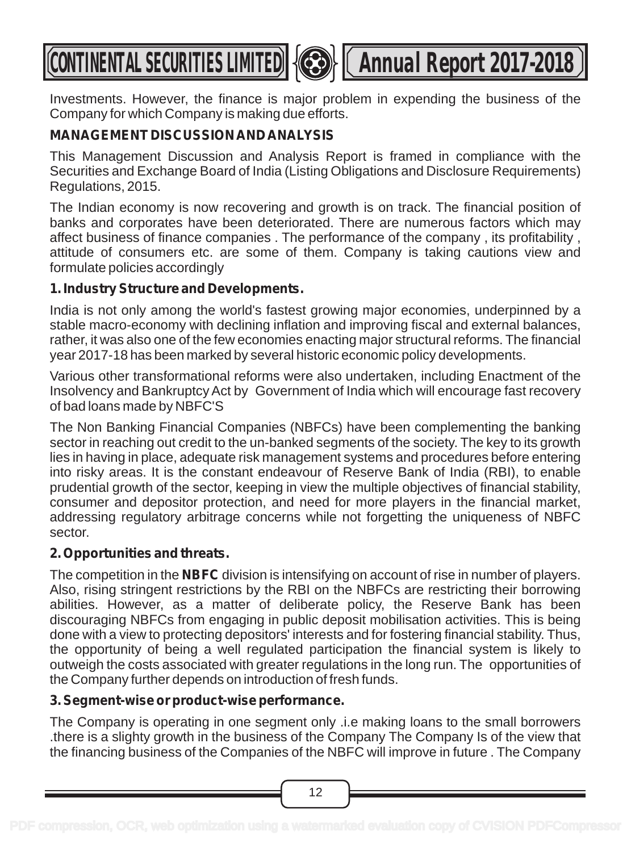Investments. However, the finance is major problem in expending the business of the Company for which Company is making due efforts.

#### **MANAGEMENT DISCUSSION AND ANALYSIS**

This Management Discussion and Analysis Report is framed in compliance with the Securities and Exchange Board of India (Listing Obligations and Disclosure Requirements) Regulations, 2015.

The Indian economy is now recovering and growth is on track. The financial position of banks and corporates have been deteriorated. There are numerous factors which may affect business of finance companies . The performance of the company , its profitability , attitude of consumers etc. are some of them. Company is taking cautions view and formulate policies accordingly

#### **1. Industry Structure and Developments.**

India is not only among the world's fastest growing major economies, underpinned by a stable macro-economy with declining inflation and improving fiscal and external balances, rather, it was also one of the few economies enacting major structural reforms. The financial year 2017-18 has been marked by several historic economic policy developments.

Various other transformational reforms were also undertaken, including Enactment of the Insolvency and Bankruptcy Act by Government of India which will encourage fast recovery of bad loans made by NBFC'S

The Non Banking Financial Companies (NBFCs) have been complementing the banking sector in reaching out credit to the un-banked segments of the society. The key to its growth lies in having in place, adequate risk management systems and procedures before entering into risky areas. It is the constant endeavour of Reserve Bank of India (RBI), to enable prudential growth of the sector, keeping in view the multiple objectives of financial stability, consumer and depositor protection, and need for more players in the financial market, addressing regulatory arbitrage concerns while not forgetting the uniqueness of NBFC sector.

#### **2. Opportunities and threats.**

The competition in the **NBFC** division is intensifying on account of rise in number of players. Also, rising stringent restrictions by the RBI on the NBFCs are restricting their borrowing abilities. However, as a matter of deliberate policy, the Reserve Bank has been discouraging NBFCs from engaging in public deposit mobilisation activities. This is being done with a view to protecting depositors' interests and for fostering financial stability. Thus, the opportunity of being a well regulated participation the financial system is likely to outweigh the costs associated with greater regulations in the long run. The opportunities of the Company further depends on introduction of fresh funds.

#### **3. Segment-wise or product-wise performance.**

The Company is operating in one segment only .i.e making loans to the small borrowers .there is a slighty growth in the business of the Company The Company Is of the view that the financing business of the Companies of the NBFC will improve in future . The Company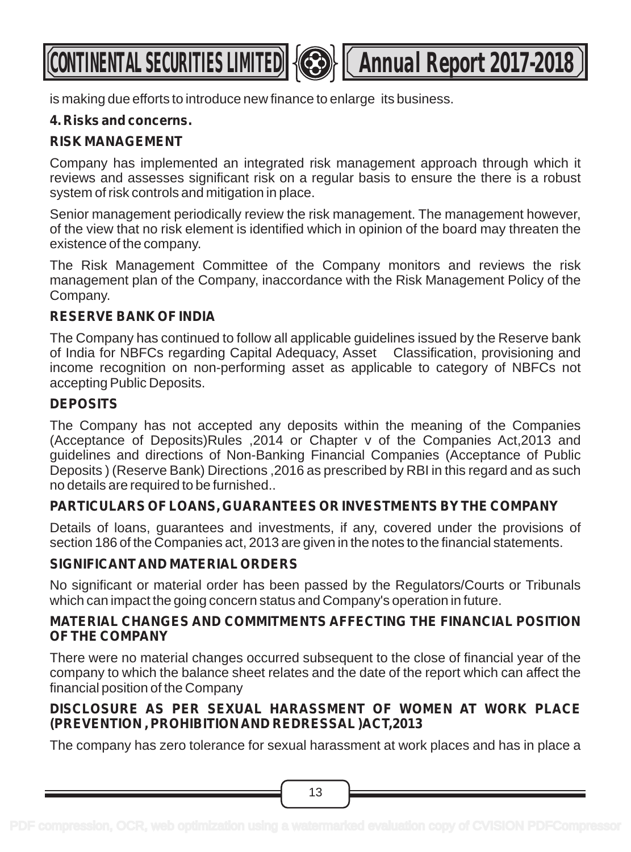is making due efforts to introduce new finance to enlarge its business.

#### **4. Risks and concerns.**

#### **RISK MANAGEMENT**

Company has implemented an integrated risk management approach through which it reviews and assesses significant risk on a regular basis to ensure the there is a robust system of risk controls and mitigation in place.

**CONTINENTAL SECURITIES LIMITED <b>Annual Report 2017-2018** 

Senior management periodically review the risk management. The management however, of the view that no risk element is identified which in opinion of the board may threaten the existence of the company.

The Risk Management Committee of the Company monitors and reviews the risk management plan of the Company, inaccordance with the Risk Management Policy of the Company.

#### **RESERVE BANK OF INDIA**

The Company has continued to follow all applicable guidelines issued by the Reserve bank of India for NBFCs regarding Capital Adequacy, Asset Classification, provisioning and income recognition on non-performing asset as applicable to category of NBFCs not accepting Public Deposits.

#### **DEPOSITS**

The Company has not accepted any deposits within the meaning of the Companies (Acceptance of Deposits)Rules ,2014 or Chapter v of the Companies Act,2013 and guidelines and directions of Non-Banking Financial Companies (Acceptance of Public Deposits ) (Reserve Bank) Directions ,2016 as prescribed by RBI in this regard and as such no details are required to be furnished..

#### **PARTICULARS OF LOANS, GUARANTEES OR INVESTMENTS BYTHE COMPANY**

Details of loans, guarantees and investments, if any, covered under the provisions of section 186 of the Companies act, 2013 are given in the notes to the financial statements.

#### **SIGNIFICANT AND MATERIALORDERS**

No significant or material order has been passed by the Regulators/Courts or Tribunals which can impact the going concern status and Company's operation in future.

#### **MATERIAL CHANGES AND COMMITMENTS AFFECTING THE FINANCIAL POSITION OF THE COMPANY**

There were no material changes occurred subsequent to the close of financial year of the company to which the balance sheet relates and the date of the report which can affect the financial position of the Company

#### **DISCLOSURE AS PER SEXUAL HARASSMENT OF WOMEN AT WORK PLACE (PREVENTION , PROHIBITION AND REDRESSAL)ACT,2013**

The company has zero tolerance for sexual harassment at work places and has in place a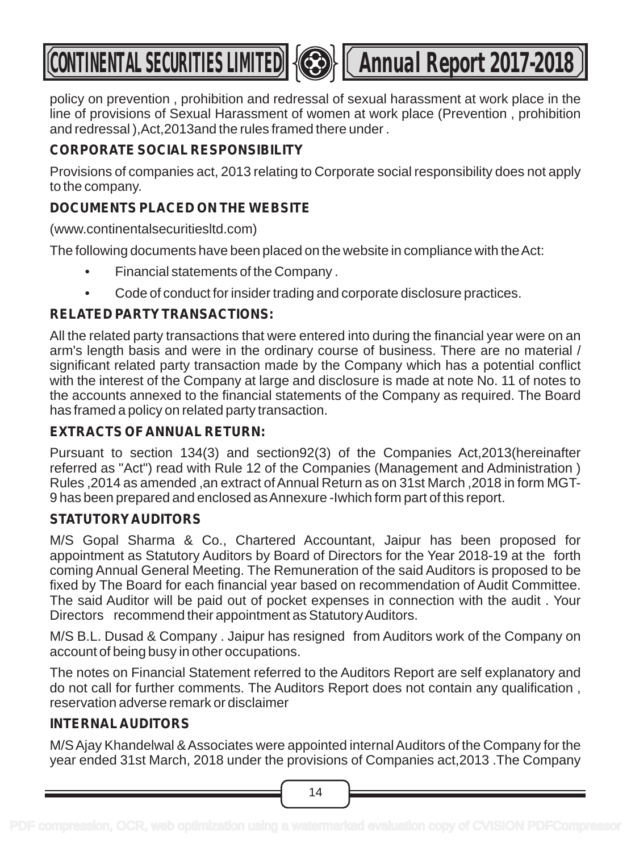policy on prevention , prohibition and redressal of sexual harassment at work place in the line of provisions of Sexual Harassment of women at work place (Prevention , prohibition and redressal ),Act,2013and the rules framed there under .

**CONTINENTAL SECURITIES LIMITED <b>Annual Report 2017-2018** 

#### **CORPORATE SOCIAL RESPONSIBILITY**

Provisions of companies act, 2013 relating to Corporate social responsibility does not apply to the company.

#### **DOCUMENTS PLACED ON THE WEBSITE**

(www.continentalsecuritiesltd.com)

The following documents have been placed on the website in compliance with the Act:

- Financial statements of the Company .
- Code of conduct for insider trading and corporate disclosure practices.

#### **RELATED PARTYTRANSACTIONS:**

All the related party transactions that were entered into during the financial year were on an arm's length basis and were in the ordinary course of business. There are no material / significant related party transaction made by the Company which has a potential conflict with the interest of the Company at large and disclosure is made at note No. 11 of notes to the accounts annexed to the financial statements of the Company as required. The Board has framed a policy on related party transaction.

#### **EXTRACTS OF ANNUAL RETURN:**

Pursuant to section 134(3) and section92(3) of the Companies Act,2013(hereinafter referred as "Act") read with Rule 12 of the Companies (Management and Administration ) Rules ,2014 as amended ,an extract of Annual Return as on 31st March ,2018 in form MGT-9 has been prepared and enclosed as Annexure -Iwhich form part of this report.

#### **STATUTORYAUDITORS**

M/S Gopal Sharma & Co., Chartered Accountant, Jaipur has been proposed for appointment as Statutory Auditors by Board of Directors for the Year 2018-19 at the forth coming Annual General Meeting. The Remuneration of the said Auditors is proposed to be fixed by The Board for each financial year based on recommendation of Audit Committee. The said Auditor will be paid out of pocket expenses in connection with the audit . Your Directors recommend their appointment as Statutory Auditors.

M/S B.L. Dusad & Company . Jaipur has resigned from Auditors work of the Company on account of being busy in other occupations.

The notes on Financial Statement referred to the Auditors Report are self explanatory and do not call for further comments. The Auditors Report does not contain any qualification , reservation adverse remark or disclaimer

#### **INTERNALAUDITORS**

M/S Ajay Khandelwal & Associates were appointed internal Auditors of the Company for the year ended 31st March, 2018 under the provisions of Companies act,2013 .The Company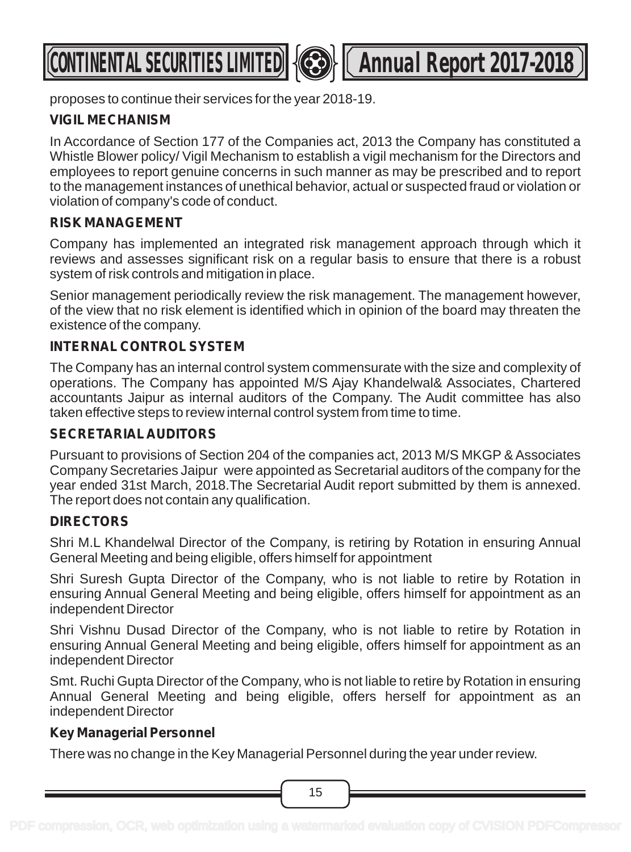proposes to continue their services for the year 2018-19.

#### **VIGIL MECHANISM**

In Accordance of Section 177 of the Companies act, 2013 the Company has constituted a Whistle Blower policy/ Vigil Mechanism to establish a vigil mechanism for the Directors and employees to report genuine concerns in such manner as may be prescribed and to report to the management instances of unethical behavior, actual or suspected fraud or violation or violation of company's code of conduct.

**CONTINENTAL SECURITIES LIMITED <b>Annual Report 2017-2018** 

#### **RISK MANAGEMENT**

Company has implemented an integrated risk management approach through which it reviews and assesses significant risk on a regular basis to ensure that there is a robust system of risk controls and mitigation in place.

Senior management periodically review the risk management. The management however, of the view that no risk element is identified which in opinion of the board may threaten the existence of the company.

#### **INTERNAL CONTROLSYSTEM**

The Company has an internal control system commensurate with the size and complexity of operations. The Company has appointed M/S Ajay Khandelwal& Associates, Chartered accountants Jaipur as internal auditors of the Company. The Audit committee has also taken effective steps to review internal control system from time to time.

#### **SECRETARIALAUDITORS**

Pursuant to provisions of Section 204 of the companies act, 2013 M/S MKGP & Associates Company Secretaries Jaipur were appointed as Secretarial auditors of the company for the year ended 31st March, 2018.The Secretarial Audit report submitted by them is annexed. The report does not contain any qualification.

#### **DIRECTORS**

Shri M.L Khandelwal Director of the Company, is retiring by Rotation in ensuring Annual General Meeting and being eligible, offers himself for appointment

Shri Suresh Gupta Director of the Company, who is not liable to retire by Rotation in ensuring Annual General Meeting and being eligible, offers himself for appointment as an independent Director

Shri Vishnu Dusad Director of the Company, who is not liable to retire by Rotation in ensuring Annual General Meeting and being eligible, offers himself for appointment as an independent Director

Smt. Ruchi Gupta Director of the Company, who is not liable to retire by Rotation in ensuring Annual General Meeting and being eligible, offers herself for appointment as an independent Director

#### **Key Managerial Personnel**

There was no change in the Key Managerial Personnel during the year under review.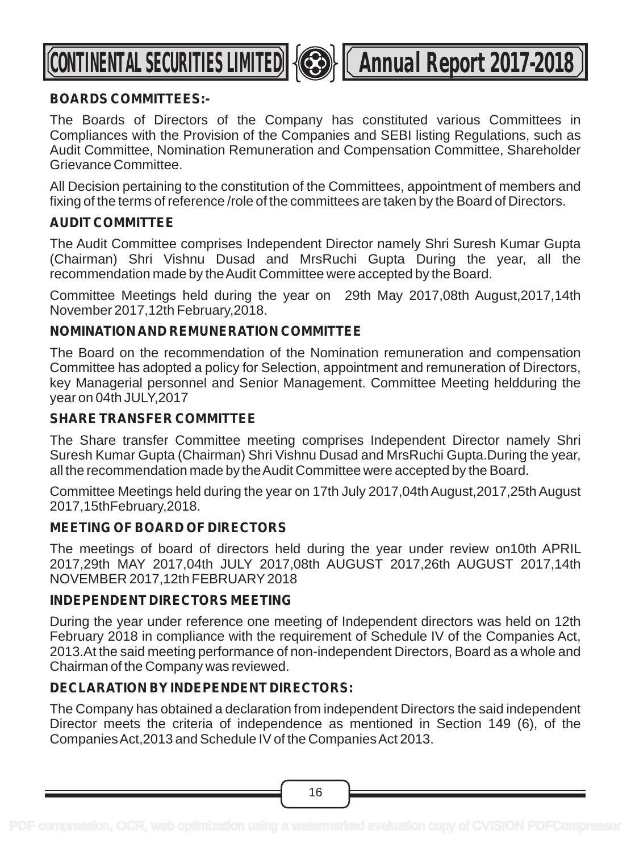



#### **BOARDS COMMITTEES:-**

The Boards of Directors of the Company has constituted various Committees in Compliances with the Provision of the Companies and SEBI listing Regulations, such as Audit Committee, Nomination Remuneration and Compensation Committee, Shareholder Grievance Committee.

All Decision pertaining to the constitution of the Committees, appointment of members and fixing of the terms of reference /role of the committees are taken by the Board of Directors.

#### **AUDIT COMMITTEE**

The Audit Committee comprises Independent Director namely Shri Suresh Kumar Gupta (Chairman) Shri Vishnu Dusad and MrsRuchi Gupta During the year, all the recommendation made by the Audit Committee were accepted by the Board.

Committee Meetings held during the year on 29th May 2017,08th August,2017,14th November 2017,12th February,2018.

#### **NOMINATION AND REMUNERATION COMMITTEE**

The Board on the recommendation of the Nomination remuneration and compensation Committee has adopted a policy for Selection, appointment and remuneration of Directors, key Managerial personnel and Senior Management. Committee Meeting heldduring the year on 04th JULY,2017

#### **SHARE TRANSFER COMMITTEE**

The Share transfer Committee meeting comprises Independent Director namely Shri Suresh Kumar Gupta (Chairman) Shri Vishnu Dusad and MrsRuchi Gupta.During the year, all the recommendation made by the Audit Committee were accepted by the Board.

Committee Meetings held during the year on 17th July 2017,04th August,2017,25th August 2017,15thFebruary,2018.

#### **MEETING OF BOARD OF DIRECTORS**

The meetings of board of directors held during the year under review on10th APRIL 2017,29th MAY 2017,04th JULY 2017,08th AUGUST 2017,26th AUGUST 2017,14th NOVEMBER 2017,12th FEBRUARY2018

#### **INDEPENDENT DIRECTORS MEETING**

During the year under reference one meeting of Independent directors was held on 12th February 2018 in compliance with the requirement of Schedule IV of the Companies Act, 2013.At the said meeting performance of non-independent Directors, Board as a whole and Chairman of the Company was reviewed.

#### **DECLARATION BYINDEPENDENT DIRECTORS:**

The Company has obtained a declaration from independent Directors the said independent Director meets the criteria of independence as mentioned in Section 149 (6), of the Companies Act,2013 and Schedule IV of the Companies Act 2013.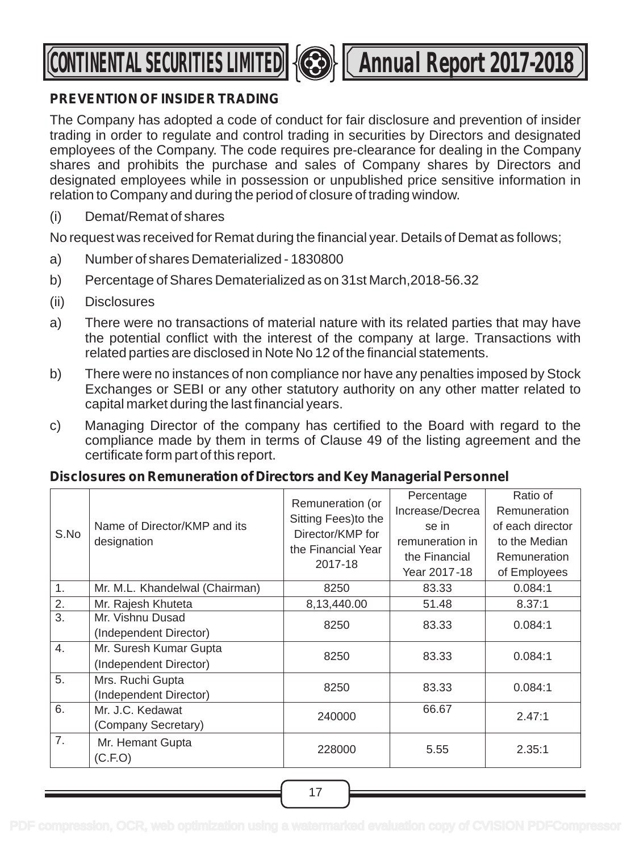

#### **PREVENTION OF INSIDER TRADING**

The Company has adopted a code of conduct for fair disclosure and prevention of insider trading in order to regulate and control trading in securities by Directors and designated employees of the Company. The code requires pre-clearance for dealing in the Company shares and prohibits the purchase and sales of Company shares by Directors and designated employees while in possession or unpublished price sensitive information in relation to Company and during the period of closure of trading window.

(i) Demat/Remat of shares

No request was received for Remat during the financial year. Details of Demat as follows;

- a) Number of shares Dematerialized 1830800
- b) Percentage of Shares Dematerialized as on 31st March,2018-56.32
- (ii) Disclosures
- a) There were no transactions of material nature with its related parties that may have the potential conflict with the interest of the company at large. Transactions with related parties are disclosed in Note No 12 of the financial statements.
- b) There were no instances of non compliance nor have any penalties imposed by Stock Exchanges or SEBI or any other statutory authority on any other matter related to capital market during the last financial years.
- c) Managing Director of the company has certified to the Board with regard to the compliance made by them in terms of Clause 49 of the listing agreement and the certificate form part of this report.

#### **Disclosures on Remuneration of Directors and Key Managerial Personnel**

|                |                                                  | Remuneration (or                                                         | Percentage<br>Increase/Decrea                             | Ratio of<br>Remuneration                                          |  |
|----------------|--------------------------------------------------|--------------------------------------------------------------------------|-----------------------------------------------------------|-------------------------------------------------------------------|--|
| S.No           | Name of Director/KMP and its<br>designation      | Sitting Fees)to the<br>Director/KMP for<br>the Financial Year<br>2017-18 | se in<br>remuneration in<br>the Financial<br>Year 2017-18 | of each director<br>to the Median<br>Remuneration<br>of Employees |  |
| $\mathbf{1}$ . | Mr. M.L. Khandelwal (Chairman)                   | 8250                                                                     | 83.33                                                     | 0.084:1                                                           |  |
| 2.             | Mr. Rajesh Khuteta                               | 8,13,440.00                                                              | 51.48                                                     | 8.37:1                                                            |  |
| 3.             | Mr. Vishnu Dusad                                 | 8250                                                                     | 83.33                                                     | 0.084:1                                                           |  |
|                | (Independent Director)                           |                                                                          |                                                           |                                                                   |  |
| 4.             | Mr. Suresh Kumar Gupta<br>(Independent Director) | 8250                                                                     | 83.33                                                     | 0.084:1                                                           |  |
| 5.             | Mrs. Ruchi Gupta                                 | 8250                                                                     | 83.33                                                     | 0.084:1                                                           |  |
|                | (Independent Director)                           |                                                                          |                                                           |                                                                   |  |
| 6.             | Mr. J.C. Kedawat                                 | 240000                                                                   | 66.67                                                     | 2.47:1                                                            |  |
|                | (Company Secretary)                              |                                                                          |                                                           |                                                                   |  |
| 7 <sub>1</sub> | Mr. Hemant Gupta<br>(C.F.O)                      | 228000                                                                   | 5.55                                                      | 2.35:1                                                            |  |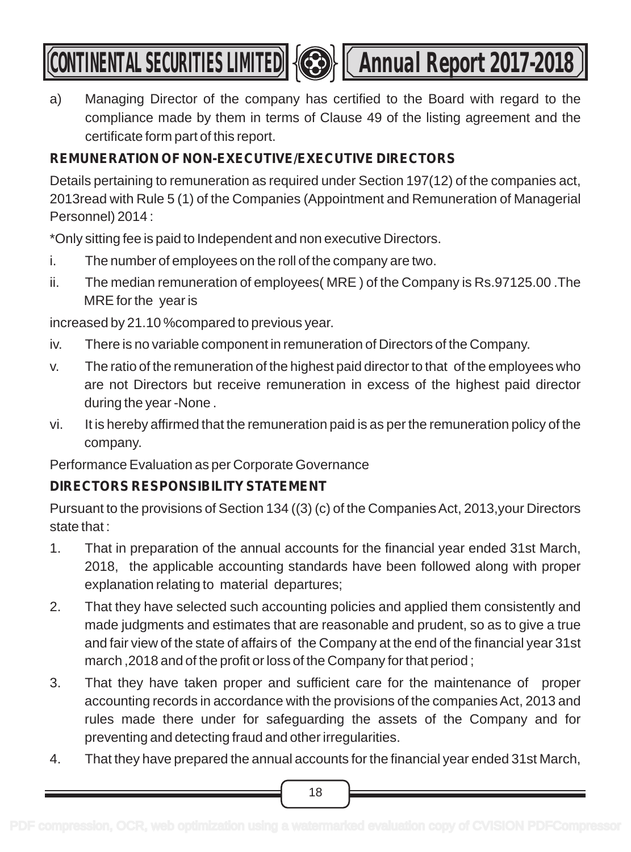a) Managing Director of the company has certified to the Board with regard to the compliance made by them in terms of Clause 49 of the listing agreement and the certificate form part of this report.

**CONTINENTAL SECURITIES LIMITED 43 (CONTINENTAL SECURITIES LIMITED** 

#### **REMUNERATION OF NON-EXECUTIVE/EXECUTIVE DIRECTORS**

Details pertaining to remuneration as required under Section 197(12) of the companies act, 2013read with Rule 5 (1) of the Companies (Appointment and Remuneration of Managerial Personnel) 2014 :

\*Only sitting fee is paid to Independent and non executive Directors.

- i. The number of employees on the roll of the company are two.
- ii. The median remuneration of employees( MRE ) of the Company is Rs.97125.00 .The MRE for the year is

increased by 21.10 %compared to previous year.

- iv. There is no variable component in remuneration of Directors of the Company.
- v. The ratio of the remuneration of the highest paid director to that of the employees who are not Directors but receive remuneration in excess of the highest paid director during the year -None .
- vi. It is hereby affirmed that the remuneration paid is as per the remuneration policy of the company.

Performance Evaluation as per Corporate Governance

#### **DIRECTORS RESPONSIBILITYSTATEMENT**

Pursuant to the provisions of Section 134 ((3) (c) of the Companies Act, 2013,your Directors state that :

- 1. That in preparation of the annual accounts for the financial year ended 31st March, 2018, the applicable accounting standards have been followed along with proper explanation relating to material departures;
- 2. That they have selected such accounting policies and applied them consistently and made judgments and estimates that are reasonable and prudent, so as to give a true and fair view of the state of affairs of the Company at the end of the financial year 31st march ,2018 and of the profit or loss of the Company for that period ;
- 3. That they have taken proper and sufficient care for the maintenance of proper accounting records in accordance with the provisions of the companies Act, 2013 and rules made there under for safeguarding the assets of the Company and for preventing and detecting fraud and other irregularities.
- 4. That they have prepared the annual accounts for the financial year ended 31st March,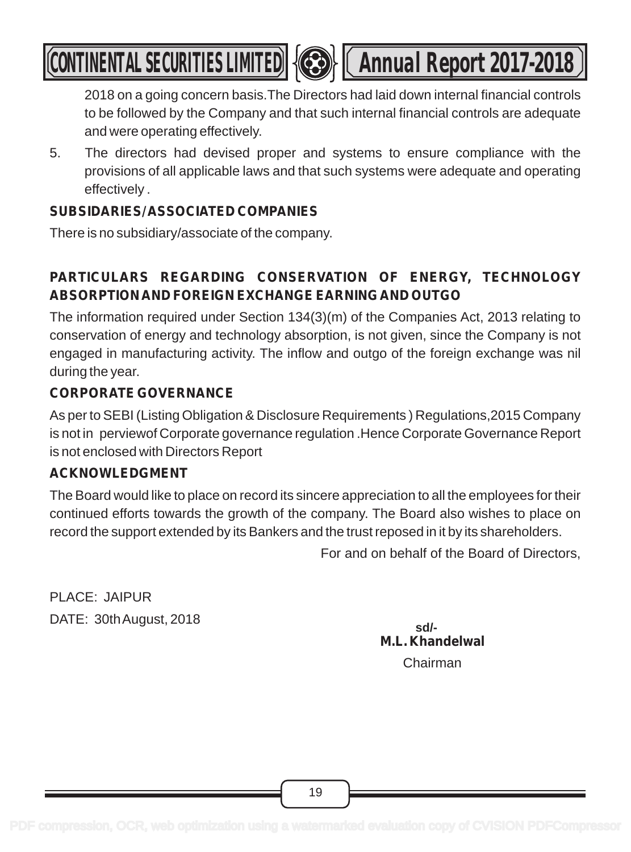2018 on a going concern basis.The Directors had laid down internal financial controls to be followed by the Company and that such internal financial controls are adequate and were operating effectively.

5. The directors had devised proper and systems to ensure compliance with the provisions of all applicable laws and that such systems were adequate and operating effectively .

**CONTINENTAL SECURITIES LIMITED | CO. Annual Report 2017-2018** 

#### **SUBSIDARIES/ ASSOCIATED COMPANIES**

There is no subsidiary/associate of the company.

#### **PARTICULARS REGARDING CONSERVATION OF ENERGY, TECHNOLOGY ABSORPTION AND FOREIGN EXCHANGE EARNING AND OUTGO**

The information required under Section 134(3)(m) of the Companies Act, 2013 relating to conservation of energy and technology absorption, is not given, since the Company is not engaged in manufacturing activity. The inflow and outgo of the foreign exchange was nil during the year.

#### **CORPORATE GOVERNANCE**

As per to SEBI (Listing Obligation & Disclosure Requirements ) Regulations,2015 Company is not in perviewof Corporate governance regulation .Hence Corporate Governance Report is not enclosed with Directors Report

#### **ACKNOWLEDGMENT**

The Board would like to place on record its sincere appreciation to all the employees for their continued efforts towards the growth of the company. The Board also wishes to place on record the support extended by its Bankers and the trust reposed in it by its shareholders.

For and on behalf of the Board of Directors,

PLACE: JAIPUR DATE: 30th August, 2018

**M.L. Khandelwal** Chairman **sd/-**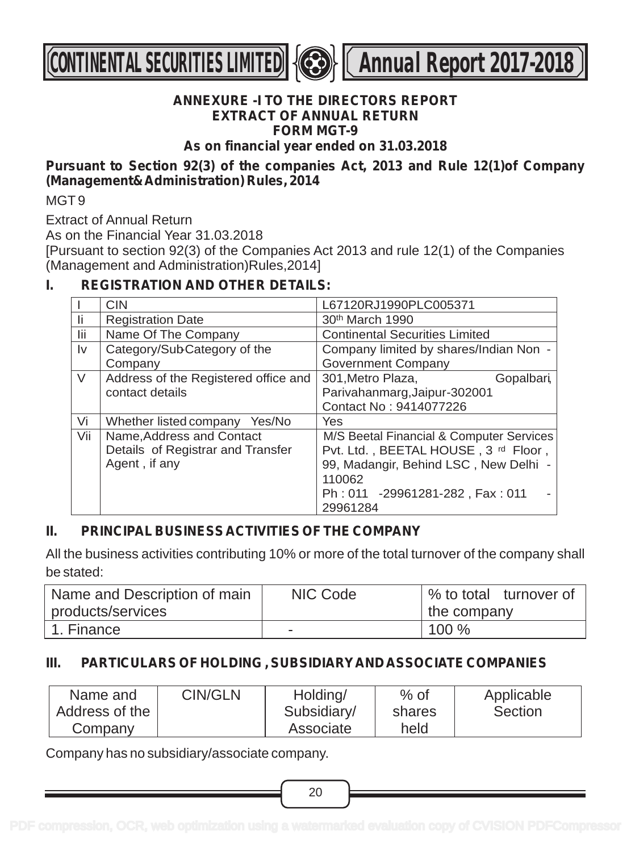



#### **ANNEXURE -I TO THE DIRECTORS REPORT EXTRACT OF ANNUAL RETURN FORM MGT-9**

**As on financial year ended on 31.03.2018**

#### **Pursuant to Section 92(3) of the companies Act, 2013 and Rule 12(1)of Company (Management& Administration) Rules, 2014**

MGT<sub>9</sub>

Extract of Annual Return

As on the Financial Year 31.03.2018

[Pursuant to section 92(3) of the Companies Act 2013 and rule 12(1) of the Companies (Management and Administration)Rules,2014]

#### **I. REGISTRATION AND OTHER DETAILS:**

|                         | <b>CIN</b>                           | L67120RJ1990PLC005371                           |
|-------------------------|--------------------------------------|-------------------------------------------------|
| -li                     | <b>Registration Date</b>             | 30th March 1990                                 |
| -lii                    | Name Of The Company                  | <b>Continental Securities Limited</b>           |
| $\mathsf{I} \mathsf{v}$ | Category/Sub-Category of the         | Company limited by shares/Indian Non -          |
|                         | Company                              | <b>Government Company</b>                       |
| $\vee$                  | Address of the Registered office and | 301, Metro Plaza,<br>Gopalbari,                 |
|                         | contact details                      | Parivahanmarg, Jaipur-302001                    |
|                         |                                      | Contact No: 9414077226                          |
| Vi                      | Whether listed company Yes/No        | Yes                                             |
| Vii                     | Name, Address and Contact            | M/S Beetal Financial & Computer Services        |
|                         | Details of Registrar and Transfer    | Pvt. Ltd., BEETAL HOUSE, 3 <sup>rd</sup> Floor, |
|                         | Agent, if any                        | 99, Madangir, Behind LSC, New Delhi -           |
|                         |                                      | 110062                                          |
|                         |                                      | Ph: 011 -29961281-282, Fax: 011                 |
|                         |                                      | 29961284                                        |

#### **II. PRINCIPAL BUSINESS ACTIVITIES OF THE COMPANY**

All the business activities contributing 10% or more of the total turnover of the company shall be stated:

| Name and Description of main | NIC Code | % to total turnover of |
|------------------------------|----------|------------------------|
| products/services            |          | the company            |
| 1. Finance                   | -        | 100 %                  |

#### **III. PARTICULARS OF HOLDING , SUBSIDIARYAND ASSOCIATE COMPANIES**

| Name and       | CIN/GLN | Holding/    | $%$ of | Applicable |
|----------------|---------|-------------|--------|------------|
| Address of the |         | Subsidiary/ | shares | Section    |
| Company        |         | Associate   | held   |            |

Company has no subsidiary/associate company.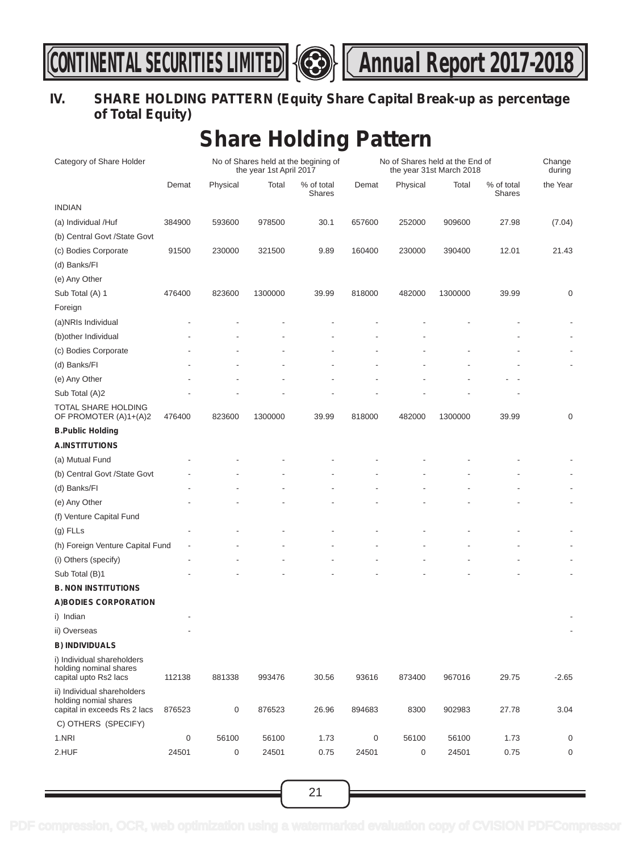#### **IV. SHARE HOLDING PATTERN (Equity Share Capital Break-up as percentage of Total Equity)**

## **Share Holding Pattern**

| Category of Share Holder                                                             |                  |             | No of Shares held at the begining of<br>the year 1st April 2017 |                             |        | No of Shares held at the End of<br>the year 31st March 2018 |         |                      |             |
|--------------------------------------------------------------------------------------|------------------|-------------|-----------------------------------------------------------------|-----------------------------|--------|-------------------------------------------------------------|---------|----------------------|-------------|
|                                                                                      | Demat            | Physical    | Total                                                           | % of total<br><b>Shares</b> | Demat  | Physical                                                    | Total   | % of total<br>Shares | the Year    |
| <b>INDIAN</b>                                                                        |                  |             |                                                                 |                             |        |                                                             |         |                      |             |
| (a) Individual /Huf                                                                  | 384900           | 593600      | 978500                                                          | 30.1                        | 657600 | 252000                                                      | 909600  | 27.98                | (7.04)      |
| (b) Central Govt /State Govt                                                         |                  |             |                                                                 |                             |        |                                                             |         |                      |             |
| (c) Bodies Corporate                                                                 | 91500            | 230000      | 321500                                                          | 9.89                        | 160400 | 230000                                                      | 390400  | 12.01                | 21.43       |
| (d) Banks/FI                                                                         |                  |             |                                                                 |                             |        |                                                             |         |                      |             |
| (e) Any Other                                                                        |                  |             |                                                                 |                             |        |                                                             |         |                      |             |
| Sub Total (A) 1                                                                      | 476400           | 823600      | 1300000                                                         | 39.99                       | 818000 | 482000                                                      | 1300000 | 39.99                | 0           |
| Foreign                                                                              |                  |             |                                                                 |                             |        |                                                             |         |                      |             |
| (a) NRIs Individual                                                                  |                  |             |                                                                 |                             |        |                                                             |         |                      |             |
| (b) other Individual                                                                 |                  |             |                                                                 |                             |        |                                                             |         |                      |             |
| (c) Bodies Corporate                                                                 |                  |             |                                                                 |                             |        |                                                             |         |                      |             |
| (d) Banks/FI                                                                         |                  |             |                                                                 |                             |        |                                                             |         |                      |             |
| (e) Any Other                                                                        |                  |             |                                                                 |                             |        |                                                             |         |                      |             |
| Sub Total (A)2                                                                       |                  |             |                                                                 |                             |        |                                                             |         |                      |             |
| TOTAL SHARE HOLDING<br>OF PROMOTER (A)1+(A)2                                         | 476400           | 823600      | 1300000                                                         | 39.99                       | 818000 | 482000                                                      | 1300000 | 39.99                | 0           |
| <b>B.Public Holding</b>                                                              |                  |             |                                                                 |                             |        |                                                             |         |                      |             |
| <b>A.INSTITUTIONS</b>                                                                |                  |             |                                                                 |                             |        |                                                             |         |                      |             |
| (a) Mutual Fund                                                                      |                  |             |                                                                 |                             |        |                                                             |         |                      |             |
| (b) Central Govt / State Govt                                                        |                  |             |                                                                 |                             |        |                                                             |         |                      |             |
| (d) Banks/FI                                                                         |                  |             |                                                                 |                             |        |                                                             |         |                      |             |
| (e) Any Other                                                                        |                  |             |                                                                 |                             |        |                                                             |         |                      | ÷           |
| (f) Venture Capital Fund                                                             |                  |             |                                                                 |                             |        |                                                             |         |                      |             |
| (g) FLLs                                                                             |                  |             |                                                                 |                             |        |                                                             |         |                      |             |
| (h) Foreign Venture Capital Fund                                                     |                  |             |                                                                 |                             |        |                                                             |         |                      |             |
| (i) Others (specify)                                                                 |                  |             |                                                                 |                             |        |                                                             |         |                      |             |
| Sub Total (B)1                                                                       |                  |             |                                                                 |                             |        |                                                             |         |                      |             |
| <b>B. NON INSTITUTIONS</b>                                                           |                  |             |                                                                 |                             |        |                                                             |         |                      |             |
| A) BODIES CORPORATION                                                                |                  |             |                                                                 |                             |        |                                                             |         |                      |             |
| i) Indian                                                                            |                  |             |                                                                 |                             |        |                                                             |         |                      |             |
| ii) Overseas                                                                         |                  |             |                                                                 |                             |        |                                                             |         |                      |             |
| <b>B) INDIVIDUALS</b>                                                                |                  |             |                                                                 |                             |        |                                                             |         |                      |             |
| i) Individual shareholders<br>holding nominal shares<br>capital upto Rs2 lacs        | 112138           | 881338      | 993476                                                          | 30.56                       | 93616  | 873400                                                      | 967016  | 29.75                | $-2.65$     |
| ii) Individual shareholders<br>holding nomial shares<br>capital in exceeds Rs 2 lacs | 876523           | 0           | 876523                                                          | 26.96                       | 894683 | 8300                                                        | 902983  | 27.78                | 3.04        |
| C) OTHERS (SPECIFY)                                                                  |                  |             |                                                                 |                             |        |                                                             |         |                      |             |
| 1.NRI                                                                                | $\boldsymbol{0}$ | 56100       | 56100                                                           | 1.73                        | 0      | 56100                                                       | 56100   | 1.73                 | $\mathbf 0$ |
| 2.HUF                                                                                | 24501            | $\mathbf 0$ | 24501                                                           | 0.75                        | 24501  | 0                                                           | 24501   | 0.75                 | $\mathbf 0$ |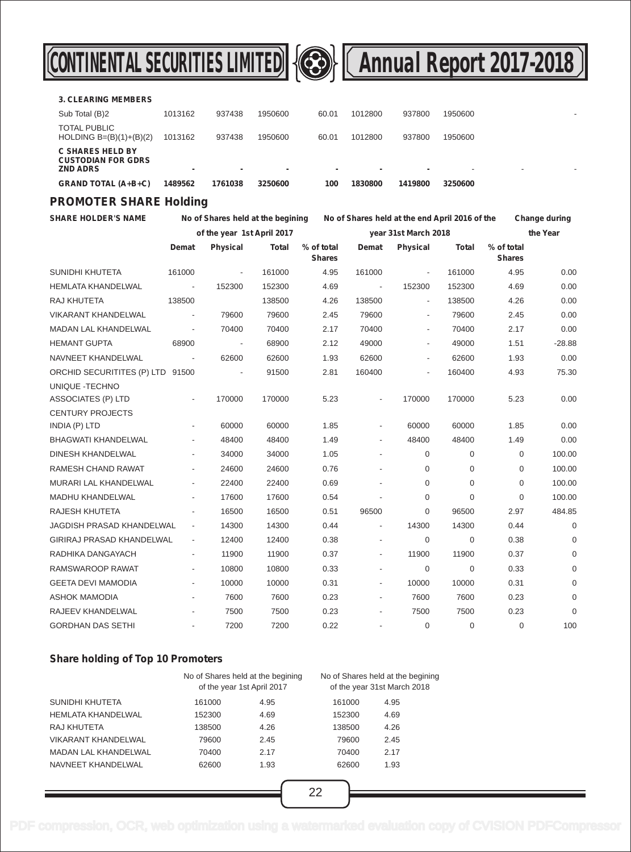



#### **3. CLEARING MEMBERS**

| <b>GRAND TOTAL (A+B+C)</b>                                              | 1489562 | 1761038 | 3250600 | 100   | 1830800 | 1419800 | 3250600 |  |
|-------------------------------------------------------------------------|---------|---------|---------|-------|---------|---------|---------|--|
| <b>C SHARES HELD BY</b><br><b>CUSTODIAN FOR GDRS</b><br><b>ZND ADRS</b> |         |         |         |       |         |         | ۰       |  |
| <b>TOTAL PUBLIC</b><br>HOLDING $B=(B)(1)+(B)(2)$                        | 1013162 | 937438  | 1950600 | 60.01 | 1012800 | 937800  | 1950600 |  |
| Sub Total (B)2                                                          | 1013162 | 937438  | 1950600 | 60.01 | 1012800 | 937800  | 1950600 |  |

#### **PROMOTER SHARE Holding**

| <b>SHARE HOLDER'S NAME</b>       |                          | No of Shares held at the begining |        |                             |                          | No of Shares held at the end April 2016 of the |              |                             | Change during |  |  |
|----------------------------------|--------------------------|-----------------------------------|--------|-----------------------------|--------------------------|------------------------------------------------|--------------|-----------------------------|---------------|--|--|
|                                  |                          | of the year 1st April 2017        |        |                             | year 31st March 2018     |                                                |              |                             | the Year      |  |  |
|                                  | Demat                    | Physical                          | Total  | % of total<br><b>Shares</b> | Demat                    | Physical                                       | <b>Total</b> | % of total<br><b>Shares</b> |               |  |  |
| SUNIDHI KHUTETA                  | 161000                   | $\overline{\phantom{a}}$          | 161000 | 4.95                        | 161000                   | $\overline{\phantom{a}}$                       | 161000       | 4.95                        | 0.00          |  |  |
| <b>HEMLATA KHANDELWAL</b>        | $\overline{\phantom{a}}$ | 152300                            | 152300 | 4.69                        | $\sim$                   | 152300                                         | 152300       | 4.69                        | 0.00          |  |  |
| RAJ KHUTETA                      | 138500                   |                                   | 138500 | 4.26                        | 138500                   | $\overline{\phantom{a}}$                       | 138500       | 4.26                        | 0.00          |  |  |
| <b>VIKARANT KHANDELWAL</b>       | $\overline{\phantom{a}}$ | 79600                             | 79600  | 2.45                        | 79600                    | $\overline{\phantom{a}}$                       | 79600        | 2.45                        | 0.00          |  |  |
| <b>MADAN LAL KHANDELWAL</b>      | $\overline{\phantom{a}}$ | 70400                             | 70400  | 2.17                        | 70400                    | $\overline{\phantom{a}}$                       | 70400        | 2.17                        | 0.00          |  |  |
| <b>HEMANT GUPTA</b>              | 68900                    | $\overline{\phantom{a}}$          | 68900  | 2.12                        | 49000                    | $\overline{\phantom{a}}$                       | 49000        | 1.51                        | $-28.88$      |  |  |
| NAVNEET KHANDELWAL               | $\overline{\phantom{a}}$ | 62600                             | 62600  | 1.93                        | 62600                    | $\overline{\phantom{a}}$                       | 62600        | 1.93                        | 0.00          |  |  |
| ORCHID SECURITITES (P) LTD 91500 |                          | $\overline{\phantom{a}}$          | 91500  | 2.81                        | 160400                   | $\overline{\phantom{a}}$                       | 160400       | 4.93                        | 75.30         |  |  |
| UNIQUE - TECHNO                  |                          |                                   |        |                             |                          |                                                |              |                             |               |  |  |
| <b>ASSOCIATES (P) LTD</b>        | $\overline{\phantom{a}}$ | 170000                            | 170000 | 5.23                        |                          | 170000                                         | 170000       | 5.23                        | 0.00          |  |  |
| <b>CENTURY PROJECTS</b>          |                          |                                   |        |                             |                          |                                                |              |                             |               |  |  |
| INDIA (P) LTD                    | $\overline{\phantom{a}}$ | 60000                             | 60000  | 1.85                        | ٠                        | 60000                                          | 60000        | 1.85                        | 0.00          |  |  |
| <b>BHAGWATI KHANDELWAL</b>       | $\overline{\phantom{a}}$ | 48400                             | 48400  | 1.49                        | $\blacksquare$           | 48400                                          | 48400        | 1.49                        | 0.00          |  |  |
| <b>DINESH KHANDELWAL</b>         | ä,                       | 34000                             | 34000  | 1.05                        |                          | 0                                              | $\mathbf 0$  | $\mathbf 0$                 | 100.00        |  |  |
| <b>RAMESH CHAND RAWAT</b>        | $\overline{\phantom{a}}$ | 24600                             | 24600  | 0.76                        |                          | $\Omega$                                       | $\mathbf 0$  | $\Omega$                    | 100.00        |  |  |
| MURARI LAL KHANDELWAL            | $\overline{\phantom{a}}$ | 22400                             | 22400  | 0.69                        |                          | $\Omega$                                       | $\Omega$     | 0                           | 100.00        |  |  |
| <b>MADHU KHANDELWAL</b>          | $\overline{\phantom{a}}$ | 17600                             | 17600  | 0.54                        |                          | $\Omega$                                       | $\mathbf 0$  | $\mathbf 0$                 | 100.00        |  |  |
| <b>RAJESH KHUTETA</b>            | $\overline{\phantom{a}}$ | 16500                             | 16500  | 0.51                        | 96500                    | $\Omega$                                       | 96500        | 2.97                        | 484.85        |  |  |
| <b>JAGDISH PRASAD KHANDELWAL</b> | $\overline{\phantom{a}}$ | 14300                             | 14300  | 0.44                        | $\overline{\phantom{a}}$ | 14300                                          | 14300        | 0.44                        | $\mathsf 0$   |  |  |
| GIRIRAJ PRASAD KHANDELWAL        | $\overline{\phantom{a}}$ | 12400                             | 12400  | 0.38                        | $\overline{\phantom{a}}$ | 0                                              | $\mathbf 0$  | 0.38                        | 0             |  |  |
| RADHIKA DANGAYACH                | $\overline{\phantom{a}}$ | 11900                             | 11900  | 0.37                        | $\overline{\phantom{a}}$ | 11900                                          | 11900        | 0.37                        | $\mathbf 0$   |  |  |
| RAMSWAROOP RAWAT                 | $\blacksquare$           | 10800                             | 10800  | 0.33                        | $\overline{\phantom{a}}$ | $\mathbf 0$                                    | $\mathbf 0$  | 0.33                        | $\mathbf 0$   |  |  |
| <b>GEETA DEVI MAMODIA</b>        | ä,                       | 10000                             | 10000  | 0.31                        | $\overline{\phantom{a}}$ | 10000                                          | 10000        | 0.31                        | $\mathbf 0$   |  |  |
| <b>ASHOK MAMODIA</b>             | $\blacksquare$           | 7600                              | 7600   | 0.23                        | $\blacksquare$           | 7600                                           | 7600         | 0.23                        | 0             |  |  |
| RAJEEV KHANDELWAL                | $\overline{\phantom{a}}$ | 7500                              | 7500   | 0.23                        | ä,                       | 7500                                           | 7500         | 0.23                        | $\mathbf 0$   |  |  |
| <b>GORDHAN DAS SETHI</b>         |                          | 7200                              | 7200   | 0.22                        |                          | 0                                              | $\mathbf 0$  | $\mathbf 0$                 | 100           |  |  |

#### **Share holding of Top 10 Promoters**

|                            | No of Shares held at the begining<br>of the year 1st April 2017 |      |        | No of Shares held at the begining<br>of the year 31st March 2018 |
|----------------------------|-----------------------------------------------------------------|------|--------|------------------------------------------------------------------|
| SUNIDHI KHUTETA            | 161000                                                          | 4.95 | 161000 | 4.95                                                             |
| <b>HEMLATA KHANDELWAL</b>  | 152300                                                          | 4.69 | 152300 | 4.69                                                             |
| RAJ KHUTETA                | 138500                                                          | 4.26 | 138500 | 4.26                                                             |
| <b>VIKARANT KHANDELWAL</b> | 79600                                                           | 2.45 | 79600  | 2.45                                                             |
| MADAN LAL KHANDELWAL       | 70400                                                           | 2.17 | 70400  | 2.17                                                             |
| NAVNEET KHANDELWAL         | 62600                                                           | 1.93 | 62600  | 1.93                                                             |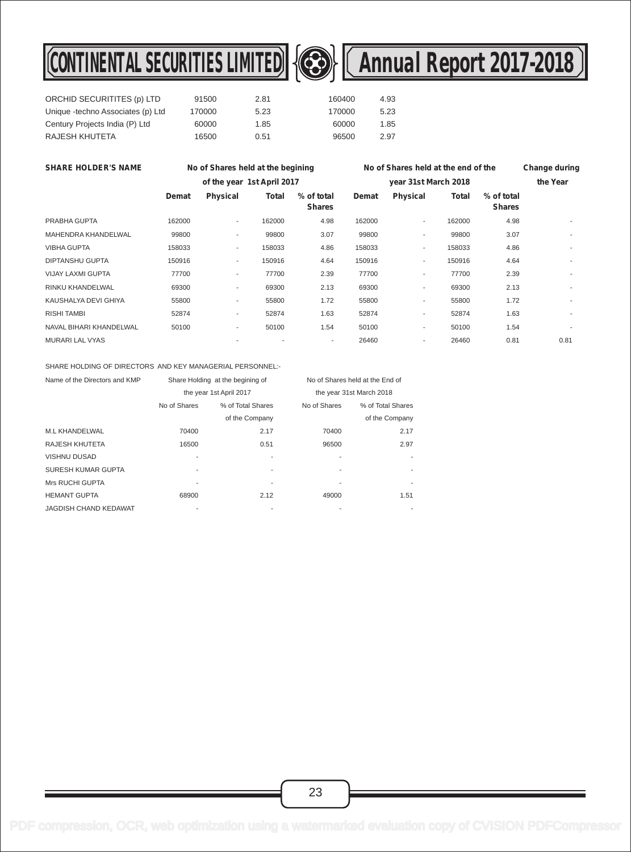# **CONTINENTAL SECURITIES LIMITED**  $\bigotimes$  [Annual Report 2017-2018]



| ORCHID SECURITITES (p) LTD        | 91500  | 2.81 | 160400 | 4.93 |
|-----------------------------------|--------|------|--------|------|
| Unique -techno Associates (p) Ltd | 170000 | 5.23 | 170000 | 5.23 |
| Century Projects India (P) Ltd    | 60000  | 1.85 | 60000  | 1.85 |
| RAJESH KHUTETA                    | 16500  | 0.51 | 96500  | 2.97 |

| <b>SHARE HOLDER'S NAME</b> | No of Shares held at the begining<br>of the year 1st April 2017 |          |        | No of Shares held at the end of the<br>year 31st March 2018 |        |          |        | Change during               |        |
|----------------------------|-----------------------------------------------------------------|----------|--------|-------------------------------------------------------------|--------|----------|--------|-----------------------------|--------|
|                            |                                                                 |          |        |                                                             |        |          |        | the Year                    |        |
|                            | Demat                                                           | Physical | Total  | % of total<br><b>Shares</b>                                 | Demat  | Physical | Total  | % of total<br><b>Shares</b> |        |
| PRABHA GUPTA               | 162000                                                          |          | 162000 | 4.98                                                        | 162000 | ۰        | 162000 | 4.98                        |        |
| MAHENDRA KHANDELWAL        | 99800                                                           | $\sim$   | 99800  | 3.07                                                        | 99800  | ۰        | 99800  | 3.07                        | $\sim$ |
| <b>VIBHA GUPTA</b>         | 158033                                                          |          | 158033 | 4.86                                                        | 158033 | ۰        | 158033 | 4.86                        | ٠      |
| <b>DIPTANSHU GUPTA</b>     | 150916                                                          | $\sim$   | 150916 | 4.64                                                        | 150916 | ٠        | 150916 | 4.64                        |        |
| <b>VIJAY LAXMI GUPTA</b>   | 77700                                                           | ٠        | 77700  | 2.39                                                        | 77700  | ۰        | 77700  | 2.39                        | ٠      |
| RINKU KHANDELWAL           | 69300                                                           |          | 69300  | 2.13                                                        | 69300  | ۰        | 69300  | 2.13                        | $\sim$ |
| KAUSHALYA DEVI GHIYA       | 55800                                                           | ٠        | 55800  | 1.72                                                        | 55800  | ٠        | 55800  | 1.72                        | ٠      |
| <b>RISHI TAMBI</b>         | 52874                                                           | $\sim$   | 52874  | 1.63                                                        | 52874  | ۰        | 52874  | 1.63                        | ٠      |
| NAVAL BIHARI KHANDELWAL    | 50100                                                           | $\sim$   | 50100  | 1.54                                                        | 50100  | ۰        | 50100  | 1.54                        |        |
| <b>MURARI LAL VYAS</b>     |                                                                 |          |        | $\overline{\phantom{a}}$                                    | 26460  | ٠        | 26460  | 0.81                        | 0.81   |

SHARE HOLDING OF DIRECTORS AND KEY MANAGERIAL PERSONNEL:-

| Name of the Directors and KMP |                         | Share Holding at the begining of | No of Shares held at the End of |                          |  |
|-------------------------------|-------------------------|----------------------------------|---------------------------------|--------------------------|--|
|                               | the year 1st April 2017 |                                  |                                 | the year 31st March 2018 |  |
|                               | No of Shares            | % of Total Shares                | No of Shares                    | % of Total Shares        |  |
|                               |                         | of the Company                   |                                 | of the Company           |  |
| M.L KHANDELWAL                | 70400                   | 2.17                             | 70400                           | 2.17                     |  |
| <b>RAJESH KHUTETA</b>         | 16500                   | 0.51                             | 96500                           | 2.97                     |  |
| <b>VISHNU DUSAD</b>           | ٠                       |                                  | ٠                               | ٠                        |  |
| SURESH KUMAR GUPTA            | ٠                       | ٠                                | ٠                               | ٠                        |  |
| <b>Mrs RUCHI GUPTA</b>        | ۰                       | ٠                                | ۰                               | ٠                        |  |
| <b>HEMANT GUPTA</b>           | 68900                   | 2.12                             | 49000                           | 1.51                     |  |
| <b>JAGDISH CHAND KEDAWAT</b>  |                         |                                  |                                 |                          |  |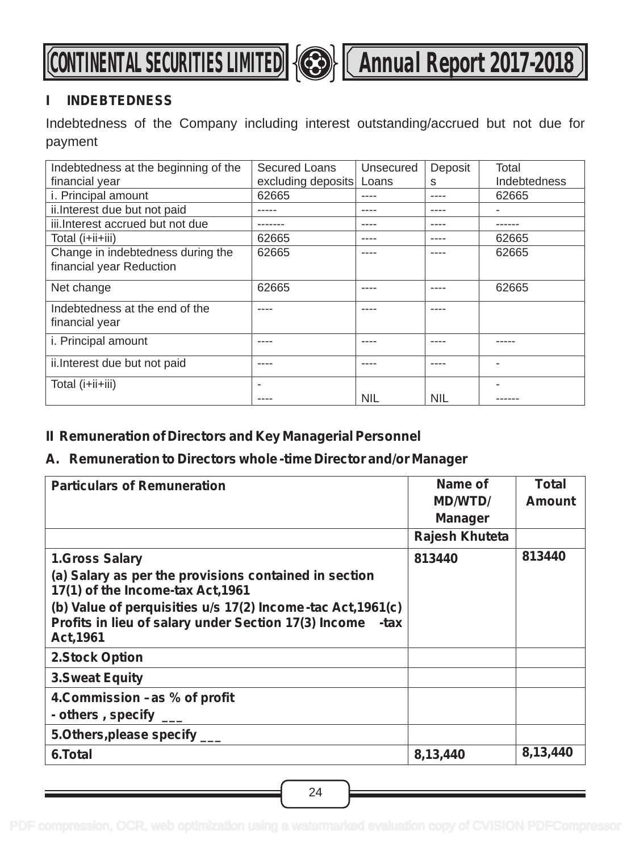#### **I INDEBTEDNESS**

Indebtedness of the Company including interest outstanding/accrued but not due for payment

| Indebtedness at the beginning of the | Secured Loans      | Unsecured  | Deposit    | Total        |
|--------------------------------------|--------------------|------------|------------|--------------|
| financial year                       | excluding deposits | Loans      | S          | Indebtedness |
| i. Principal amount                  | 62665              |            |            | 62665        |
| ii. Interest due but not paid        |                    |            |            |              |
| iii. Interest accrued but not due    |                    |            |            |              |
| Total (i+ii+iii)                     | 62665              |            |            | 62665        |
| Change in indebtedness during the    | 62665              |            |            | 62665        |
| financial year Reduction             |                    |            |            |              |
| Net change                           | 62665              |            |            | 62665        |
| Indebtedness at the end of the       |                    |            |            |              |
| financial year                       |                    |            |            |              |
| i. Principal amount                  |                    |            |            |              |
| ii. Interest due but not paid        |                    |            |            |              |
| Total (i+ii+iii)                     | ۰                  |            |            |              |
|                                      |                    | <b>NIL</b> | <b>NIL</b> |              |

#### **II Remuneration of Directors and Key Managerial Personnel**

#### **A. Remuneration to Directors whole -time Director and/or Manager**

| <b>Particulars of Remuneration</b>                                                                                                    | Name of               | Total         |
|---------------------------------------------------------------------------------------------------------------------------------------|-----------------------|---------------|
|                                                                                                                                       | <b>MD/WTD/</b>        | <b>Amount</b> |
|                                                                                                                                       | <b>Manager</b>        |               |
|                                                                                                                                       | <b>Rajesh Khuteta</b> |               |
| <b>1.Gross Salary</b>                                                                                                                 | 813440                | 813440        |
| (a) Salary as per the provisions contained in section<br>17(1) of the Income-tax Act, 1961                                            |                       |               |
| (b) Value of perquisities u/s 17(2) Income-tac Act, 1961(c)<br>Profits in lieu of salary under Section 17(3) Income -tax<br>Act, 1961 |                       |               |
| 2.Stock Option                                                                                                                        |                       |               |
| <b>3. Sweat Equity</b>                                                                                                                |                       |               |
| 4. Commission -as % of profit                                                                                                         |                       |               |
| - others, specify                                                                                                                     |                       |               |
| 5. Others, please specify                                                                                                             |                       |               |
| 6.Total                                                                                                                               | 8,13,440              | 8,13,440      |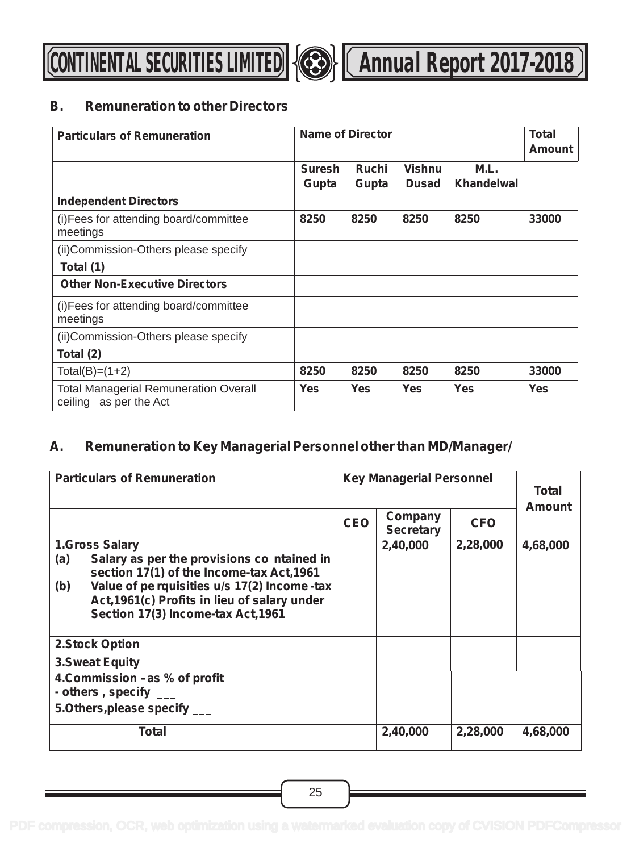



#### **B. Remuneration to other Directors**

| <b>Particulars of Remuneration</b>                                     | Name of Director       |                |                               |                           | <b>Total</b><br><b>Amount</b> |
|------------------------------------------------------------------------|------------------------|----------------|-------------------------------|---------------------------|-------------------------------|
|                                                                        | <b>Suresh</b><br>Gupta | Ruchi<br>Gupta | <b>Vishnu</b><br><b>Dusad</b> | M.L.<br><b>Khandelwal</b> |                               |
| <b>Independent Directors</b>                                           |                        |                |                               |                           |                               |
| (i) Fees for attending board/committee<br>meetings                     | 8250                   | 8250           | 8250                          | 8250                      | 33000                         |
| (ii) Commission-Others please specify                                  |                        |                |                               |                           |                               |
| Total (1)                                                              |                        |                |                               |                           |                               |
| <b>Other Non-Executive Directors</b>                                   |                        |                |                               |                           |                               |
| (i) Fees for attending board/committee<br>meetings                     |                        |                |                               |                           |                               |
| (ii) Commission-Others please specify                                  |                        |                |                               |                           |                               |
| Total (2)                                                              |                        |                |                               |                           |                               |
| $Total(B)=(1+2)$                                                       | 8250                   | 8250           | 8250                          | 8250                      | 33000                         |
| <b>Total Managerial Remuneration Overall</b><br>ceiling as per the Act | <b>Yes</b>             | <b>Yes</b>     | <b>Yes</b>                    | Yes                       | <b>Yes</b>                    |

#### **A. Remuneration to Key Managerial Personnel other than MD/Manager/**

| <b>Particulars of Remuneration</b>                                                                 |            | <b>Key Managerial Personnel</b> |            |               |  |
|----------------------------------------------------------------------------------------------------|------------|---------------------------------|------------|---------------|--|
|                                                                                                    | <b>CEO</b> | Company<br><b>Secretary</b>     | <b>CFO</b> | <b>Amount</b> |  |
| <b>1.Gross Salary</b>                                                                              |            | 2,40,000                        | 2,28,000   | 4,68,000      |  |
| Salary as per the provisions co ntained in<br>(a)<br>section 17(1) of the Income-tax Act, 1961     |            |                                 |            |               |  |
| Value of pe rquisities u/s 17(2) Income-tax<br>(b)<br>Act, 1961(c) Profits in lieu of salary under |            |                                 |            |               |  |
| Section 17(3) Income-tax Act, 1961                                                                 |            |                                 |            |               |  |
| <b>2.Stock Option</b>                                                                              |            |                                 |            |               |  |
| <b>3.Sweat Equity</b>                                                                              |            |                                 |            |               |  |
| 4. Commission –as % of profit                                                                      |            |                                 |            |               |  |
| - others, specify                                                                                  |            |                                 |            |               |  |
| 5.Others, please specify                                                                           |            |                                 |            |               |  |
| <b>Total</b>                                                                                       |            | 2,40,000                        | 2,28,000   | 4,68,000      |  |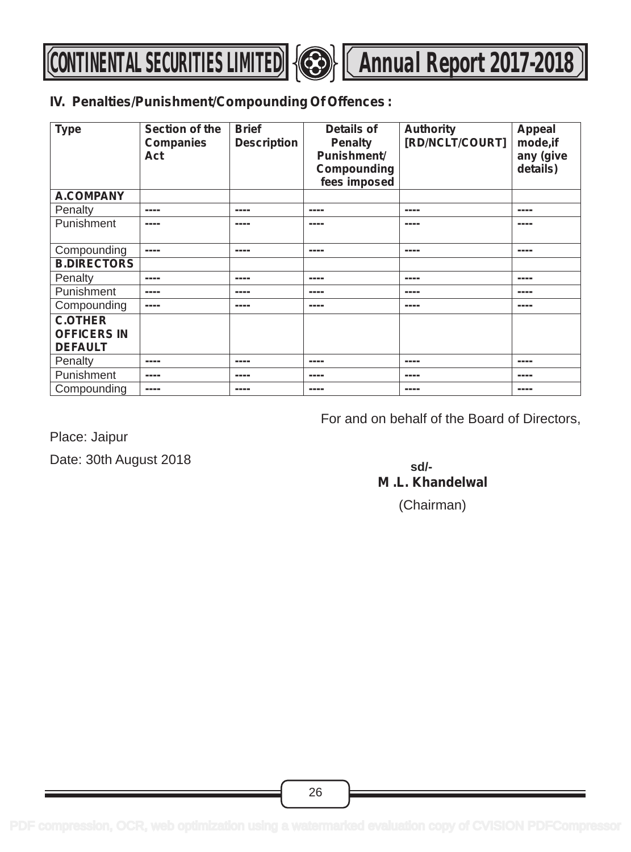

#### **IV. Penalties/Punishment/Compounding Of Offences :**

| <b>Type</b>                                            | Section of the<br><b>Companies</b><br>Act | <b>Brief</b><br><b>Description</b> | Details of<br><b>Penalty</b><br>Punishment/<br>Compounding<br>fees imposed | <b>Authority</b><br>[RD/NCLT/COURT] | <b>Appeal</b><br>mode, if<br>any (give<br>details) |
|--------------------------------------------------------|-------------------------------------------|------------------------------------|----------------------------------------------------------------------------|-------------------------------------|----------------------------------------------------|
| <b>A.COMPANY</b>                                       |                                           |                                    |                                                                            |                                     |                                                    |
| Penalty                                                | ----                                      | ----                               | ----                                                                       | ----                                | ----                                               |
| Punishment                                             | ----                                      | ----                               | ----                                                                       | ----                                | ----                                               |
| Compounding                                            | ----                                      | ----                               | ----                                                                       | ----                                | ----                                               |
| <b>B.DIRECTORS</b>                                     |                                           |                                    |                                                                            |                                     |                                                    |
| Penalty                                                | ----                                      | ----                               | ----                                                                       | ----                                | ----                                               |
| Punishment                                             | ----                                      | ----                               | ----                                                                       | ----                                | ----                                               |
| Compounding                                            | ----                                      | ----                               | ----                                                                       | ----                                | ----                                               |
| <b>C.OTHER</b><br><b>OFFICERS IN</b><br><b>DEFAULT</b> |                                           |                                    |                                                                            |                                     |                                                    |
| Penalty                                                | ----                                      | ----                               | ----                                                                       | ----                                | ----                                               |
| Punishment                                             | ----                                      | ----                               | ----                                                                       | ----                                | ----                                               |
| Compounding                                            | ----                                      | ----                               | ----                                                                       | ----                                | ----                                               |

For and on behalf of the Board of Directors,

Place: Jaipur

Date: 30th August 2018

**M .L. Khandelwal sd/-**

(Chairman)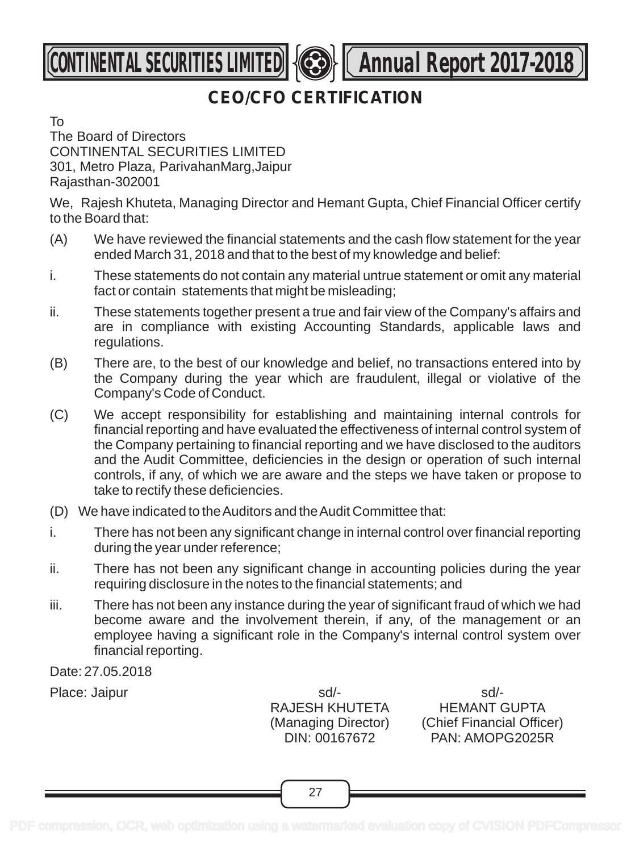### **CEO/CFO CERTIFICATION**

To

The Board of Directors CONTINENTAL SECURITIES LIMITED 301, Metro Plaza, ParivahanMarg,Jaipur Rajasthan-302001

We, Rajesh Khuteta, Managing Director and Hemant Gupta, Chief Financial Officer certify to the Board that:

- (A) We have reviewed the financial statements and the cash flow statement for the year ended March 31, 2018 and that to the best of my knowledge and belief:
- i. These statements do not contain any material untrue statement or omit any material fact or contain statements that might be misleading;
- ii. These statements together present a true and fair view of the Company's affairs and are in compliance with existing Accounting Standards, applicable laws and regulations.
- (B) There are, to the best of our knowledge and belief, no transactions entered into by the Company during the year which are fraudulent, illegal or violative of the Company's Code of Conduct.
- (C) We accept responsibility for establishing and maintaining internal controls for financial reporting and have evaluated the effectiveness of internal control system of the Company pertaining to financial reporting and we have disclosed to the auditors and the Audit Committee, deficiencies in the design or operation of such internal controls, if any, of which we are aware and the steps we have taken or propose to take to rectify these deficiencies.
- (D) We have indicated to the Auditors and the Audit Committee that:
- i. There has not been any significant change in internal control over financial reporting during the year under reference;
- ii. There has not been any significant change in accounting policies during the year requiring disclosure in the notes to the financial statements; and
- iii. There has not been any instance during the year of significant fraud of which we had become aware and the involvement therein, if any, of the management or an employee having a significant role in the Company's internal control system over financial reporting.

Date: 27.05.2018

RAJESH KHUTETA

Place: Jaipur sd/-<br>RAJESH KHUTETA HEMANT GUPTA (Managing Director) (Chief Financial Officer)<br>DIN: 00167672 PAN: AMOPG2025R PAN: AMOPG2025R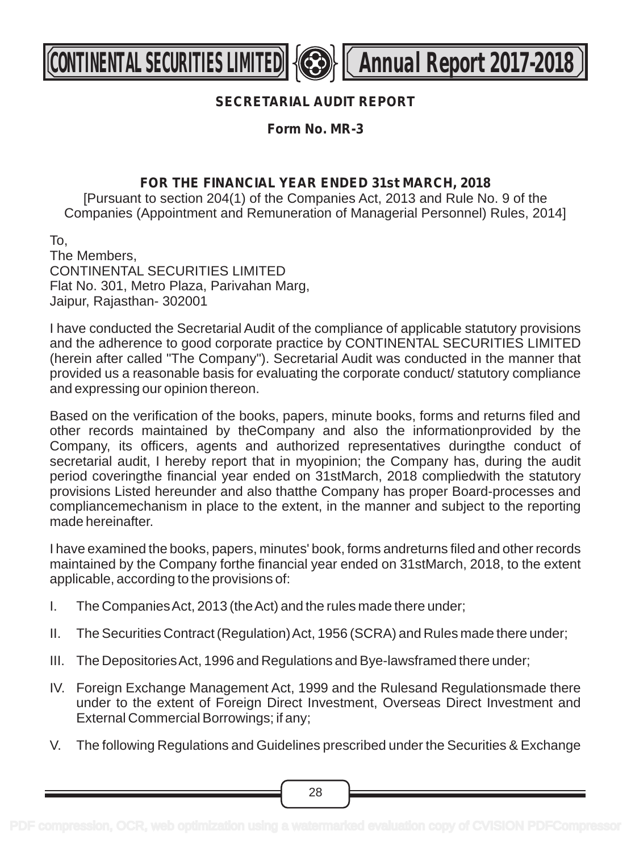#### **SECRETARIAL AUDIT REPORT**

**Form No. MR-3**

#### **FOR THE FINANCIAL YEAR ENDED 31st MARCH, 2018**

[Pursuant to section 204(1) of the Companies Act, 2013 and Rule No. 9 of the Companies (Appointment and Remuneration of Managerial Personnel) Rules, 2014]

To, The Members, CONTINENTAL SECURITIES LIMITED Flat No. 301, Metro Plaza, Parivahan Marg, Jaipur, Rajasthan- 302001

I have conducted the Secretarial Audit of the compliance of applicable statutory provisions and the adherence to good corporate practice by CONTINENTAL SECURITIES LIMITED (herein after called "The Company"). Secretarial Audit was conducted in the manner that provided us a reasonable basis for evaluating the corporate conduct/ statutory compliance and expressing our opinion thereon.

Based on the verification of the books, papers, minute books, forms and returns filed and other records maintained by theCompany and also the informationprovided by the Company, its officers, agents and authorized representatives duringthe conduct of secretarial audit, I hereby report that in myopinion; the Company has, during the audit period coveringthe financial year ended on 31stMarch, 2018 compliedwith the statutory provisions Listed hereunder and also thatthe Company has proper Board-processes and compliancemechanism in place to the extent, in the manner and subject to the reporting made hereinafter.

I have examined the books, papers, minutes' book, forms andreturns filed and other records maintained by the Company forthe financial year ended on 31stMarch, 2018, to the extent applicable, according to the provisions of:

- I. The Companies Act, 2013 (the Act) and the rules made there under;
- II. The Securities Contract (Regulation) Act, 1956 (SCRA) and Rules made there under;
- III. The Depositories Act, 1996 and Regulations and Bye-lawsframed there under;
- IV. Foreign Exchange Management Act, 1999 and the Rulesand Regulationsmade there under to the extent of Foreign Direct Investment, Overseas Direct Investment and External Commercial Borrowings; if any;
- V. The following Regulations and Guidelines prescribed under the Securities & Exchange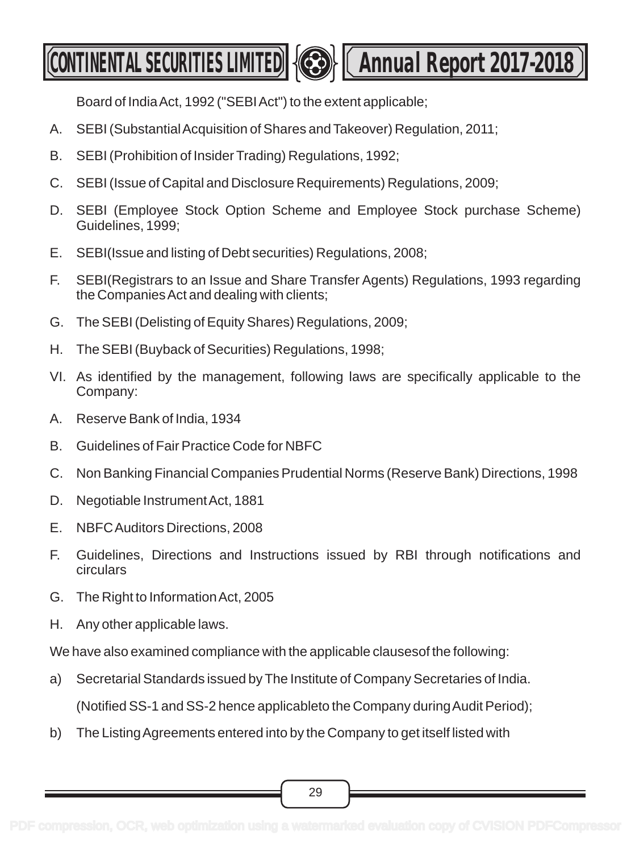Board of India Act, 1992 ("SEBI Act") to the extent applicable;

- A. SEBI (Substantial Acquisition of Shares and Takeover) Regulation, 2011;
- B. SEBI (Prohibition of Insider Trading) Regulations, 1992;
- C. SEBI (Issue of Capital and Disclosure Requirements) Regulations, 2009;
- D. SEBI (Employee Stock Option Scheme and Employee Stock purchase Scheme) Guidelines, 1999;
- E. SEBI(Issue and listing of Debt securities) Regulations, 2008;
- F. SEBI(Registrars to an Issue and Share Transfer Agents) Regulations, 1993 regarding the Companies Act and dealing with clients;
- G. The SEBI (Delisting of Equity Shares) Regulations, 2009;
- H. The SEBI (Buyback of Securities) Regulations, 1998;
- VI. As identified by the management, following laws are specifically applicable to the Company:
- A. Reserve Bank of India, 1934
- B. Guidelines of Fair Practice Code for NBFC
- C. Non Banking Financial Companies Prudential Norms (Reserve Bank) Directions, 1998
- D. Negotiable Instrument Act, 1881
- E. NBFC Auditors Directions, 2008
- F. Guidelines, Directions and Instructions issued by RBI through notifications and circulars
- G. The Right to Information Act, 2005
- H. Any other applicable laws.
- We have also examined compliance with the applicable clausesof the following:
- a) Secretarial Standards issued by The Institute of Company Secretaries of India. (Notified SS-1 and SS-2 hence applicableto the Company during Audit Period);
- b) The Listing Agreements entered into by the Company to get itself listed with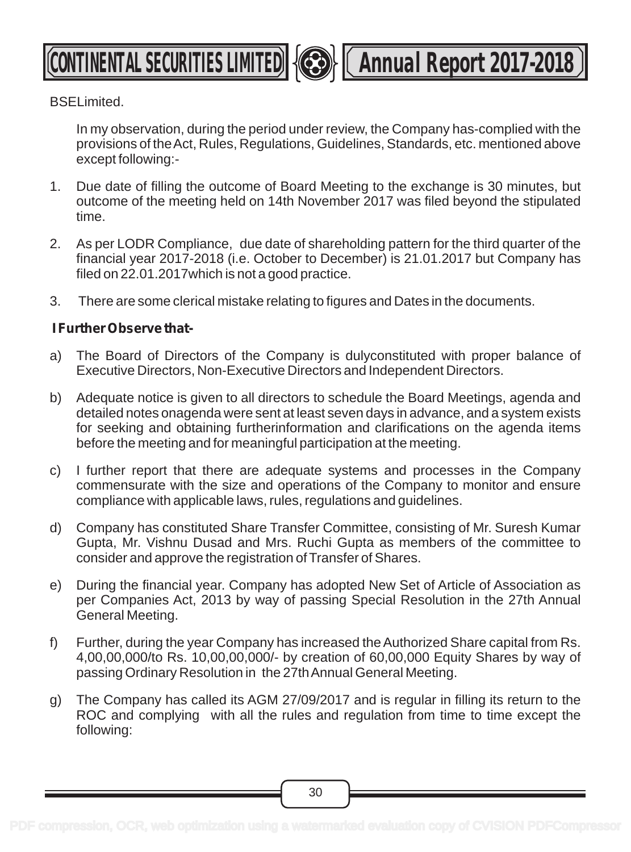#### BSELimited.

In my observation, during the period under review, the Company has-complied with the provisions of the Act, Rules, Regulations, Guidelines, Standards, etc. mentioned above except following:-

- 1. Due date of filling the outcome of Board Meeting to the exchange is 30 minutes, but outcome of the meeting held on 14th November 2017 was filed beyond the stipulated time.
- 2. As per LODR Compliance, due date of shareholding pattern for the third quarter of the financial year 2017-2018 (i.e. October to December) is 21.01.2017 but Company has filed on 22.01.2017which is not a good practice.
- 3. There are some clerical mistake relating to figures and Dates in the documents.

#### **I Further Observe that-**

- a) The Board of Directors of the Company is dulyconstituted with proper balance of Executive Directors, Non-Executive Directors and Independent Directors.
- b) Adequate notice is given to all directors to schedule the Board Meetings, agenda and detailed notes onagenda were sent at least seven days in advance, and a system exists for seeking and obtaining furtherinformation and clarifications on the agenda items before the meeting and for meaningful participation at the meeting.
- c) I further report that there are adequate systems and processes in the Company commensurate with the size and operations of the Company to monitor and ensure compliance with applicable laws, rules, regulations and guidelines.
- d) Company has constituted Share Transfer Committee, consisting of Mr. Suresh Kumar Gupta, Mr. Vishnu Dusad and Mrs. Ruchi Gupta as members of the committee to consider and approve the registration of Transfer of Shares.
- e) During the financial year. Company has adopted New Set of Article of Association as per Companies Act, 2013 by way of passing Special Resolution in the 27th Annual General Meeting.
- f) Further, during the year Company has increased the Authorized Share capital from Rs. 4,00,00,000/to Rs. 10,00,00,000/- by creation of 60,00,000 Equity Shares by way of passing Ordinary Resolution in the 27th Annual General Meeting.
- g) The Company has called its AGM 27/09/2017 and is regular in filling its return to the ROC and complying with all the rules and regulation from time to time except the following: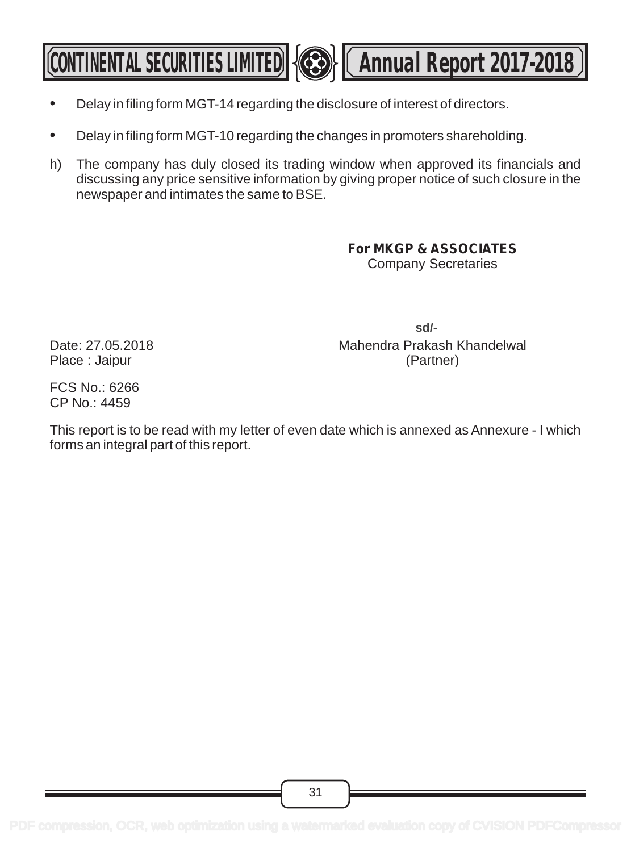#### • Delay in filing form MGT-14 regarding the disclosure of interest of directors.

- Delay in filing form MGT-10 regarding the changes in promoters shareholding.
- h) The company has duly closed its trading window when approved its financials and discussing any price sensitive information by giving proper notice of such closure in the newspaper and intimates the same to BSE.

**CONTINENTAL SECURITIES LIMITED 43 (CONTINENTAL SECURITIES LIMITED** 

**For MKGP & ASSOCIATES**

Company Secretaries

Date: 27.05.2018 Mahendra Prakash Khandelwal Place : Jaipur (Partner) **sd/-**

FCS No.: 6266 CP No.: 4459

This report is to be read with my letter of even date which is annexed as Annexure - I which forms an integral part of this report.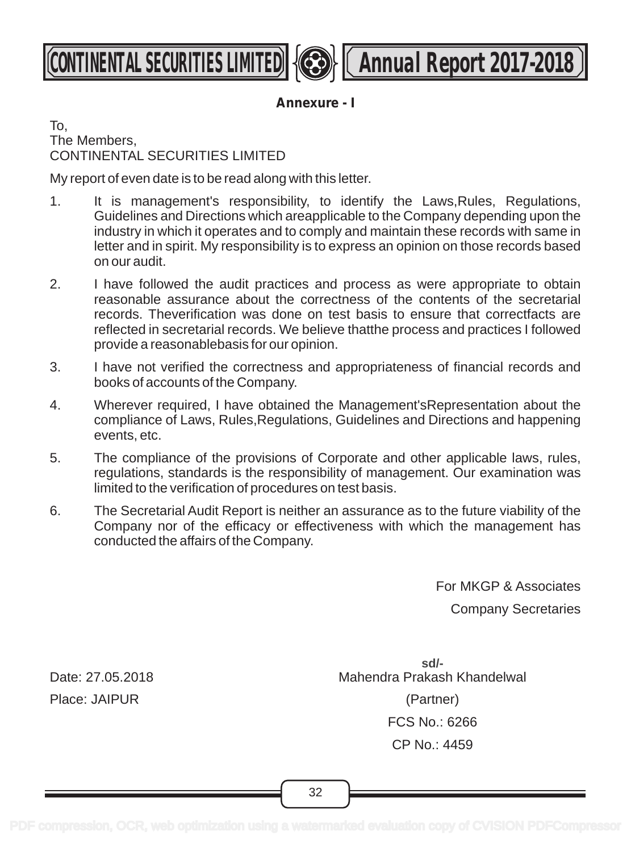

**Annexure - I**

To, The Members, CONTINENTAL SECURITIES LIMITED

My report of even date is to be read along with this letter.

- 1. It is management's responsibility, to identify the Laws,Rules, Regulations, Guidelines and Directions which areapplicable to the Company depending upon the industry in which it operates and to comply and maintain these records with same in letter and in spirit. My responsibility is to express an opinion on those records based on our audit.
- 2. I have followed the audit practices and process as were appropriate to obtain reasonable assurance about the correctness of the contents of the secretarial records. Theverification was done on test basis to ensure that correctfacts are reflected in secretarial records. We believe thatthe process and practices I followed provide a reasonablebasis for our opinion.
- 3. I have not verified the correctness and appropriateness of financial records and books of accounts of the Company.
- 4. Wherever required, I have obtained the Management'sRepresentation about the compliance of Laws, Rules,Regulations, Guidelines and Directions and happening events, etc.
- 5. The compliance of the provisions of Corporate and other applicable laws, rules, regulations, standards is the responsibility of management. Our examination was limited to the verification of procedures on test basis.
- 6. The Secretarial Audit Report is neither an assurance as to the future viability of the Company nor of the efficacy or effectiveness with which the management has conducted the affairs of the Company.

For MKGP & Associates Company Secretaries

Date: 27.05.2018 Mahendra Prakash Khandelwal Place: JAIPUR (Partner)  $FC.S N<sub>0</sub> \cdot 6266$ CP No.: 4459 **sd/-**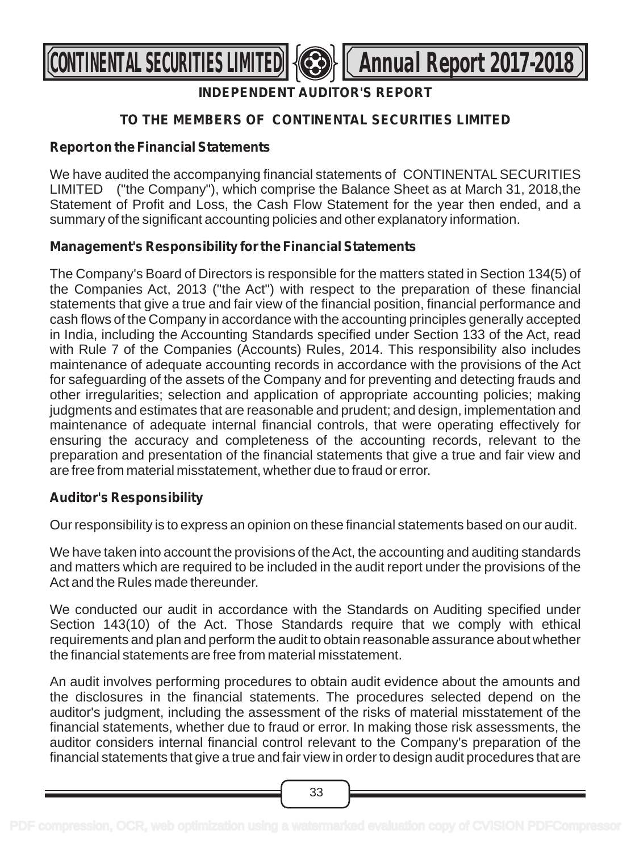

**INDEPENDENT AUDITOR'S REPORT**

#### **TO THE MEMBERS OF CONTINENTAL SECURITIES LIMITED**

#### **Report on the Financial Statements**

We have audited the accompanying financial statements of CONTINENTAL SECURITIES LIMITED ("the Company"), which comprise the Balance Sheet as at March 31, 2018,the Statement of Profit and Loss, the Cash Flow Statement for the year then ended, and a summary of the significant accounting policies and other explanatory information.

#### **Management's Responsibility for the Financial Statements**

The Company's Board of Directors is responsible for the matters stated in Section 134(5) of the Companies Act, 2013 ("the Act") with respect to the preparation of these financial statements that give a true and fair view of the financial position, financial performance and cash flows of the Company in accordance with the accounting principles generally accepted in India, including the Accounting Standards specified under Section 133 of the Act, read with Rule 7 of the Companies (Accounts) Rules, 2014. This responsibility also includes maintenance of adequate accounting records in accordance with the provisions of the Act for safeguarding of the assets of the Company and for preventing and detecting frauds and other irregularities; selection and application of appropriate accounting policies; making judgments and estimates that are reasonable and prudent; and design, implementation and maintenance of adequate internal financial controls, that were operating effectively for ensuring the accuracy and completeness of the accounting records, relevant to the preparation and presentation of the financial statements that give a true and fair view and are free from material misstatement, whether due to fraud or error.

#### **Auditor's Responsibility**

Our responsibility is to express an opinion on these financial statements based on our audit.

We have taken into account the provisions of the Act, the accounting and auditing standards and matters which are required to be included in the audit report under the provisions of the Act and the Rules made thereunder.

We conducted our audit in accordance with the Standards on Auditing specified under Section 143(10) of the Act. Those Standards require that we comply with ethical requirements and plan and perform the audit to obtain reasonable assurance about whether the financial statements are free from material misstatement.

An audit involves performing procedures to obtain audit evidence about the amounts and the disclosures in the financial statements. The procedures selected depend on the auditor's judgment, including the assessment of the risks of material misstatement of the financial statements, whether due to fraud or error. In making those risk assessments, the auditor considers internal financial control relevant to the Company's preparation of the financial statements that give a true and fair view in order to design audit procedures that are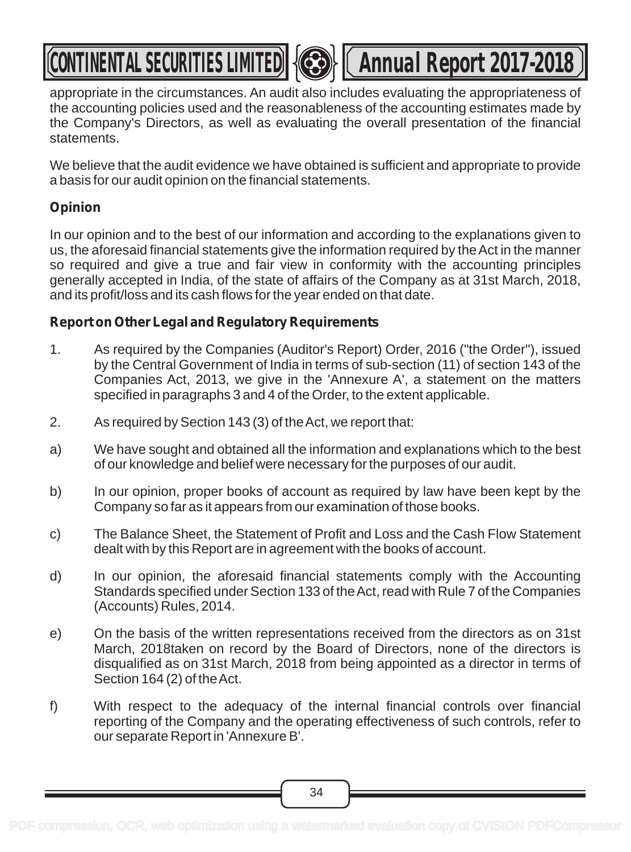appropriate in the circumstances. An audit also includes evaluating the appropriateness of the accounting policies used and the reasonableness of the accounting estimates made by the Company's Directors, as well as evaluating the overall presentation of the financial statements.

**CONTINENTAL SECURITIES LIMITED | <b>CO** (Annual Report 2017-2018

We believe that the audit evidence we have obtained is sufficient and appropriate to provide a basis for our audit opinion on the financial statements.

#### **Opinion**

In our opinion and to the best of our information and according to the explanations given to us, the aforesaid financial statements give the information required by the Act in the manner so required and give a true and fair view in conformity with the accounting principles generally accepted in India, of the state of affairs of the Company as at 31st March, 2018, and its profit/loss and its cash flows for the year ended on that date.

#### **Report on Other Legal and Regulatory Requirements**

- 1. As required by the Companies (Auditor's Report) Order, 2016 ("the Order"), issued by the Central Government of India in terms of sub-section (11) of section 143 of the Companies Act, 2013, we give in the 'Annexure A', a statement on the matters specified in paragraphs 3 and 4 of the Order, to the extent applicable.
- 2. As required by Section 143 (3) of the Act, we report that:
- a) We have sought and obtained all the information and explanations which to the best of our knowledge and belief were necessary for the purposes of our audit.
- b) In our opinion, proper books of account as required by law have been kept by the Company so far as it appears from our examination of those books.
- c) The Balance Sheet, the Statement of Profit and Loss and the Cash Flow Statement dealt with by this Report are in agreement with the books of account.
- d) In our opinion, the aforesaid financial statements comply with the Accounting Standards specified under Section 133 of the Act, read with Rule 7 of the Companies (Accounts) Rules, 2014.
- e) On the basis of the written representations received from the directors as on 31st March, 2018taken on record by the Board of Directors, none of the directors is disqualified as on 31st March, 2018 from being appointed as a director in terms of Section 164 (2) of the Act.
- f) With respect to the adequacy of the internal financial controls over financial reporting of the Company and the operating effectiveness of such controls, refer to our separate Report in 'Annexure B'.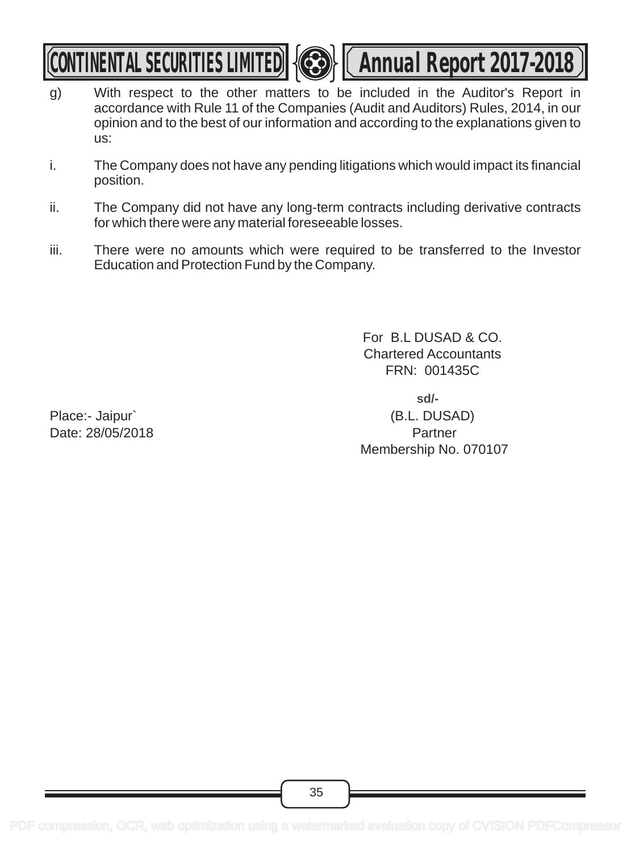

- g) With respect to the other matters to be included in the Auditor's Report in accordance with Rule 11 of the Companies (Audit and Auditors) Rules, 2014, in our opinion and to the best of our information and according to the explanations given to us:
- i. The Company does not have any pending litigations which would impact its financial position.
- ii. The Company did not have any long-term contracts including derivative contracts for which there were any material foreseeable losses.
- iii. There were no amounts which were required to be transferred to the Investor Education and Protection Fund by the Company.

For B.L DUSAD & CO. Chartered Accountants FRN: 001435C

Date: 28/05/2018 **Partner** 

Place:- Jaipur` (B.L. DUSAD) Membership No. 070107 **sd/-**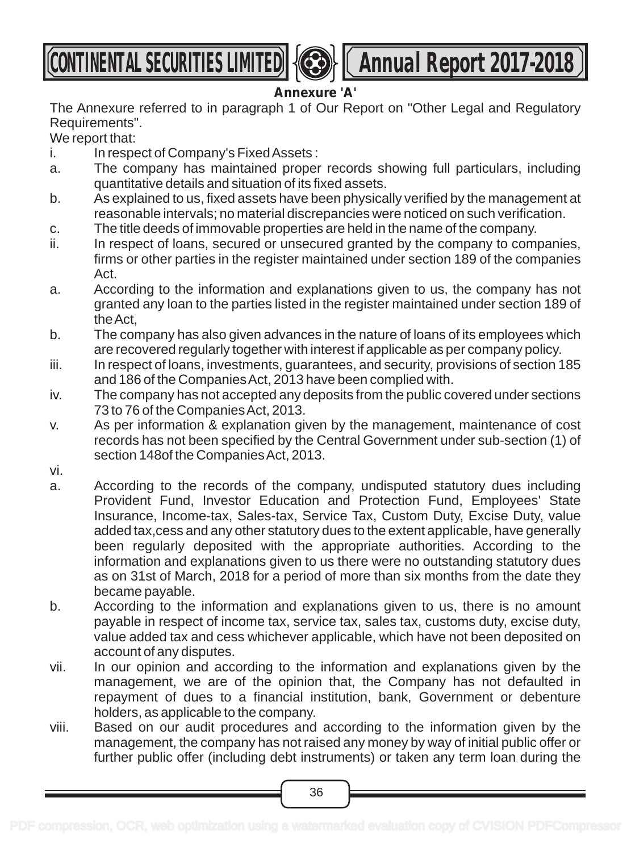



#### **Annexure 'A'**

The Annexure referred to in paragraph 1 of Our Report on "Other Legal and Regulatory Requirements".

#### We report that:

- i. In respect of Company's Fixed Assets:
- a. The company has maintained proper records showing full particulars, including quantitative details and situation of its fixed assets.
- b. As explained to us, fixed assets have been physically verified by the management at reasonable intervals; no material discrepancies were noticed on such verification.
- c. The title deeds of immovable properties are held in the name of the company.
- ii. In respect of loans, secured or unsecured granted by the company to companies, firms or other parties in the register maintained under section 189 of the companies Act.
- a. According to the information and explanations given to us, the company has not granted any loan to the parties listed in the register maintained under section 189 of the Act,
- b. The company has also given advances in the nature of loans of its employees which are recovered regularly together with interest if applicable as per company policy.
- iii. In respect of loans, investments, guarantees, and security, provisions of section 185 and 186 of the Companies Act, 2013 have been complied with.
- iv. The company has not accepted any deposits from the public covered under sections 73 to 76 of the Companies Act, 2013.
- v. As per information & explanation given by the management, maintenance of cost records has not been specified by the Central Government under sub-section (1) of section 148of the Companies Act, 2013.
- vi.
- a. According to the records of the company, undisputed statutory dues including Provident Fund, Investor Education and Protection Fund, Employees' State Insurance, Income-tax, Sales-tax, Service Tax, Custom Duty, Excise Duty, value added tax,cess and any other statutory dues to the extent applicable, have generally been regularly deposited with the appropriate authorities. According to the information and explanations given to us there were no outstanding statutory dues as on 31st of March, 2018 for a period of more than six months from the date they became payable.
- b. According to the information and explanations given to us, there is no amount payable in respect of income tax, service tax, sales tax, customs duty, excise duty, value added tax and cess whichever applicable, which have not been deposited on account of any disputes.
- vii. In our opinion and according to the information and explanations given by the management, we are of the opinion that, the Company has not defaulted in repayment of dues to a financial institution, bank, Government or debenture holders, as applicable to the company.
- viii. Based on our audit procedures and according to the information given by the management, the company has not raised any money by way of initial public offer or further public offer (including debt instruments) or taken any term loan during the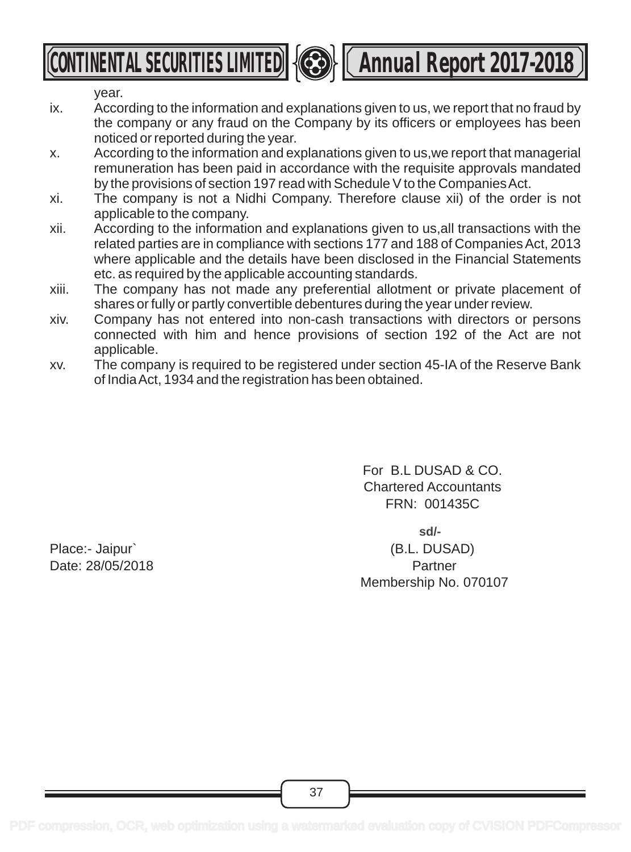

year.

- ix. According to the information and explanations given to us, we report that no fraud by the company or any fraud on the Company by its officers or employees has been noticed or reported during the year.
- x. According to the information and explanations given to us,we report that managerial remuneration has been paid in accordance with the requisite approvals mandated by the provisions of section 197 read with Schedule V to the Companies Act.
- xi. The company is not a Nidhi Company. Therefore clause xii) of the order is not applicable to the company.
- xii. According to the information and explanations given to us,all transactions with the related parties are in compliance with sections 177 and 188 of Companies Act, 2013 where applicable and the details have been disclosed in the Financial Statements etc. as required by the applicable accounting standards.
- xiii. The company has not made any preferential allotment or private placement of shares or fully or partly convertible debentures during the year under review.
- xiv. Company has not entered into non-cash transactions with directors or persons connected with him and hence provisions of section 192 of the Act are not applicable.
- xv. The company is required to be registered under section 45-IA of the Reserve Bank of India Act, 1934 and the registration has been obtained.

For B.L DUSAD & CO. Chartered Accountants FRN: 001435C

**sd/-**

Place:- Jaipur` (B.L. DUSAD) Membership No. 070107

Date: 28/05/2018 **Partner**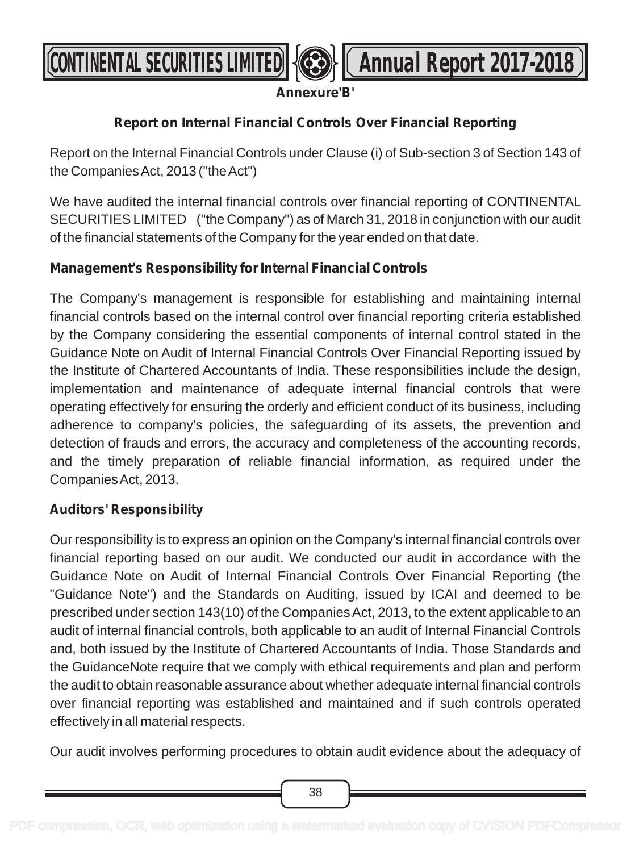

**Annexure'B'**

#### **Report on Internal Financial Controls Over Financial Reporting**

Report on the Internal Financial Controls under Clause (i) of Sub-section 3 of Section 143 of the Companies Act, 2013 ("the Act")

We have audited the internal financial controls over financial reporting of CONTINENTAL SECURITIES LIMITED ("the Company") as of March 31, 2018 in conjunction with our audit of the financial statements of the Company for the year ended on that date.

#### **Management's Responsibility for Internal Financial Controls**

The Company's management is responsible for establishing and maintaining internal financial controls based on the internal control over financial reporting criteria established by the Company considering the essential components of internal control stated in the Guidance Note on Audit of Internal Financial Controls Over Financial Reporting issued by the Institute of Chartered Accountants of India. These responsibilities include the design, implementation and maintenance of adequate internal financial controls that were operating effectively for ensuring the orderly and efficient conduct of its business, including adherence to company's policies, the safeguarding of its assets, the prevention and detection of frauds and errors, the accuracy and completeness of the accounting records, and the timely preparation of reliable financial information, as required under the Companies Act, 2013.

#### **Auditors' Responsibility**

Our responsibility is to express an opinion on the Company's internal financial controls over financial reporting based on our audit. We conducted our audit in accordance with the Guidance Note on Audit of Internal Financial Controls Over Financial Reporting (the "Guidance Note") and the Standards on Auditing, issued by ICAI and deemed to be prescribed under section 143(10) of the Companies Act, 2013, to the extent applicable to an audit of internal financial controls, both applicable to an audit of Internal Financial Controls and, both issued by the Institute of Chartered Accountants of India. Those Standards and the GuidanceNote require that we comply with ethical requirements and plan and perform the audit to obtain reasonable assurance about whether adequate internal financial controls over financial reporting was established and maintained and if such controls operated effectively in all material respects.

Our audit involves performing procedures to obtain audit evidence about the adequacy of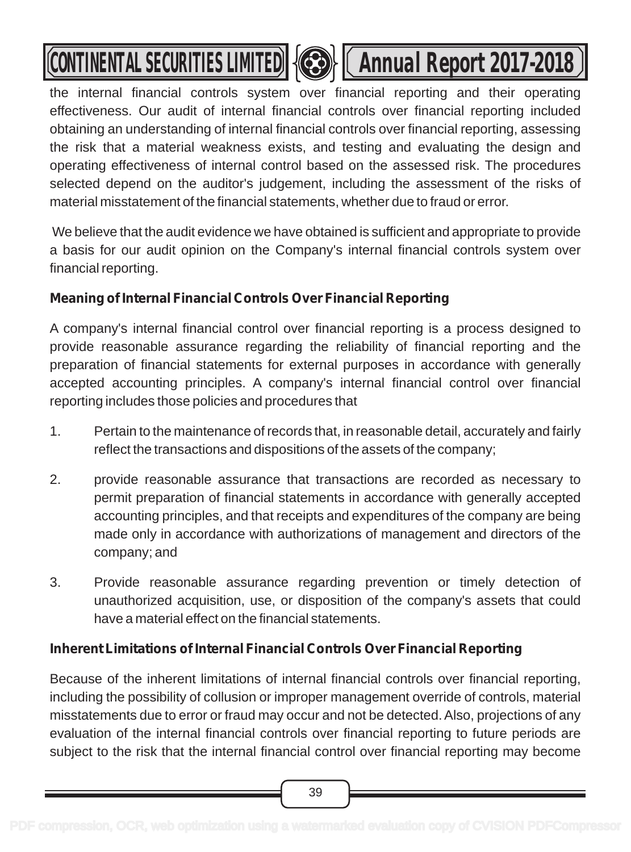# **CONTINENTAL SECURITIES LIMITED**  $\{ \circledS \}$  (Annual Report 2017-2018)



the internal financial controls system over financial reporting and their operating effectiveness. Our audit of internal financial controls over financial reporting included obtaining an understanding of internal financial controls over financial reporting, assessing the risk that a material weakness exists, and testing and evaluating the design and operating effectiveness of internal control based on the assessed risk. The procedures selected depend on the auditor's judgement, including the assessment of the risks of material misstatement of the financial statements, whether due to fraud or error.

We believe that the audit evidence we have obtained is sufficient and appropriate to provide a basis for our audit opinion on the Company's internal financial controls system over financial reporting.

#### **Meaning of Internal Financial Controls Over Financial Reporting**

A company's internal financial control over financial reporting is a process designed to provide reasonable assurance regarding the reliability of financial reporting and the preparation of financial statements for external purposes in accordance with generally accepted accounting principles. A company's internal financial control over financial reporting includes those policies and procedures that

- 1. Pertain to the maintenance of records that, in reasonable detail, accurately and fairly reflect the transactions and dispositions of the assets of the company;
- 2. provide reasonable assurance that transactions are recorded as necessary to permit preparation of financial statements in accordance with generally accepted accounting principles, and that receipts and expenditures of the company are being made only in accordance with authorizations of management and directors of the company; and
- 3. Provide reasonable assurance regarding prevention or timely detection of unauthorized acquisition, use, or disposition of the company's assets that could have a material effect on the financial statements.

#### **Inherent Limitations of Internal Financial Controls Over Financial Reporting**

Because of the inherent limitations of internal financial controls over financial reporting, including the possibility of collusion or improper management override of controls, material misstatements due to error or fraud may occur and not be detected. Also, projections of any evaluation of the internal financial controls over financial reporting to future periods are subject to the risk that the internal financial control over financial reporting may become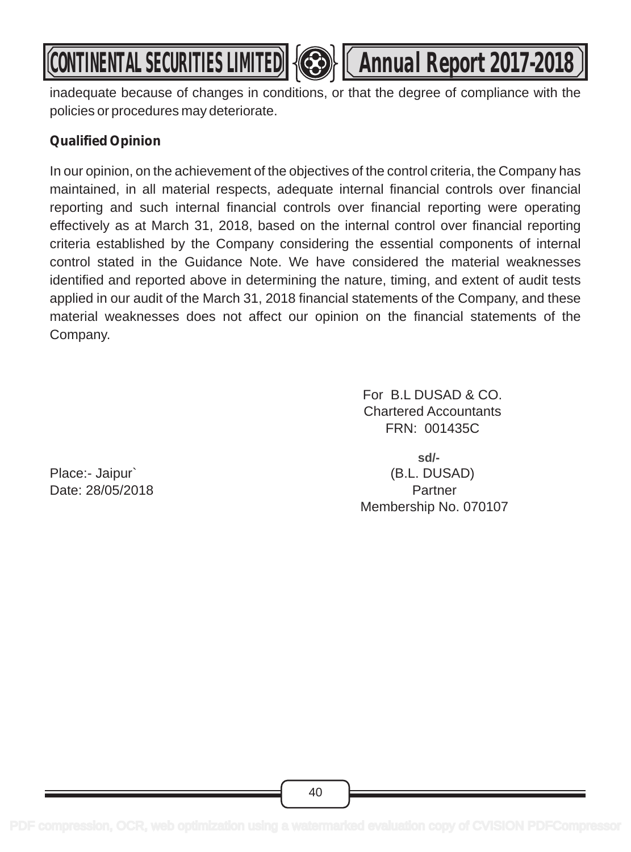inadequate because of changes in conditions, or that the degree of compliance with the policies or procedures may deteriorate.

**CONTINENTAL SECURITIES LIMITED <b>Annual Report 2017-2018** 

#### **Qualified Opinion**

In our opinion, on the achievement of the objectives of the control criteria, the Company has maintained, in all material respects, adequate internal financial controls over financial reporting and such internal financial controls over financial reporting were operating effectively as at March 31, 2018, based on the internal control over financial reporting criteria established by the Company considering the essential components of internal control stated in the Guidance Note. We have considered the material weaknesses identified and reported above in determining the nature, timing, and extent of audit tests applied in our audit of the March 31, 2018 financial statements of the Company, and these material weaknesses does not affect our opinion on the financial statements of the Company.

> For B.L DUSAD & CO. Chartered Accountants FRN: 001435C

Date: 28/05/2018 **Partner** 

Place:- Jaipur` (B.L. DUSAD) Membership No. 070107 **sd/-**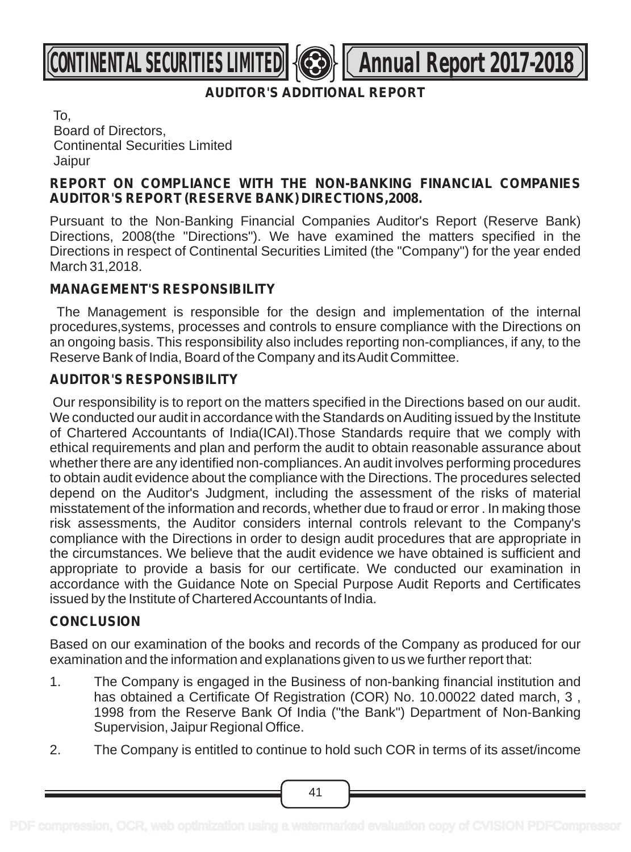**AUDITOR'S ADDITIONAL REPORT**

To,

 Board of Directors, Continental Securities Limited Jaipur

#### **REPORT ON COMPLIANCE WITH THE NON-BANKING FINANCIAL COMPANIES AUDITOR'S REPORT (RESERVE BANK) DIRECTIONS,2008.**

Pursuant to the Non-Banking Financial Companies Auditor's Report (Reserve Bank) Directions, 2008(the "Directions"). We have examined the matters specified in the Directions in respect of Continental Securities Limited (the "Company") for the year ended March 31,2018.

#### **MANAGEMENT'S RESPONSIBILITY**

The Management is responsible for the design and implementation of the internal procedures,systems, processes and controls to ensure compliance with the Directions on an ongoing basis. This responsibility also includes reporting non-compliances, if any, to the Reserve Bank of India, Board of the Company and its Audit Committee.

#### **AUDITOR'S RESPONSIBILITY**

Our responsibility is to report on the matters specified in the Directions based on our audit. We conducted our audit in accordance with the Standards on Auditing issued by the Institute of Chartered Accountants of India(ICAI).Those Standards require that we comply with ethical requirements and plan and perform the audit to obtain reasonable assurance about whether there are any identified non-compliances. An audit involves performing procedures to obtain audit evidence about the compliance with the Directions. The procedures selected depend on the Auditor's Judgment, including the assessment of the risks of material misstatement of the information and records, whether due to fraud or error . In making those risk assessments, the Auditor considers internal controls relevant to the Company's compliance with the Directions in order to design audit procedures that are appropriate in the circumstances. We believe that the audit evidence we have obtained is sufficient and appropriate to provide a basis for our certificate. We conducted our examination in accordance with the Guidance Note on Special Purpose Audit Reports and Certificates issued by the Institute of Chartered Accountants of India.

#### **CONCLUSION**

Based on our examination of the books and records of the Company as produced for our examination and the information and explanations given to us we further report that:

- 1. The Company is engaged in the Business of non-banking financial institution and has obtained a Certificate Of Registration (COR) No. 10.00022 dated march, 3, 1998 from the Reserve Bank Of India ("the Bank") Department of Non-Banking Supervision, Jaipur Regional Office.
- 2. The Company is entitled to continue to hold such COR in terms of its asset/income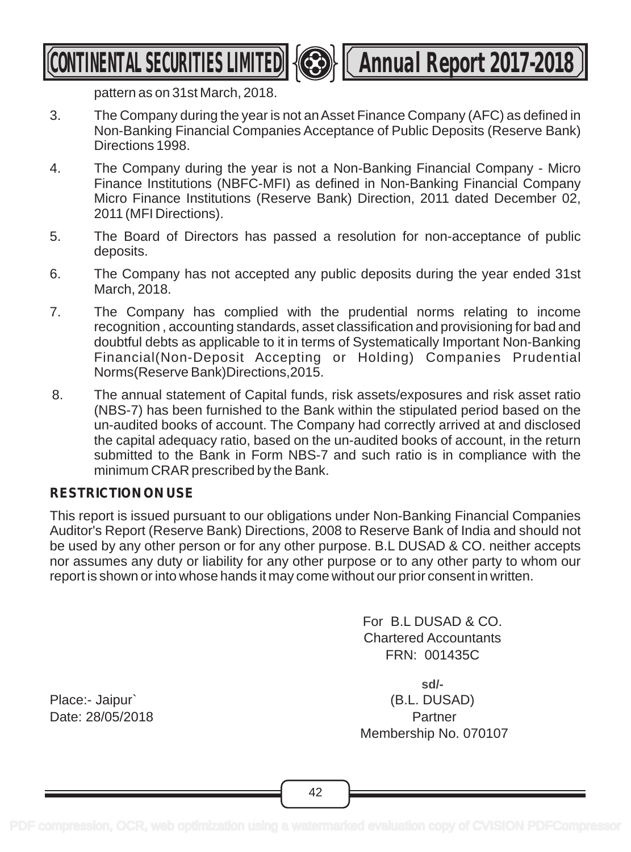pattern as on 31st March, 2018.

3. The Company during the year is not an Asset Finance Company (AFC) as defined in Non-Banking Financial Companies Acceptance of Public Deposits (Reserve Bank) Directions 1998.

CONTINENTAL SECURITIES LIMITED **(CO)** (Annual Report 2017-2018

- 4. The Company during the year is not a Non-Banking Financial Company Micro Finance Institutions (NBFC-MFI) as defined in Non-Banking Financial Company Micro Finance Institutions (Reserve Bank) Direction, 2011 dated December 02, 2011 (MFI Directions).
- 5. The Board of Directors has passed a resolution for non-acceptance of public deposits.
- 6. The Company has not accepted any public deposits during the year ended 31st March, 2018.
- 7. The Company has complied with the prudential norms relating to income recognition , accounting standards, asset classification and provisioning for bad and doubtful debts as applicable to it in terms of Systematically Important Non-Banking Financial(Non-Deposit Accepting or Holding) Companies Prudential Norms(Reserve Bank)Directions,2015.
- 8. The annual statement of Capital funds, risk assets/exposures and risk asset ratio (NBS-7) has been furnished to the Bank within the stipulated period based on the un-audited books of account. The Company had correctly arrived at and disclosed the capital adequacy ratio, based on the un-audited books of account, in the return submitted to the Bank in Form NBS-7 and such ratio is in compliance with the minimum CRAR prescribed by the Bank.

#### **RESTRICTION ON USE**

This report is issued pursuant to our obligations under Non-Banking Financial Companies Auditor's Report (Reserve Bank) Directions, 2008 to Reserve Bank of India and should not be used by any other person or for any other purpose. B.L DUSAD & CO. neither accepts nor assumes any duty or liability for any other purpose or to any other party to whom our report is shown or into whose hands it may come without our prior consent in written.

> For B.L DUSAD & CO. Chartered Accountants FRN: 001435C

Date: 28/05/2018 **Partner** 

Place:- Jaipur` (B.L. DUSAD) Membership No. 070107 **sd/-**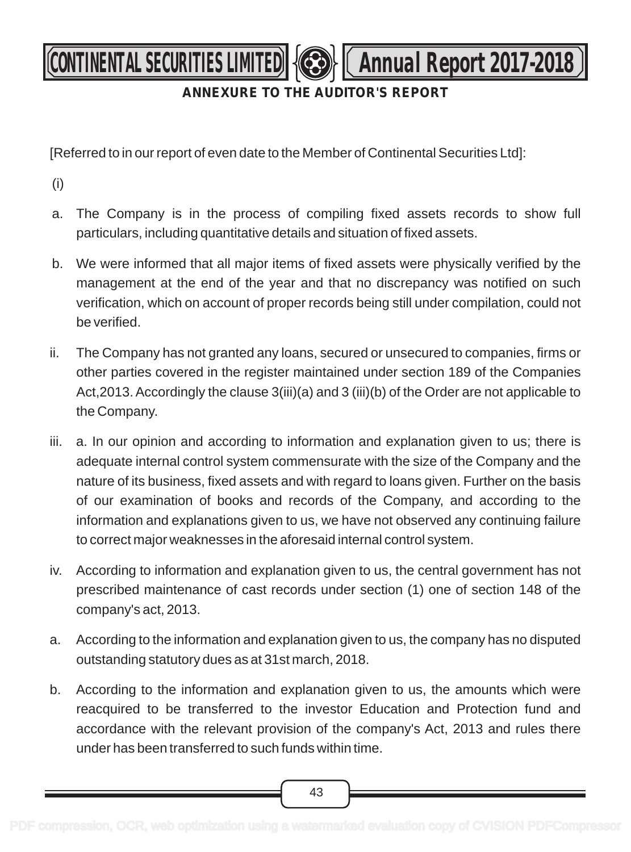**ANNEXURE TO THE AUDITOR'S REPORT**

**CONTINENTAL SECURITIES LIMITED**  $\{ \circledS \}$  **(Annual Report 2017-2018** 

[Referred to in our report of even date to the Member of Continental Securities Ltd]:

(i)

- a. The Company is in the process of compiling fixed assets records to show full particulars, including quantitative details and situation of fixed assets.
- b. We were informed that all major items of fixed assets were physically verified by the management at the end of the year and that no discrepancy was notified on such verification, which on account of proper records being still under compilation, could not be verified.
- ii. The Company has not granted any loans, secured or unsecured to companies, firms or other parties covered in the register maintained under section 189 of the Companies Act, 2013. Accordingly the clause 3(iii)(a) and 3 (iii)(b) of the Order are not applicable to the Company.
- iii. a. In our opinion and according to information and explanation given to us; there is adequate internal control system commensurate with the size of the Company and the nature of its business, fixed assets and with regard to loans given. Further on the basis of our examination of books and records of the Company, and according to the information and explanations given to us, we have not observed any continuing failure to correct major weaknesses in the aforesaid internal control system.
- iv. According to information and explanation given to us, the central government has not prescribed maintenance of cast records under section (1) one of section 148 of the company's act, 2013.
- a. According to the information and explanation given to us, the company has no disputed outstanding statutory dues as at 31st march, 2018.
- b. According to the information and explanation given to us, the amounts which were reacquired to be transferred to the investor Education and Protection fund and accordance with the relevant provision of the company's Act, 2013 and rules there under has been transferred to such funds within time.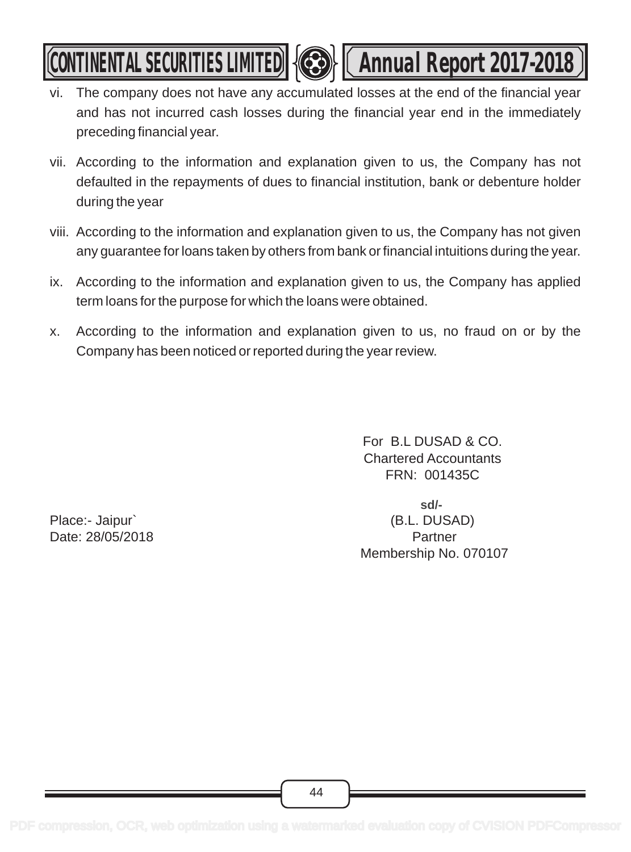## **CONTINENTAL SECURITIES LIMITED <b>Annual Report 2017-2018** vi. The company does not have any accumulated losses at the end of the financial year and has not incurred cash losses during the financial year end in the immediately preceding financial year.

- vii. According to the information and explanation given to us, the Company has not defaulted in the repayments of dues to financial institution, bank or debenture holder during the year
- viii. According to the information and explanation given to us, the Company has not given any guarantee for loans taken by others from bank or financial intuitions during the year.
- ix. According to the information and explanation given to us, the Company has applied term loans for the purpose for which the loans were obtained.
- x. According to the information and explanation given to us, no fraud on or by the Company has been noticed or reported during the year review.

For B.L DUSAD & CO. Chartered Accountants FRN: 001435C

Date: 28/05/2018 Partner

Place:- Jaipur` (B.L. DUSAD) Membership No. 070107 **sd/-**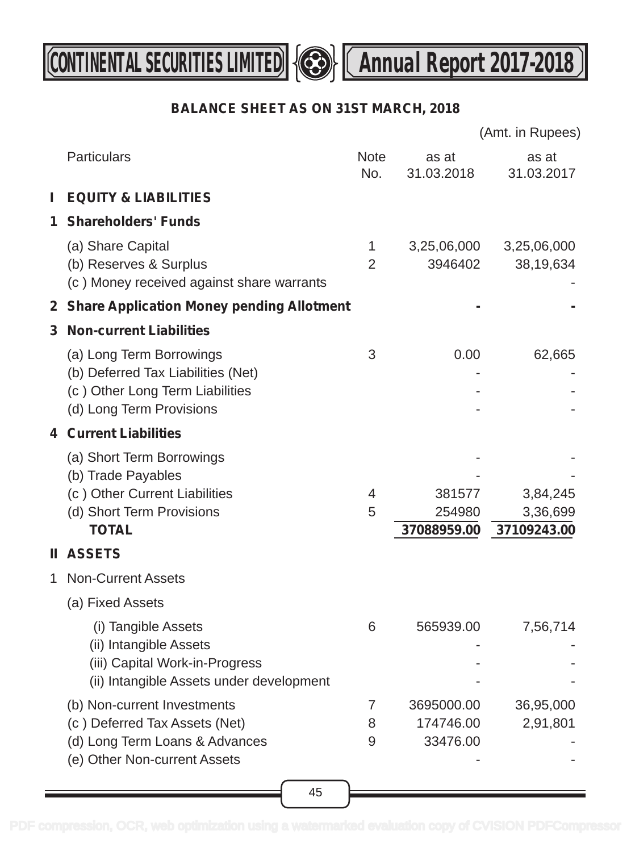



#### **BALANCE SHEET AS ON 31ST MARCH, 2018**

|                |                                                                                                                               |                     |                                 | (Amt. in Rupees)                    |
|----------------|-------------------------------------------------------------------------------------------------------------------------------|---------------------|---------------------------------|-------------------------------------|
|                | Particulars                                                                                                                   | <b>Note</b><br>No.  | as at<br>31.03.2018             | as at<br>31.03.2017                 |
|                | <b>EQUITY &amp; LIABILITIES</b>                                                                                               |                     |                                 |                                     |
| 1              | <b>Shareholders' Funds</b>                                                                                                    |                     |                                 |                                     |
|                | (a) Share Capital<br>(b) Reserves & Surplus<br>(c) Money received against share warrants                                      | 1<br>$\overline{2}$ | 3,25,06,000<br>3946402          | 3,25,06,000<br>38,19,634            |
| $\mathbf{2}^-$ | <b>Share Application Money pending Allotment</b>                                                                              |                     |                                 |                                     |
| 3              | <b>Non-current Liabilities</b>                                                                                                |                     |                                 |                                     |
|                | (a) Long Term Borrowings<br>(b) Deferred Tax Liabilities (Net)<br>(c) Other Long Term Liabilities<br>(d) Long Term Provisions | 3                   | 0.00                            | 62,665                              |
| 4              | <b>Current Liabilities</b>                                                                                                    |                     |                                 |                                     |
|                | (a) Short Term Borrowings<br>(b) Trade Payables<br>(c) Other Current Liabilities<br>(d) Short Term Provisions<br><b>TOTAL</b> | 4<br>5              | 381577<br>254980<br>37088959.00 | 3,84,245<br>3,36,699<br>37109243.00 |
| Ш.             | <b>ASSETS</b>                                                                                                                 |                     |                                 |                                     |
| 1              | <b>Non-Current Assets</b>                                                                                                     |                     |                                 |                                     |
|                | (a) Fixed Assets                                                                                                              |                     |                                 |                                     |
|                | (i) Tangible Assets<br>(ii) Intangible Assets<br>(iii) Capital Work-in-Progress<br>(ii) Intangible Assets under development   | 6                   | 565939.00                       | 7,56,714                            |
|                | (b) Non-current Investments                                                                                                   | 7                   | 3695000.00                      | 36,95,000                           |
|                | (c) Deferred Tax Assets (Net)<br>(d) Long Term Loans & Advances<br>(e) Other Non-current Assets                               | 8<br>9              | 174746.00<br>33476.00           | 2,91,801                            |
|                | 45                                                                                                                            |                     |                                 |                                     |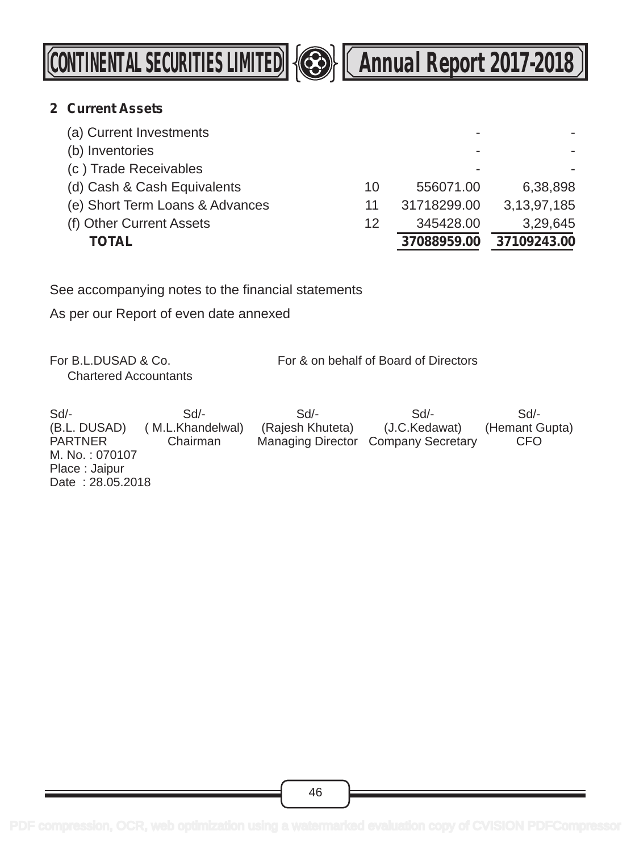#### **2 Current Assets**

| (f) Other Current Assets<br><b>TOTAL</b> | 12 | 345428.00<br>37088959.00 | 3,29,645<br>37109243.00 |
|------------------------------------------|----|--------------------------|-------------------------|
| (e) Short Term Loans & Advances          | 11 | 31718299.00              | 3,13,97,185             |
| (d) Cash & Cash Equivalents              | 10 | 556071.00                | 6,38,898                |
| (c) Trade Receivables                    |    | ۰                        |                         |
| (b) Inventories                          |    | ٠                        |                         |
| (a) Current Investments                  |    | $\overline{\phantom{0}}$ |                         |

See accompanying notes to the financial statements

As per our Report of even date annexed

Chartered Accountants

For B.L.DUSAD & Co. For & on behalf of Board of Directors

| $Sd$ -<br>(B.L. DUSAD)<br><b>PARTNER</b><br>M. No.: 070107<br>Place: Jaipur<br>Date: 28.05.2018 | Sd/-<br>(M.L.Khandelwal)<br>Chairman | $Sd/-$<br>(Rajesh Khuteta) | $Sd/-$<br>(J.C.Kedawat)<br>Managing Director Company Secretary | $Sd/-$<br>(Hemant Gupta)<br>CFO |
|-------------------------------------------------------------------------------------------------|--------------------------------------|----------------------------|----------------------------------------------------------------|---------------------------------|
|                                                                                                 |                                      |                            |                                                                |                                 |
|                                                                                                 |                                      |                            |                                                                |                                 |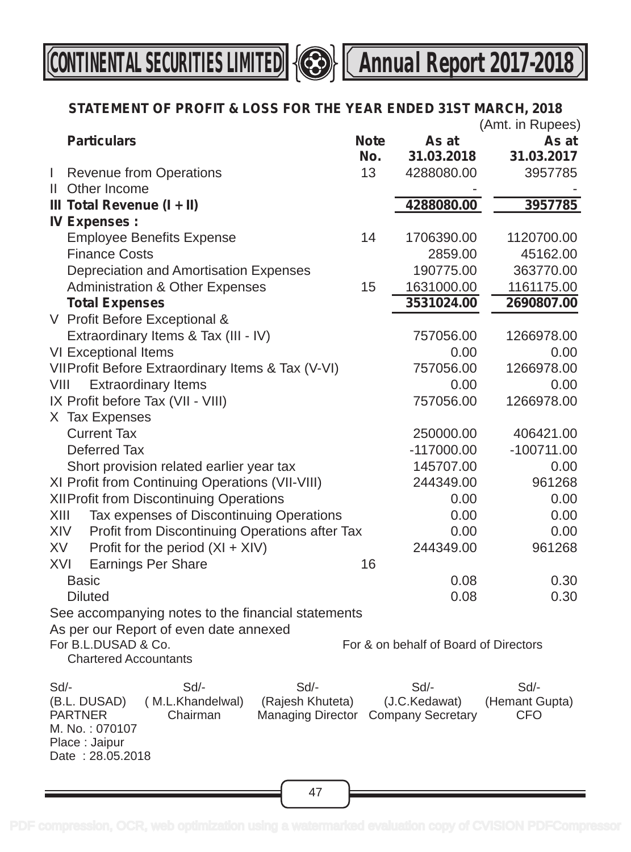

#### **STATEMENT OF PROFIT & LOSS FOR THE YEAR ENDED 31ST MARCH, 2018**

|                                |                                                    |                                              |             |                                           | (Amt. in Rupees)             |
|--------------------------------|----------------------------------------------------|----------------------------------------------|-------------|-------------------------------------------|------------------------------|
| <b>Particulars</b>             |                                                    |                                              | <b>Note</b> | As at                                     | As at                        |
|                                |                                                    |                                              | No.         | 31.03.2018                                | 31.03.2017                   |
| I.                             | <b>Revenue from Operations</b>                     |                                              | 13          | 4288080.00                                | 3957785                      |
| Other Income<br>$\mathbf{H}$   |                                                    |                                              |             |                                           |                              |
| III Total Revenue (I + II)     |                                                    |                                              |             | 4288080.00                                | 3957785                      |
| <b>IV Expenses:</b>            |                                                    |                                              |             |                                           |                              |
|                                | <b>Employee Benefits Expense</b>                   |                                              | 14          | 1706390.00                                | 1120700.00                   |
| <b>Finance Costs</b>           |                                                    |                                              |             | 2859.00                                   | 45162.00                     |
|                                | Depreciation and Amortisation Expenses             |                                              |             | 190775.00                                 | 363770.00                    |
|                                | <b>Administration &amp; Other Expenses</b>         |                                              | 15          | 1631000.00                                | 1161175.00                   |
| <b>Total Expenses</b>          |                                                    |                                              |             | 3531024.00                                | 2690807.00                   |
|                                | V Profit Before Exceptional &                      |                                              |             |                                           |                              |
|                                | Extraordinary Items & Tax (III - IV)               |                                              |             | 757056.00                                 | 1266978.00                   |
| VI Exceptional Items           |                                                    |                                              |             | 0.00                                      | 0.00                         |
|                                | VIIProfit Before Extraordinary Items & Tax (V-VI)  |                                              |             | 757056.00                                 | 1266978.00                   |
| VIII                           | <b>Extraordinary Items</b>                         |                                              |             | 0.00                                      | 0.00                         |
|                                | IX Profit before Tax (VII - VIII)                  |                                              |             | 757056.00                                 | 1266978.00                   |
| X Tax Expenses                 |                                                    |                                              |             |                                           |                              |
| <b>Current Tax</b>             |                                                    |                                              |             | 250000.00                                 | 406421.00                    |
| Deferred Tax                   |                                                    |                                              |             | $-117000.00$                              | $-100711.00$                 |
|                                | Short provision related earlier year tax           |                                              |             | 145707.00                                 | 0.00                         |
|                                | XI Profit from Continuing Operations (VII-VIII)    |                                              |             | 244349.00                                 | 961268                       |
|                                | <b>XIIProfit from Discontinuing Operations</b>     |                                              |             | 0.00                                      | 0.00                         |
| XIII                           | Tax expenses of Discontinuing Operations           |                                              |             | 0.00                                      | 0.00                         |
| XIV                            | Profit from Discontinuing Operations after Tax     |                                              |             | 0.00                                      | 0.00                         |
| XV                             | Profit for the period $(XI + XIV)$                 |                                              |             | 244349.00                                 | 961268                       |
| XVI                            | <b>Earnings Per Share</b>                          |                                              | 16          |                                           |                              |
| <b>Basic</b>                   |                                                    |                                              |             | 0.08                                      | 0.30                         |
| <b>Diluted</b>                 |                                                    |                                              |             | 0.08                                      | 0.30                         |
|                                | See accompanying notes to the financial statements |                                              |             |                                           |                              |
|                                | As per our Report of even date annexed             |                                              |             |                                           |                              |
| For B.L.DUSAD & Co.            |                                                    |                                              |             | For & on behalf of Board of Directors     |                              |
| <b>Chartered Accountants</b>   |                                                    |                                              |             |                                           |                              |
|                                |                                                    |                                              |             |                                           |                              |
| Sd/-                           | Sd                                                 | $Sd$ -                                       |             | Sd/-                                      | Sd/-                         |
| (B.L. DUSAD)<br><b>PARTNER</b> | (M.L.Khandelwal)<br>Chairman                       | (Rajesh Khuteta)<br><b>Managing Director</b> |             | (J.C.Kedawat)<br><b>Company Secretary</b> | (Hemant Gupta)<br><b>CFO</b> |
| M. No.: 070107                 |                                                    |                                              |             |                                           |                              |
| Place: Jaipur                  |                                                    |                                              |             |                                           |                              |
| Date: 28.05.2018               |                                                    |                                              |             |                                           |                              |
|                                |                                                    |                                              |             |                                           |                              |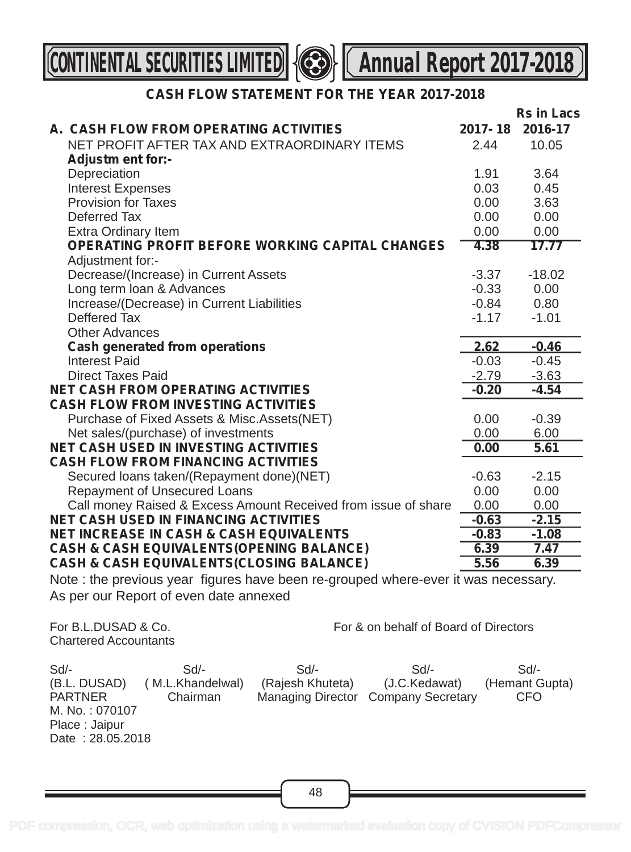**CONTINENTAL SECURITIES LIMITED 43 (CONTINENTAL SECURITIES LIMITED)** 

#### **CASH FLOW STATEMENT FOR THE YEAR 2017-2018**

|                                                                                                |         | <b>Rs in Lacs</b> |
|------------------------------------------------------------------------------------------------|---------|-------------------|
| A. CASH FLOW FROM OPERATING ACTIVITIES                                                         | 2017-18 | 2016-17           |
| NET PROFIT AFTER TAX AND EXTRAORDINARY ITEMS                                                   | 2.44    | 10.05             |
| <b>Adjustm ent for:-</b>                                                                       |         |                   |
| Depreciation                                                                                   | 1.91    | 3.64              |
| <b>Interest Expenses</b>                                                                       | 0.03    | 0.45              |
| <b>Provision for Taxes</b>                                                                     | 0.00    | 3.63              |
| Deferred Tax                                                                                   | 0.00    | 0.00              |
| <b>Extra Ordinary Item</b>                                                                     | 0.00    | 0.00              |
| <b>OPERATING PROFIT BEFORE WORKING CAPITAL CHANGES</b>                                         | 4.38    | 17.77             |
| Adjustment for:-                                                                               |         |                   |
| Decrease/(Increase) in Current Assets                                                          | $-3.37$ | $-18.02$          |
| Long term loan & Advances                                                                      | $-0.33$ | 0.00              |
| Increase/(Decrease) in Current Liabilities                                                     | $-0.84$ | 0.80              |
| Deffered Tax                                                                                   | $-1.17$ | $-1.01$           |
| <b>Other Advances</b>                                                                          |         |                   |
| <b>Cash generated from operations</b>                                                          | 2.62    | $-0.46$           |
| <b>Interest Paid</b>                                                                           | $-0.03$ | $-0.45$           |
| <b>Direct Taxes Paid</b>                                                                       | $-2.79$ | $-3.63$           |
| <b>NET CASH FROM OPERATING ACTIVITIES</b>                                                      | $-0.20$ | $-4.54$           |
| <b>CASH FLOW FROM INVESTING ACTIVITIES</b>                                                     |         |                   |
| Purchase of Fixed Assets & Misc.Assets(NET)                                                    | 0.00    | $-0.39$           |
| Net sales/(purchase) of investments                                                            | 0.00    | 6.00              |
| <b>NET CASH USED IN INVESTING ACTIVITIES</b><br><b>CASH FLOW FROM FINANCING ACTIVITIES</b>     | 0.00    | 5.61              |
|                                                                                                | $-0.63$ | $-2.15$           |
| Secured loans taken/(Repayment done)(NET)                                                      | 0.00    | 0.00              |
| Repayment of Unsecured Loans<br>Call money Raised & Excess Amount Received from issue of share | 0.00    | 0.00              |
| <b>NET CASH USED IN FINANCING ACTIVITIES</b>                                                   | $-0.63$ | $-2.15$           |
| <b>NET INCREASE IN CASH &amp; CASH EQUIVALENTS</b>                                             | $-0.83$ | $-1.08$           |
| <b>CASH &amp; CASH EQUIVALENTS(OPENING BALANCE)</b>                                            | 6.39    | 7.47              |
| <b>CASH &amp; CASH EQUIVALENTS(CLOSING BALANCE)</b>                                            | 5.56    | 6.39              |
|                                                                                                |         |                   |

Note : the previous year figures have been re-grouped where-ever it was necessary. As per our Report of even date annexed

Chartered Accountants

For B.L.DUSAD & Co. For & on behalf of Board of Directors

Sd/- Sd/- Sd/- Sd/- Sd/- (B.L. DUSAD) ( M.L.Khandelwal) (Rajesh Khuteta) (J.C.Kedawat) (Hemant Gupta) Chairman Managing Director Company Secretary CFO M. No. : 070107 Place : Jaipur Date : 28.05.2018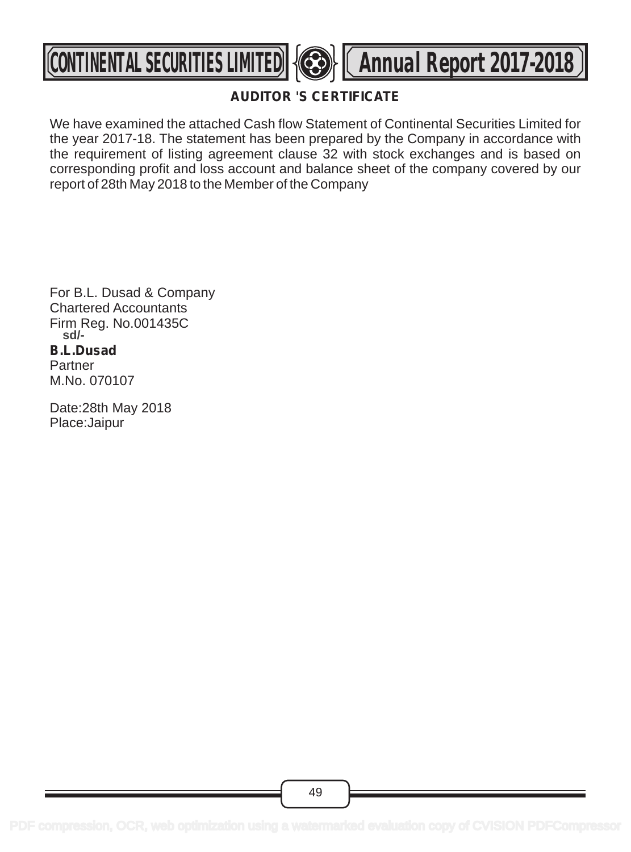

**AUDITOR 'S CERTIFICATE** 

We have examined the attached Cash flow Statement of Continental Securities Limited for the year 2017-18. The statement has been prepared by the Company in accordance with the requirement of listing agreement clause 32 with stock exchanges and is based on corresponding profit and loss account and balance sheet of the company covered by our report of 28th May 2018 to the Member of the Company

For B.L. Dusad & Company Chartered Accountants Firm Reg. No.001435C **B.L.Dusad sd/-**

Partner M.No. 070107

Date:28th May 2018 Place:Jaipur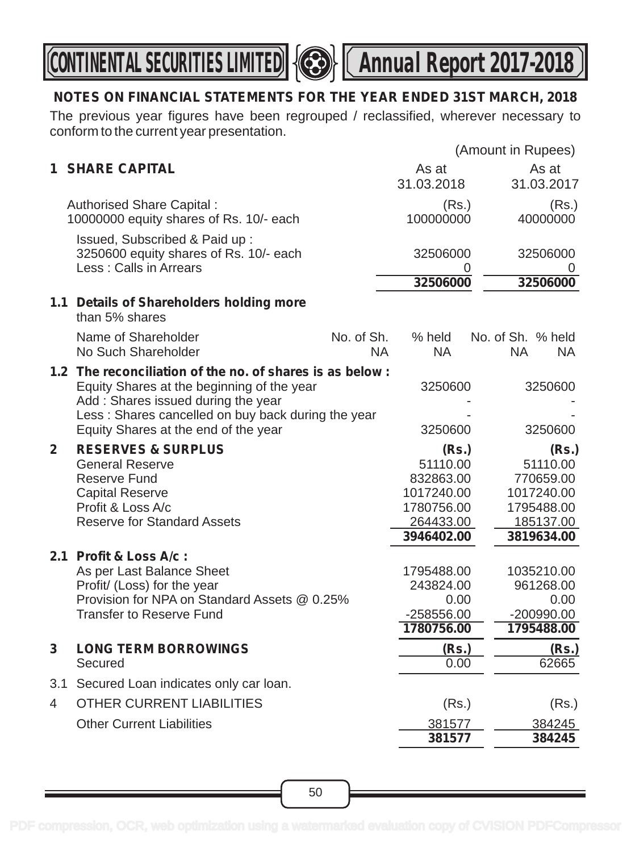



#### **NOTES ON FINANCIAL STATEMENTS FOR THE YEAR ENDED 31ST MARCH, 2018**

The previous year figures have been regrouped / reclassified, wherever necessary to conform to the current year presentation.

|              |                                                                                                                                                                                                                                             |                         |                                                               |   | (Amount in Rupees)             |                                                               |
|--------------|---------------------------------------------------------------------------------------------------------------------------------------------------------------------------------------------------------------------------------------------|-------------------------|---------------------------------------------------------------|---|--------------------------------|---------------------------------------------------------------|
| 1            | <b>SHARE CAPITAL</b>                                                                                                                                                                                                                        |                         | As at<br>31.03.2018                                           |   |                                | As at<br>31.03.2017                                           |
|              | Authorised Share Capital:<br>10000000 equity shares of Rs. 10/- each                                                                                                                                                                        |                         | (Rs.)<br>100000000                                            |   |                                | (Rs.)<br>40000000                                             |
|              | Issued, Subscribed & Paid up:<br>3250600 equity shares of Rs. 10/- each<br>Less : Calls in Arrears                                                                                                                                          |                         | 32506000                                                      | 0 |                                | 32506000                                                      |
|              |                                                                                                                                                                                                                                             |                         | 32506000                                                      |   |                                | 32506000                                                      |
|              | 1.1 Details of Shareholders holding more<br>than 5% shares                                                                                                                                                                                  |                         |                                                               |   |                                |                                                               |
|              | Name of Shareholder<br>No Such Shareholder                                                                                                                                                                                                  | No. of Sh.<br><b>NA</b> | $%$ held<br><b>NA</b>                                         |   | No. of Sh. % held<br><b>NA</b> | <b>NA</b>                                                     |
|              | 1.2 The reconciliation of the no. of shares is as below :<br>Equity Shares at the beginning of the year<br>Add: Shares issued during the year<br>Less: Shares cancelled on buy back during the year<br>Equity Shares at the end of the year |                         | 3250600<br>3250600                                            |   |                                | 3250600<br>3250600                                            |
| $\mathbf{2}$ | <b>RESERVES &amp; SURPLUS</b>                                                                                                                                                                                                               |                         | (Rs.)                                                         |   |                                | (Rs.)                                                         |
|              | <b>General Reserve</b>                                                                                                                                                                                                                      |                         | 51110.00                                                      |   |                                | 51110.00                                                      |
|              | <b>Reserve Fund</b>                                                                                                                                                                                                                         |                         | 832863.00                                                     |   |                                | 770659.00                                                     |
|              | <b>Capital Reserve</b>                                                                                                                                                                                                                      |                         | 1017240.00                                                    |   |                                | 1017240.00                                                    |
|              | Profit & Loss A/c                                                                                                                                                                                                                           |                         | 1780756.00                                                    |   |                                | 1795488.00                                                    |
|              | <b>Reserve for Standard Assets</b>                                                                                                                                                                                                          |                         | 264433.00                                                     |   |                                | 185137.00                                                     |
|              |                                                                                                                                                                                                                                             |                         | 3946402.00                                                    |   |                                | 3819634.00                                                    |
|              | 2.1 Profit & Loss A/c:<br>As per Last Balance Sheet<br>Profit/ (Loss) for the year<br>Provision for NPA on Standard Assets @ 0.25%<br><b>Transfer to Reserve Fund</b>                                                                       |                         | 1795488.00<br>243824.00<br>0.00<br>$-258556.00$<br>1780756.00 |   |                                | 1035210.00<br>961268.00<br>0.00<br>$-200990.00$<br>1795488.00 |
| 3            | <b>LONG TERM BORROWINGS</b>                                                                                                                                                                                                                 |                         | (Rs.)                                                         |   |                                | (Rs.)                                                         |
|              | Secured                                                                                                                                                                                                                                     |                         | 0.00                                                          |   |                                | 62665                                                         |
|              | 3.1 Secured Loan indicates only car loan.                                                                                                                                                                                                   |                         |                                                               |   |                                |                                                               |
| 4            | <b>OTHER CURRENT LIABILITIES</b>                                                                                                                                                                                                            |                         | (Rs.)                                                         |   |                                | (Rs.)                                                         |
|              | <b>Other Current Liabilities</b>                                                                                                                                                                                                            |                         | 381577                                                        |   |                                | 384245                                                        |
|              |                                                                                                                                                                                                                                             |                         | 381577                                                        |   |                                | 384245                                                        |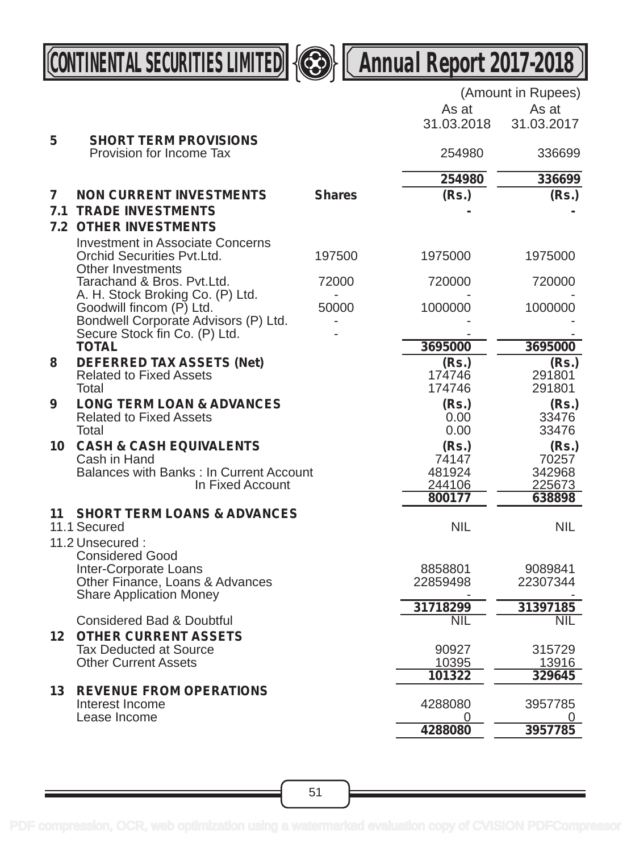

**CONTINENTAL SECURITIES LIMITED**  $\{ \textcircled{\textcircled{\textcircled{\textcirc}}} \}$  (Annual Report 2017-2018)

|    |                                                                        |               |               | (Amount in Rupees) |
|----|------------------------------------------------------------------------|---------------|---------------|--------------------|
|    |                                                                        |               | As at         | As at              |
|    |                                                                        |               | 31.03.2018    | 31.03.2017         |
| 5  | <b>SHORT TERM PROVISIONS</b><br>Provision for Income Tax               |               | 254980        | 336699             |
|    |                                                                        |               | 254980        | 336699             |
| 7  | <b>NON CURRENT INVESTMENTS</b>                                         | <b>Shares</b> | (Rs.)         | (Rs.)              |
|    | <b>7.1 TRADE INVESTMENTS</b>                                           |               |               |                    |
|    | <b>7.2 OTHER INVESTMENTS</b>                                           |               |               |                    |
|    | <b>Investment in Associate Concerns</b>                                |               |               |                    |
|    | Orchid Securities Pvt.Ltd.                                             | 197500        | 1975000       | 1975000            |
|    | Other Investments                                                      |               |               |                    |
|    | Tarachand & Bros. Pvt.Ltd.                                             | 72000         | 720000        | 720000             |
|    | A. H. Stock Broking Co. (P) Ltd.                                       |               |               |                    |
|    | Goodwill fincom (P) Ltd.<br>Bondwell Corporate Advisors (P) Ltd.       | 50000         | 1000000       | 1000000            |
|    | Secure Stock fin Co. (P) Ltd.                                          |               |               |                    |
|    | <b>TOTAL</b>                                                           |               | 3695000       | 3695000            |
| 8  | <b>DEFERRED TAX ASSETS (Net)</b>                                       |               | (Rs.)         | (Rs.)              |
|    | <b>Related to Fixed Assets</b>                                         |               | 174746        | 291801             |
|    | Total                                                                  |               | 174746        | 291801             |
| 9  | <b>LONG TERM LOAN &amp; ADVANCES</b><br><b>Related to Fixed Assets</b> |               | (Rs.)<br>0.00 | (Rs.)<br>33476     |
|    | Total                                                                  |               | 0.00          | 33476              |
| 10 | <b>CASH &amp; CASH EQUIVALENTS</b>                                     |               | (Rs.)         | (Rs.)              |
|    | Cash in Hand                                                           |               | 74147         | 70257              |
|    | Balances with Banks: In Current Account                                |               | 481924        | 342968             |
|    | In Fixed Account                                                       |               | 244106        | 225673             |
| 11 | <b>SHORT TERM LOANS &amp; ADVANCES</b>                                 |               | 800177        | 638898             |
|    | 11.1 Secured                                                           |               | <b>NIL</b>    | <b>NIL</b>         |
|    | 11.2 Unsecured:                                                        |               |               |                    |
|    | <b>Considered Good</b>                                                 |               |               |                    |
|    | Inter-Corporate Loans                                                  |               | 8858801       | 9089841            |
|    | Other Finance, Loans & Advances                                        |               | 22859498      | 22307344           |
|    | <b>Share Application Money</b>                                         |               | 31718299      | 31397185           |
|    | <b>Considered Bad &amp; Doubtful</b>                                   |               | NIL           | NIL                |
| 12 | <b>OTHER CURRENT ASSETS</b>                                            |               |               |                    |
|    | <b>Tax Deducted at Source</b>                                          |               | 90927         | 315729             |
|    | <b>Other Current Assets</b>                                            |               | 10395         | 13916              |
|    |                                                                        |               | 101322        | 329645             |
| 13 | <b>REVENUE FROM OPERATIONS</b><br>Interest Income                      |               | 4288080       | 3957785            |
|    | Lease Income                                                           |               |               |                    |
|    |                                                                        |               | 4288080       | 3957785            |
|    |                                                                        |               |               |                    |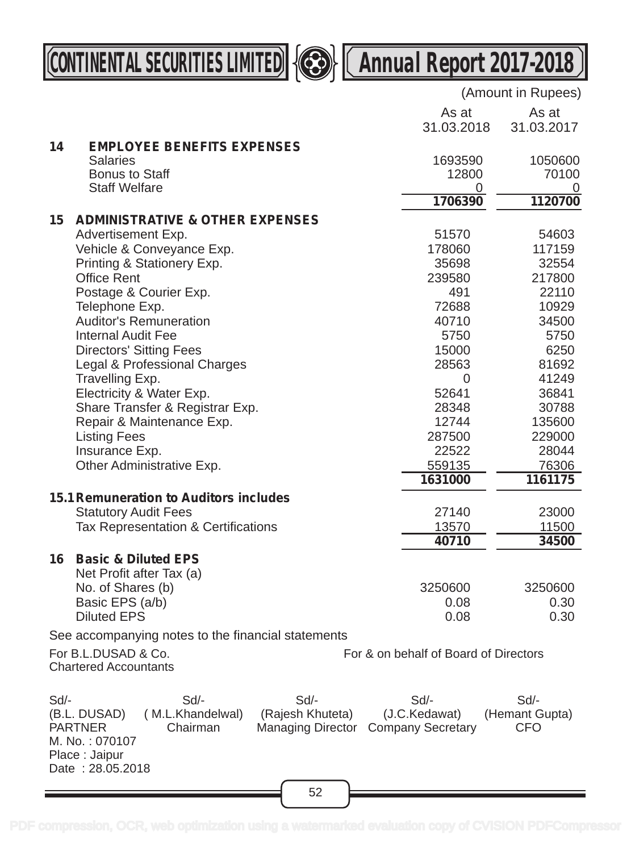

|  | Annual Report |  |
|--|---------------|--|
|  |               |  |

(Amount in Rupees) As at As at 31.03.2018 **14 EMPLOYEE BENEFITS EXPENSES** Salaries 1693590 1050600 Bonus to Staff 12800 70100 Staff Welfare  $\frac{0}{1706390}$   $\frac{0}{1120700}$ **1706390 1120700 15 ADMINISTRATIVE & OTHER EXPENSES** Advertisement Exp. 51570 54603 Vehicle & Conveyance Exp. 178060 178060 Printing & Stationery Exp.<br>
Office Rent
217800
0ffice Rent
35698
32554
35698
3217800
217800
217800
217800
35698
3217800
3217800
3217800
3217800
3217800
3217800
3217800
3217800
3217800
3217800
3217800
3217800
3217800
321780 Office Rent 239580 Postage & Courier Exp.  $\frac{1}{22110}$ Telephone Exp. 2008 2010 10929 10929 Auditor's Remuneration and the state of the 40710 34500 Internal Audit Fee 5750 5750 Directors' Sitting Fees 15000 6250 Legal & Professional Charges 28563 81692 Travelling Exp. 2008 and the set of the set of the set of the set of the set of the set of the set of the set o

**1631000 1161175**

**40710 34500**

Electricity & Water Exp. 52641 36841 Share Transfer & Registrar Exp. 28348 30788 Repair & Maintenance Exp. 12744 135600 Listing Fees 287500 229000 Insurance Exp. 22522 28044<br>
Other Administrative Exp. 22522 28044 Other Administrative Exp.<br>
1631000 - 1161175 - 1631000 - 1161175

Statutory Audit Fees 27140 23000 Tax Representation & Certifications 13570 11500

No. of Shares (b) 3250600 3250600 Basic EPS  $(a/b)$  0.08 0.30 Diluted EPS 0.30

For B.L.DUSAD & Co. The Contract of Board of Directors For & on behalf of Board of Directors Chartered Accountants

**16 Basic & Diluted EPS** Net Profit after Tax (a)

**15.1Remuneration to Auditors includes**

See accompanying notes to the financial statements

Sd/- Sd/- Sd/- Sd/- Sd/- (B.L. DUSAD) ( M.L.Khandelwal) (Rajesh Khuteta) (J.C.Kedawat) (Hemant Gupta) PARTNER Chairman Managing Director Company Secretary CFO M. No. : 070107 Place : Jaipur Date : 28.05.2018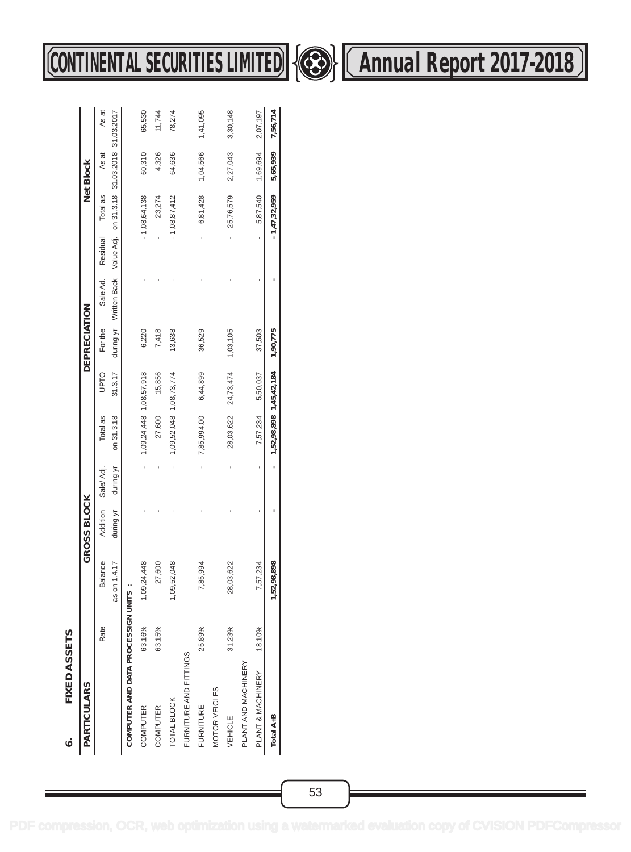| ī  |  |
|----|--|
|    |  |
| CC |  |

 $\dot{\circ}$ 

| <b>PARTICULARS</b>                 |        |              | GROSS BLOCK |           |                             |           | DEPRECIATION |                                                                    |          |                | <b>Net Block</b> |          |
|------------------------------------|--------|--------------|-------------|-----------|-----------------------------|-----------|--------------|--------------------------------------------------------------------|----------|----------------|------------------|----------|
|                                    | Rate   | Balance      | Addition    | Sale/ Adj | Total as                    | DLan      | For the      | Sale Ad.                                                           | Residual | Total as       | As at            | As at    |
|                                    |        | as on 1.4.17 | during yr   | during yr | on 31.3.18                  | 31.3.17   |              | during yr Written Back Value Adj. on 31.3.18 31.03.2018 31.03.2017 |          |                |                  |          |
| COMPUTER AND DATA PROCESSIGN UNITS |        |              |             |           |                             |           |              |                                                                    |          |                |                  |          |
| COMPUTER                           | 63.16% | 1,09,24,448  |             |           | 1,09,24,448 1,08,57,918     |           | 6,220        |                                                                    |          | $-1,08,64,138$ | 60,310           | 65,530   |
| <b>COMPUTER</b>                    | 63.15% | 27,600       |             |           | 27,600                      | 15,856    | 7,418        |                                                                    |          | 23,274         | 4,326            | 11,744   |
| <b>TOTAL BLOCK</b>                 |        | 1,09,52,048  |             |           | 1,09,52,048 1,08,73,774     |           | 13,638       |                                                                    |          | $-1,08,87,412$ | 64,636           | 78,274   |
| FURNITURE AND FITTINGS             |        |              |             |           |                             |           |              |                                                                    |          |                |                  |          |
| <b>FURNITURE</b>                   | 25.89% | 7,85,994     |             |           | 7,85,994.00                 | 6,44,899  | 36,529       |                                                                    |          | 6,81,428       | 1,04,566         | 1,41,095 |
| MOTOR VEICLES                      |        |              |             |           |                             |           |              |                                                                    |          |                |                  |          |
| VEHICLE                            | 1.23%  | 28,03,622    |             |           | 28,03,622                   | 24,73,474 | 1,03,105     |                                                                    |          | 25,76,579      | 2,27,043         | 3,30,148 |
| PLANT AND MACHINERY                |        |              |             |           |                             |           |              |                                                                    |          |                |                  |          |
| PLANT & MACHINERY                  | 8.10%  | 7,57,234     |             |           | 7,57,234                    | 5,50,037  | 37,503       |                                                                    |          | 5,87,540       | 1,69,694         | 2,07,197 |
| Total A+B                          |        | 1,52,98,898  |             |           | $- 1,52,98,898$ 1,45,42,184 |           | 1,90,775     |                                                                    |          | $-1,47,32,959$ | 5,65,939         | 7,56,714 |



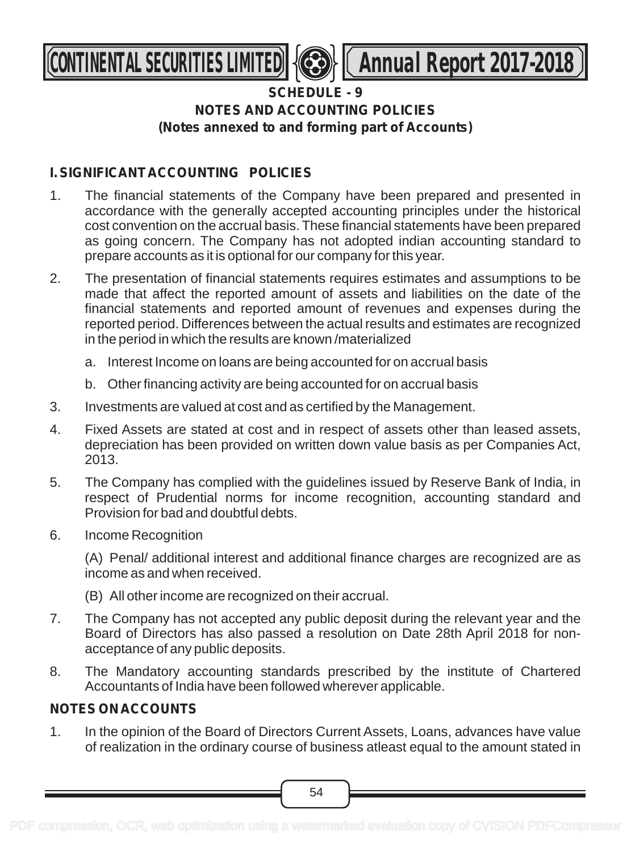

#### **SCHEDULE - 9 NOTES AND ACCOUNTING POLICIES (Notes annexed to and forming part of Accounts)**

#### **I. SIGNIFICANT ACCOUNTING POLICIES**

- 1. The financial statements of the Company have been prepared and presented in accordance with the generally accepted accounting principles under the historical cost convention on the accrual basis. These financial statements have been prepared as going concern. The Company has not adopted indian accounting standard to prepare accounts as it is optional for our company for this year.
- 2. The presentation of financial statements requires estimates and assumptions to be made that affect the reported amount of assets and liabilities on the date of the financial statements and reported amount of revenues and expenses during the reported period. Differences between the actual results and estimates are recognized in the period in which the results are known /materialized
	- a. Interest Income on loans are being accounted for on accrual basis
	- b. Other financing activity are being accounted for on accrual basis
- 3. Investments are valued at cost and as certified by the Management.
- 4. Fixed Assets are stated at cost and in respect of assets other than leased assets, depreciation has been provided on written down value basis as per Companies Act, 2013.
- 5. The Company has complied with the guidelines issued by Reserve Bank of India, in respect of Prudential norms for income recognition, accounting standard and Provision for bad and doubtful debts.
- 6. Income Recognition

(A) Penal/ additional interest and additional finance charges are recognized are as income as and when received.

- (B) All other income are recognized on their accrual.
- 7. The Company has not accepted any public deposit during the relevant year and the Board of Directors has also passed a resolution on Date 28th April 2018 for nonacceptance of any public deposits.
- 8. The Mandatory accounting standards prescribed by the institute of Chartered Accountants of India have been followed wherever applicable.

#### **NOTES ON ACCOUNTS**

1. In the opinion of the Board of Directors Current Assets, Loans, advances have value of realization in the ordinary course of business atleast equal to the amount stated in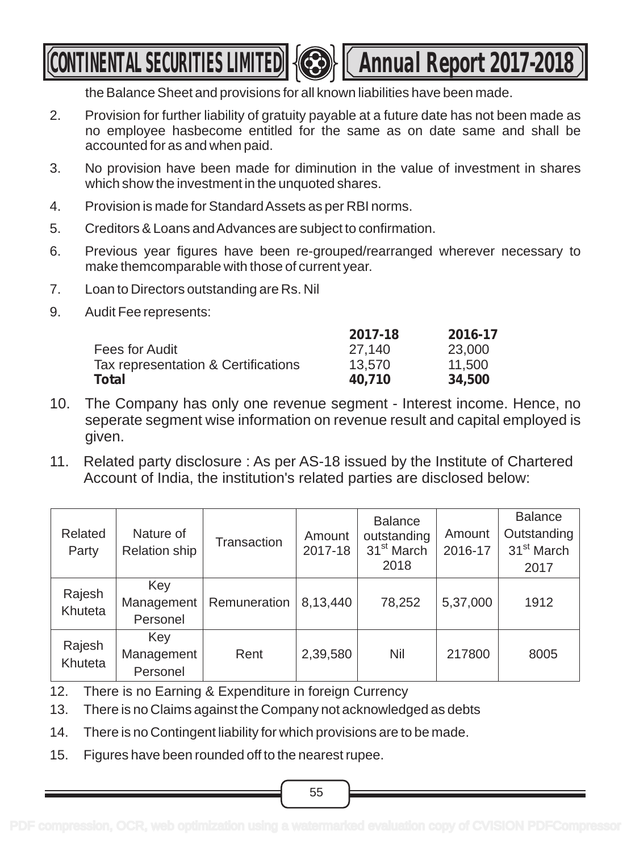the Balance Sheet and provisions for all known liabilities have been made.

**CONTINENTAL SECURITIES LIMITED | <b>B** (Annual Report 2017-2018

- 2. Provision for further liability of gratuity payable at a future date has not been made as no employee hasbecome entitled for the same as on date same and shall be accounted for as and when paid.
- 3. No provision have been made for diminution in the value of investment in shares which show the investment in the unquoted shares.
- 4. Provision is made for Standard Assets as per RBI norms.
- 5. Creditors & Loans and Advances are subject to confirmation.
- 6. Previous year figures have been re-grouped/rearranged wherever necessary to make themcomparable with those of current year.
- 7. Loan to Directors outstanding are Rs. Nil
- 9. Audit Fee represents:

|                                     | 2017-18 | 2016-17 |
|-------------------------------------|---------|---------|
| Fees for Audit                      | 27.140  | 23,000  |
| Tax representation & Certifications | 13,570  | 11,500  |
| <b>Total</b>                        | 40.710  | 34,500  |

- 10. The Company has only one revenue segment Interest income. Hence, no seperate segment wise information on revenue result and capital employed is given.
- 11. Related party disclosure : As per AS-18 issued by the Institute of Chartered Account of India, the institution's related parties are disclosed below:

| Related<br>Party  | Nature of<br><b>Relation ship</b> | Transaction  | Amount<br>2017-18 | <b>Balance</b><br>outstanding<br>31 <sup>st</sup> March<br>2018 | Amount<br>2016-17 | <b>Balance</b><br>Outstanding<br>31 <sup>st</sup> March<br>2017 |
|-------------------|-----------------------------------|--------------|-------------------|-----------------------------------------------------------------|-------------------|-----------------------------------------------------------------|
| Rajesh<br>Khuteta | Key<br>Management<br>Personel     | Remuneration | 8,13,440          | 78,252                                                          | 5,37,000          | 1912                                                            |
| Rajesh<br>Khuteta | Key<br>Management<br>Personel     | Rent         | 2,39,580          | Nil                                                             | 217800            | 8005                                                            |

- 12. There is no Earning & Expenditure in foreign Currency
- 13. There is no Claims against the Company not acknowledged as debts
- 14. There is no Contingent liability for which provisions are to be made.
- 15. Figures have been rounded off to the nearest rupee.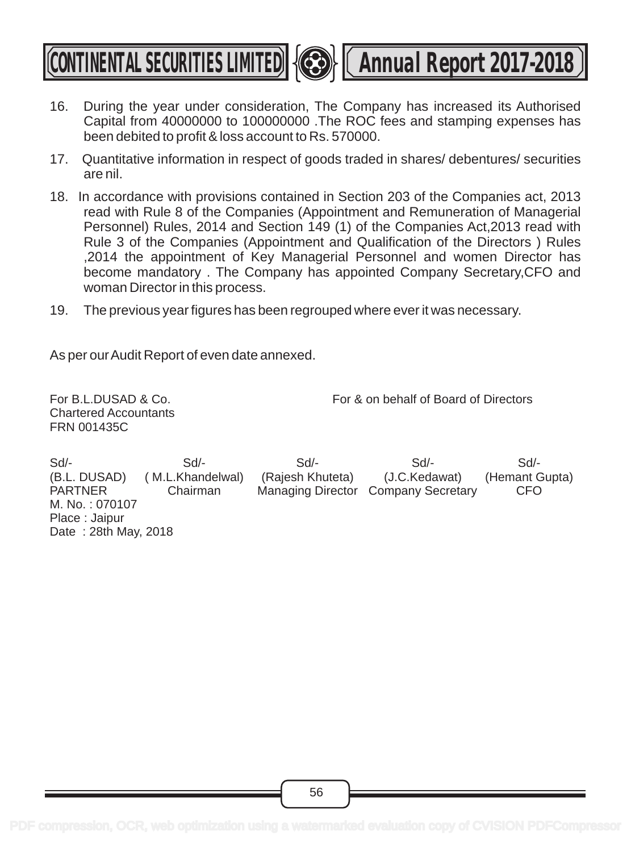- 16. During the year under consideration, The Company has increased its Authorised Capital from 40000000 to 100000000 .The ROC fees and stamping expenses has been debited to profit & loss account to Rs. 570000.
- 17. Quantitative information in respect of goods traded in shares/ debentures/ securities are nil.
- 18. In accordance with provisions contained in Section 203 of the Companies act, 2013 read with Rule 8 of the Companies (Appointment and Remuneration of Managerial Personnel) Rules, 2014 and Section 149 (1) of the Companies Act,2013 read with Rule 3 of the Companies (Appointment and Qualification of the Directors ) Rules ,2014 the appointment of Key Managerial Personnel and women Director has become mandatory . The Company has appointed Company Secretary,CFO and woman Director in this process.
- 19. The previous year figures has been regrouped where ever it was necessary.

As per our Audit Report of even date annexed.

For B.L.DUSAD & Co. For & on behalf of Board of Directors Chartered Accountants FRN 001435C Sd/- Sd/- Sd/- Sd/- Sd/- (B.L. DUSAD) ( M.L.Khandelwal) (Rajesh Khuteta) (J.C.Kedawat) (Hemant Gupta) PARTNER Chairman Managing Director Company Secretary CFO M. No. : 070107 Place : Jaipur Date : 28th May, 2018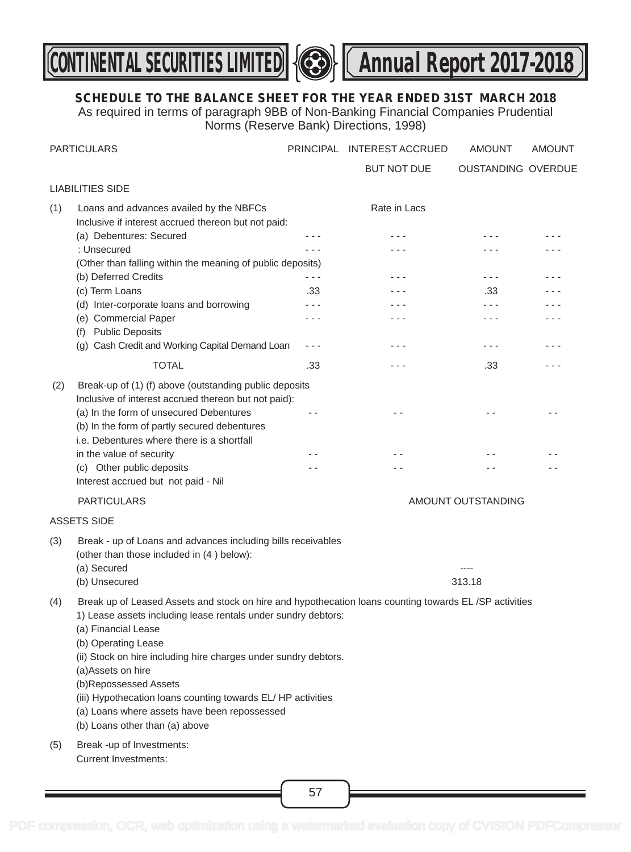



#### **SCHEDULE TO THE BALANCE SHEET FOR THE YEAR ENDED 31ST MARCH 2018**

As required in terms of paragraph 9BB of Non-Banking Financial Companies Prudential Norms (Reserve Bank) Directions, 1998)

|     | <b>PARTICULARS</b>                                                                                                                                                                                                                                                                                                                                                                                                                                                                     |                      | PRINCIPAL INTEREST ACCRUED | <b>AMOUNT</b>             | <b>AMOUNT</b> |
|-----|----------------------------------------------------------------------------------------------------------------------------------------------------------------------------------------------------------------------------------------------------------------------------------------------------------------------------------------------------------------------------------------------------------------------------------------------------------------------------------------|----------------------|----------------------------|---------------------------|---------------|
|     |                                                                                                                                                                                                                                                                                                                                                                                                                                                                                        |                      | <b>BUT NOT DUE</b>         | <b>OUSTANDING OVERDUE</b> |               |
|     | <b>LIABILITIES SIDE</b>                                                                                                                                                                                                                                                                                                                                                                                                                                                                |                      |                            |                           |               |
| (1) | Loans and advances availed by the NBFCs<br>Inclusive if interest accrued thereon but not paid:                                                                                                                                                                                                                                                                                                                                                                                         |                      | Rate in Lacs               |                           |               |
|     | (a) Debentures: Secured                                                                                                                                                                                                                                                                                                                                                                                                                                                                | .                    | - - -                      | - - -                     |               |
|     | : Unsecured                                                                                                                                                                                                                                                                                                                                                                                                                                                                            |                      | .                          |                           |               |
|     | (Other than falling within the meaning of public deposits)                                                                                                                                                                                                                                                                                                                                                                                                                             |                      |                            |                           |               |
|     | (b) Deferred Credits                                                                                                                                                                                                                                                                                                                                                                                                                                                                   | - - -                | $- - -$<br>$- - -$         | $- - -$                   |               |
|     | (c) Term Loans                                                                                                                                                                                                                                                                                                                                                                                                                                                                         | .33<br>- - -         |                            | .33<br>$  -$              |               |
|     | (d) Inter-corporate loans and borrowing<br>(e) Commercial Paper                                                                                                                                                                                                                                                                                                                                                                                                                        | - - -                | - - -                      | $- - -$                   | - - -         |
|     | (f) Public Deposits                                                                                                                                                                                                                                                                                                                                                                                                                                                                    |                      |                            |                           |               |
|     | (g) Cash Credit and Working Capital Demand Loan                                                                                                                                                                                                                                                                                                                                                                                                                                        | $- - -$              | $  -$                      | - - -                     |               |
|     | <b>TOTAL</b>                                                                                                                                                                                                                                                                                                                                                                                                                                                                           | .33                  | $  -$                      | .33                       | - - -         |
| (2) | Break-up of (1) (f) above (outstanding public deposits<br>Inclusive of interest accrued thereon but not paid):<br>(a) In the form of unsecured Debentures                                                                                                                                                                                                                                                                                                                              | $\sim$ $\sim$        | $\sim$ $\sim$              | . .                       | . .           |
|     | (b) In the form of partly secured debentures<br>i.e. Debentures where there is a shortfall                                                                                                                                                                                                                                                                                                                                                                                             |                      |                            |                           |               |
|     | in the value of security<br>(c) Other public deposits<br>Interest accrued but not paid - Nil                                                                                                                                                                                                                                                                                                                                                                                           | - -<br>$\sim$ $\sim$ | . .<br>- -                 |                           |               |
|     | <b>PARTICULARS</b>                                                                                                                                                                                                                                                                                                                                                                                                                                                                     |                      |                            | AMOUNT OUTSTANDING        |               |
|     | <b>ASSETS SIDE</b>                                                                                                                                                                                                                                                                                                                                                                                                                                                                     |                      |                            |                           |               |
| (3) | Break - up of Loans and advances including bills receivables<br>(other than those included in (4) below):<br>(a) Secured                                                                                                                                                                                                                                                                                                                                                               |                      |                            |                           |               |
|     | (b) Unsecured                                                                                                                                                                                                                                                                                                                                                                                                                                                                          |                      |                            | 313.18                    |               |
| (4) | Break up of Leased Assets and stock on hire and hypothecation loans counting towards EL/SP activities<br>1) Lease assets including lease rentals under sundry debtors:<br>(a) Financial Lease<br>(b) Operating Lease<br>(ii) Stock on hire including hire charges under sundry debtors.<br>(a)Assets on hire<br>(b)Repossessed Assets<br>(iii) Hypothecation loans counting towards EL/HP activities<br>(a) Loans where assets have been repossessed<br>(b) Loans other than (a) above |                      |                            |                           |               |
| (5) | Break -up of Investments:<br><b>Current Investments:</b>                                                                                                                                                                                                                                                                                                                                                                                                                               |                      |                            |                           |               |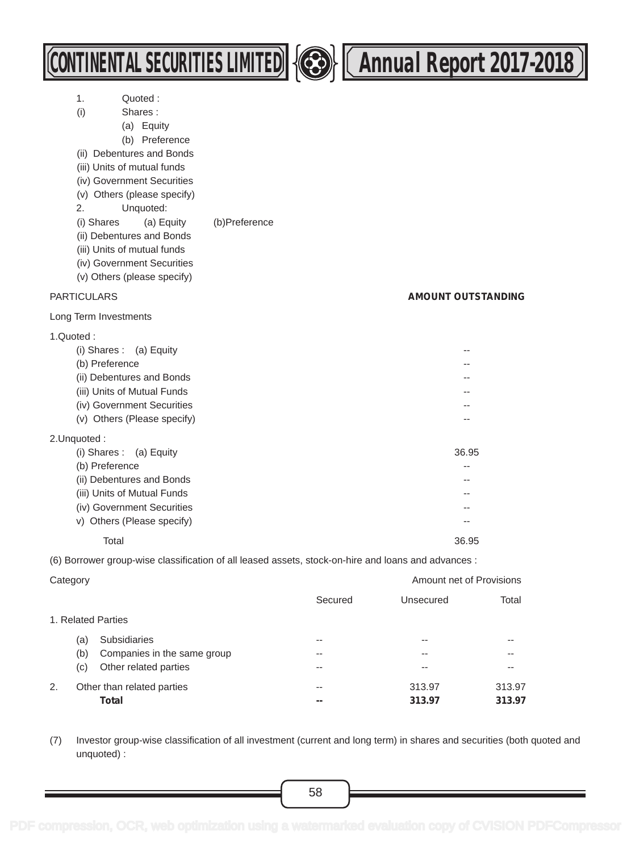| )NTINENTAL SECURITIES LIMITEI                                                                                                                                                                                                                                                                                                                                    |               |         | $\sim$ [ Annual Report 2017-201 |       |
|------------------------------------------------------------------------------------------------------------------------------------------------------------------------------------------------------------------------------------------------------------------------------------------------------------------------------------------------------------------|---------------|---------|---------------------------------|-------|
| 1.<br>Quoted:<br>(i)<br>Shares:<br>(a) Equity<br>(b) Preference<br>(ii) Debentures and Bonds<br>(iii) Units of mutual funds<br>(iv) Government Securities<br>(v) Others (please specify)<br>Unquoted:<br>2.<br>(i) Shares<br>(a) Equity<br>(ii) Debentures and Bonds<br>(iii) Units of mutual funds<br>(iv) Government Securities<br>(v) Others (please specify) | (b)Preference |         |                                 |       |
| <b>PARTICULARS</b>                                                                                                                                                                                                                                                                                                                                               |               |         | <b>AMOUNT OUTSTANDING</b>       |       |
| Long Term Investments                                                                                                                                                                                                                                                                                                                                            |               |         |                                 |       |
| 1.Quoted:<br>(i) Shares: (a) Equity<br>(b) Preference<br>(ii) Debentures and Bonds<br>(iii) Units of Mutual Funds<br>(iv) Government Securities<br>(v) Others (Please specify)                                                                                                                                                                                   |               |         |                                 |       |
| 2.Unquoted:<br>(i) Shares: (a) Equity<br>(b) Preference<br>(ii) Debentures and Bonds<br>(iii) Units of Mutual Funds<br>(iv) Government Securities<br>v) Others (Please specify)                                                                                                                                                                                  |               |         | 36.95<br>--                     |       |
| Total                                                                                                                                                                                                                                                                                                                                                            |               |         | 36.95                           |       |
| (6) Borrower group-wise classification of all leased assets, stock-on-hire and loans and advances :                                                                                                                                                                                                                                                              |               |         |                                 |       |
| Category                                                                                                                                                                                                                                                                                                                                                         |               |         | Amount net of Provisions        |       |
|                                                                                                                                                                                                                                                                                                                                                                  |               | Secured | Unsecured                       | Total |
| 1. Related Parties                                                                                                                                                                                                                                                                                                                                               |               |         |                                 |       |
| Subsidiaries<br>(a)<br>(b)<br>Companies in the same group<br>(c)<br>Other related parties                                                                                                                                                                                                                                                                        |               |         |                                 |       |

2. Other than related parties **120 and 1213.97** 313.97 313.97 313.97 **Total -- 313.97 313.97**

(7) Investor group-wise classification of all investment (current and long term) in shares and securities (both quoted and unquoted) :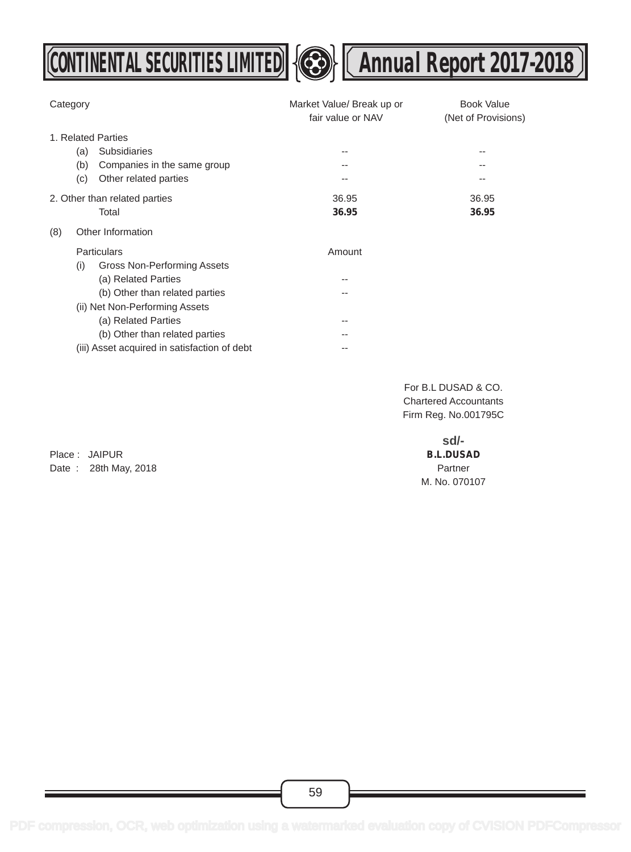

| Category |                                                          | Market Value/ Break up or<br>fair value or NAV | <b>Book Value</b><br>(Net of Provisions) |
|----------|----------------------------------------------------------|------------------------------------------------|------------------------------------------|
|          | 1. Related Parties<br>Subsidiaries<br>(a)                | --                                             | --                                       |
|          | Companies in the same group<br>(b)                       |                                                |                                          |
|          | Other related parties<br>(c)                             |                                                |                                          |
|          | 2. Other than related parties                            | 36.95                                          | 36.95                                    |
|          | Total                                                    | 36.95                                          | 36.95                                    |
| (8)      | Other Information                                        |                                                |                                          |
|          | <b>Particulars</b><br>Gross Non-Performing Assets<br>(i) | Amount                                         |                                          |
|          | (a) Related Parties                                      |                                                |                                          |
|          | (b) Other than related parties                           |                                                |                                          |
|          | (ii) Net Non-Performing Assets                           |                                                |                                          |
|          | (a) Related Parties                                      | --                                             |                                          |
|          | (b) Other than related parties                           |                                                |                                          |
|          | (iii) Asset acquired in satisfaction of debt             |                                                |                                          |

For B.L DUSAD & CO. Chartered Accountants Firm Reg. No.001795C

Place : JAIPUR **B.L.DUSAD** Date : 28th May, 2018 **Partner** Partner New York 19th 2018

M. No. 070107 **sd/-**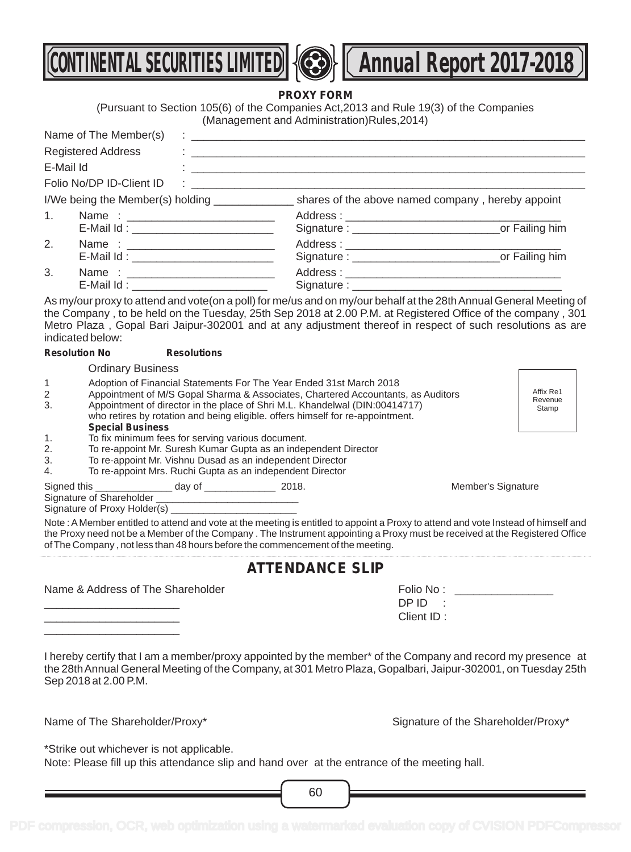|           |                                                                                                                                                                                     |                    | (Management and Administration) Rules, 2014)                                                                                                                                                                                                                      |                    |           |
|-----------|-------------------------------------------------------------------------------------------------------------------------------------------------------------------------------------|--------------------|-------------------------------------------------------------------------------------------------------------------------------------------------------------------------------------------------------------------------------------------------------------------|--------------------|-----------|
|           | Name of The Member(s)                                                                                                                                                               |                    | <u> Alexandria de la contrada de la contrada de la contrada de la contrada de la contrada de la contrada de la c</u>                                                                                                                                              |                    |           |
|           | <b>Registered Address</b>                                                                                                                                                           |                    | <u> 1989 - Andrea Stadt Britain, amerikansk fotograf i stadt fotograf i stadt fotograf i stadt fotograf i stadt </u>                                                                                                                                              |                    |           |
| E-Mail Id |                                                                                                                                                                                     |                    |                                                                                                                                                                                                                                                                   |                    |           |
|           | Folio No/DP ID-Client ID                                                                                                                                                            |                    |                                                                                                                                                                                                                                                                   |                    |           |
|           |                                                                                                                                                                                     |                    |                                                                                                                                                                                                                                                                   |                    |           |
| 1.        |                                                                                                                                                                                     |                    |                                                                                                                                                                                                                                                                   |                    |           |
|           | E-Mail Id: _______________________________                                                                                                                                          |                    |                                                                                                                                                                                                                                                                   |                    |           |
| 2.        |                                                                                                                                                                                     |                    |                                                                                                                                                                                                                                                                   |                    |           |
|           |                                                                                                                                                                                     |                    |                                                                                                                                                                                                                                                                   |                    |           |
| 3.        |                                                                                                                                                                                     |                    |                                                                                                                                                                                                                                                                   |                    |           |
|           |                                                                                                                                                                                     |                    | As my/our proxy to attend and vote(on a poll) for me/us and on my/our behalf at the 28th Annual General Meeting of                                                                                                                                                |                    |           |
|           | indicated below:<br><b>Resolution No</b>                                                                                                                                            | <b>Resolutions</b> | Metro Plaza, Gopal Bari Jaipur-302001 and at any adjustment thereof in respect of such resolutions as are                                                                                                                                                         |                    |           |
|           | <b>Ordinary Business</b>                                                                                                                                                            |                    |                                                                                                                                                                                                                                                                   |                    |           |
| 1         |                                                                                                                                                                                     |                    | Adoption of Financial Statements For The Year Ended 31st March 2018                                                                                                                                                                                               |                    | Affix Re1 |
| 2<br>3.   | Appointment of M/S Gopal Sharma & Associates, Chartered Accountants, as Auditors<br>Revenue<br>Appointment of director in the place of Shri M.L. Khandelwal (DIN:00414717)<br>Stamp |                    |                                                                                                                                                                                                                                                                   |                    |           |
|           |                                                                                                                                                                                     |                    | who retires by rotation and being eligible, offers himself for re-appointment.                                                                                                                                                                                    |                    |           |
| 1.        | <b>Special Business</b>                                                                                                                                                             |                    |                                                                                                                                                                                                                                                                   |                    |           |
| 2.        | To fix minimum fees for serving various document.<br>To re-appoint Mr. Suresh Kumar Gupta as an independent Director                                                                |                    |                                                                                                                                                                                                                                                                   |                    |           |
| 3.<br>4.  | To re-appoint Mr. Vishnu Dusad as an independent Director<br>To re-appoint Mrs. Ruchi Gupta as an independent Director                                                              |                    |                                                                                                                                                                                                                                                                   |                    |           |
|           | Signed this ________________ day of ________________ 2018.                                                                                                                          |                    |                                                                                                                                                                                                                                                                   | Member's Signature |           |
|           | Signature of Shareholder ________________________________                                                                                                                           |                    |                                                                                                                                                                                                                                                                   |                    |           |
|           | Signature of Proxy Holder(s)                                                                                                                                                        |                    |                                                                                                                                                                                                                                                                   |                    |           |
|           |                                                                                                                                                                                     |                    | Note : A Member entitled to attend and vote at the meeting is entitled to appoint a Proxy to attend and vote Instead of himself and<br>the Proxy need not be a Member of the Company. The Instrument appointing a Proxy must be received at the Registered Office |                    |           |
|           |                                                                                                                                                                                     |                    | of The Company, not less than 48 hours before the commencement of the meeting.                                                                                                                                                                                    |                    |           |
|           |                                                                                                                                                                                     |                    | <b>ATTENDANCE SLIP</b>                                                                                                                                                                                                                                            |                    |           |
|           |                                                                                                                                                                                     |                    |                                                                                                                                                                                                                                                                   |                    |           |

**PROXY FORM** (Pursuant to Section 105(6) of the Companies Act,2013 and Rule 19(3) of the Companies

\_\_\_\_\_\_\_\_\_\_\_\_\_\_\_\_\_\_\_\_\_\_

| Name & Address of The Shareholder | Folio No:  |
|-----------------------------------|------------|
|                                   | $DPID$ :   |
|                                   | Client ID: |

I hereby certify that I am a member/proxy appointed by the member\* of the Company and record my presence at the 28th Annual General Meeting of the Company, at 301 Metro Plaza, Gopalbari, Jaipur-302001, on Tuesday 25th Sep 2018 at 2.00 P.M.

Name of The Shareholder/Proxy\* example and the Shareholder/Proxy\* Signature of the Shareholder/Proxy\*

\*Strike out whichever is not applicable.

Note: Please fill up this attendance slip and hand over at the entrance of the meeting hall.